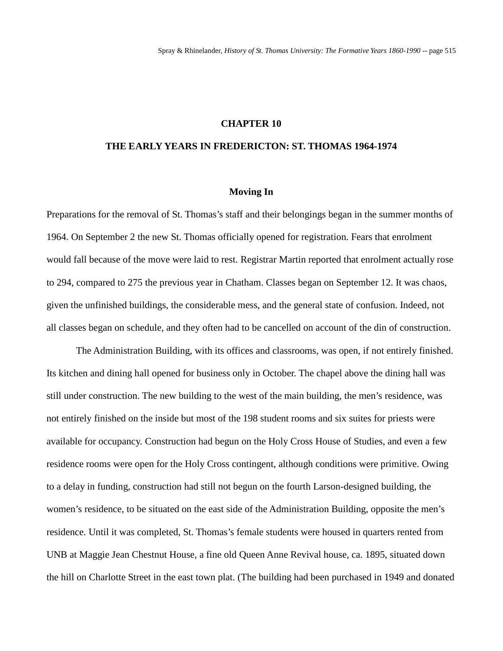### **CHAPTER 10**

## **THE EARLY YEARS IN FREDERICTON: ST. THOMAS 1964-1974**

#### **Moving In**

Preparations for the removal of St. Thomas's staff and their belongings began in the summer months of 1964. On September 2 the new St. Thomas officially opened for registration. Fears that enrolment would fall because of the move were laid to rest. Registrar Martin reported that enrolment actually rose to 294, compared to 275 the previous year in Chatham. Classes began on September 12. It was chaos, given the unfinished buildings, the considerable mess, and the general state of confusion. Indeed, not all classes began on schedule, and they often had to be cancelled on account of the din of construction.

The Administration Building, with its offices and classrooms, was open, if not entirely finished. Its kitchen and dining hall opened for business only in October. The chapel above the dining hall was still under construction. The new building to the west of the main building, the men's residence, was not entirely finished on the inside but most of the 198 student rooms and six suites for priests were available for occupancy. Construction had begun on the Holy Cross House of Studies, and even a few residence rooms were open for the Holy Cross contingent, although conditions were primitive. Owing to a delay in funding, construction had still not begun on the fourth Larson-designed building, the women's residence, to be situated on the east side of the Administration Building, opposite the men's residence. Until it was completed, St. Thomas's female students were housed in quarters rented from UNB at Maggie Jean Chestnut House, a fine old Queen Anne Revival house, ca. 1895, situated down the hill on Charlotte Street in the east town plat. (The building had been purchased in 1949 and donated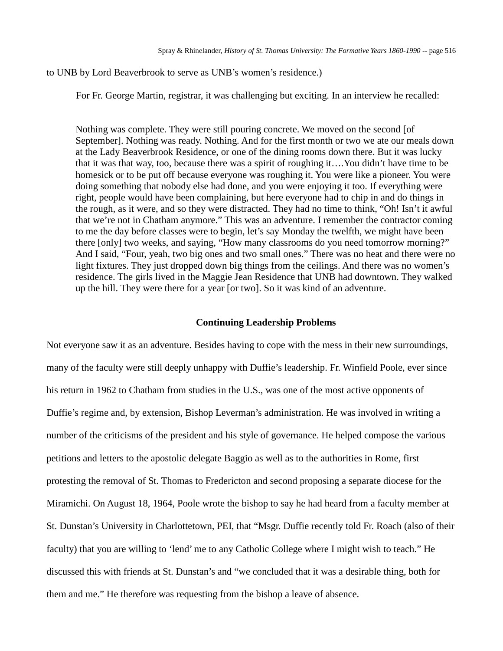## to UNB by Lord Beaverbrook to serve as UNB's women's residence.)

For Fr. George Martin, registrar, it was challenging but exciting. In an interview he recalled:

Nothing was complete. They were still pouring concrete. We moved on the second [of September]. Nothing was ready. Nothing. And for the first month or two we ate our meals down at the Lady Beaverbrook Residence, or one of the dining rooms down there. But it was lucky that it was that way, too, because there was a spirit of roughing it….You didn't have time to be homesick or to be put off because everyone was roughing it. You were like a pioneer. You were doing something that nobody else had done, and you were enjoying it too. If everything were right, people would have been complaining, but here everyone had to chip in and do things in the rough, as it were, and so they were distracted. They had no time to think, "Oh! Isn't it awful that we're not in Chatham anymore." This was an adventure. I remember the contractor coming to me the day before classes were to begin, let's say Monday the twelfth, we might have been there [only] two weeks, and saying, "How many classrooms do you need tomorrow morning?" And I said, "Four, yeah, two big ones and two small ones." There was no heat and there were no light fixtures. They just dropped down big things from the ceilings. And there was no women's residence. The girls lived in the Maggie Jean Residence that UNB had downtown. They walked up the hill. They were there for a year [or two]. So it was kind of an adventure.

## **Continuing Leadership Problems**

Not everyone saw it as an adventure. Besides having to cope with the mess in their new surroundings, many of the faculty were still deeply unhappy with Duffie's leadership. Fr. Winfield Poole, ever since his return in 1962 to Chatham from studies in the U.S., was one of the most active opponents of Duffie's regime and, by extension, Bishop Leverman's administration. He was involved in writing a number of the criticisms of the president and his style of governance. He helped compose the various petitions and letters to the apostolic delegate Baggio as well as to the authorities in Rome, first protesting the removal of St. Thomas to Fredericton and second proposing a separate diocese for the Miramichi. On August 18, 1964, Poole wrote the bishop to say he had heard from a faculty member at St. Dunstan's University in Charlottetown, PEI, that "Msgr. Duffie recently told Fr. Roach (also of their faculty) that you are willing to 'lend' me to any Catholic College where I might wish to teach." He discussed this with friends at St. Dunstan's and "we concluded that it was a desirable thing, both for them and me." He therefore was requesting from the bishop a leave of absence.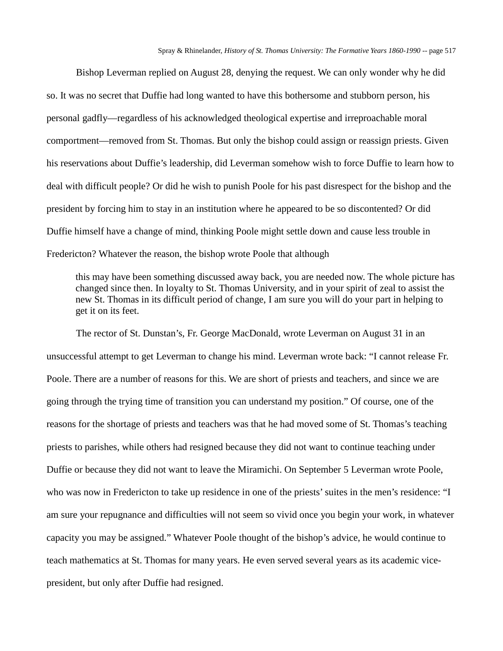Bishop Leverman replied on August 28, denying the request. We can only wonder why he did so. It was no secret that Duffie had long wanted to have this bothersome and stubborn person, his personal gadfly—regardless of his acknowledged theological expertise and irreproachable moral comportment—removed from St. Thomas. But only the bishop could assign or reassign priests. Given his reservations about Duffie's leadership, did Leverman somehow wish to force Duffie to learn how to deal with difficult people? Or did he wish to punish Poole for his past disrespect for the bishop and the president by forcing him to stay in an institution where he appeared to be so discontented? Or did Duffie himself have a change of mind, thinking Poole might settle down and cause less trouble in Fredericton? Whatever the reason, the bishop wrote Poole that although

this may have been something discussed away back, you are needed now. The whole picture has changed since then. In loyalty to St. Thomas University, and in your spirit of zeal to assist the new St. Thomas in its difficult period of change, I am sure you will do your part in helping to get it on its feet.

The rector of St. Dunstan's, Fr. George MacDonald, wrote Leverman on August 31 in an unsuccessful attempt to get Leverman to change his mind. Leverman wrote back: "I cannot release Fr. Poole. There are a number of reasons for this. We are short of priests and teachers, and since we are going through the trying time of transition you can understand my position." Of course, one of the reasons for the shortage of priests and teachers was that he had moved some of St. Thomas's teaching priests to parishes, while others had resigned because they did not want to continue teaching under Duffie or because they did not want to leave the Miramichi. On September 5 Leverman wrote Poole, who was now in Fredericton to take up residence in one of the priests' suites in the men's residence: "I am sure your repugnance and difficulties will not seem so vivid once you begin your work, in whatever capacity you may be assigned." Whatever Poole thought of the bishop's advice, he would continue to teach mathematics at St. Thomas for many years. He even served several years as its academic vicepresident, but only after Duffie had resigned.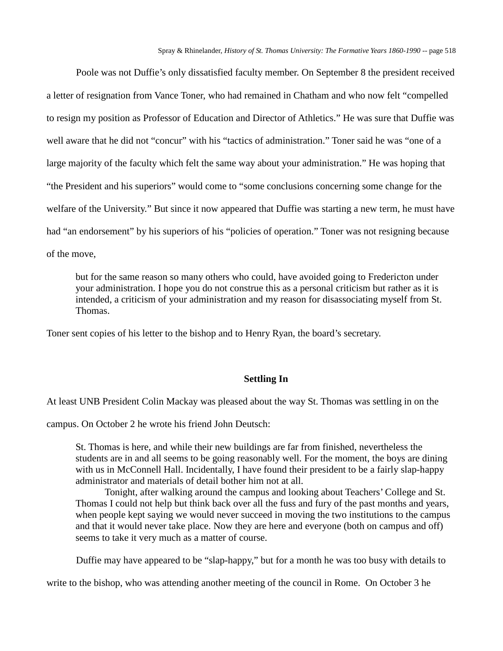Poole was not Duffie's only dissatisfied faculty member. On September 8 the president received a letter of resignation from Vance Toner, who had remained in Chatham and who now felt "compelled to resign my position as Professor of Education and Director of Athletics." He was sure that Duffie was well aware that he did not "concur" with his "tactics of administration." Toner said he was "one of a large majority of the faculty which felt the same way about your administration." He was hoping that "the President and his superiors" would come to "some conclusions concerning some change for the welfare of the University." But since it now appeared that Duffie was starting a new term, he must have had "an endorsement" by his superiors of his "policies of operation." Toner was not resigning because of the move,

but for the same reason so many others who could, have avoided going to Fredericton under your administration. I hope you do not construe this as a personal criticism but rather as it is intended, a criticism of your administration and my reason for disassociating myself from St. Thomas.

Toner sent copies of his letter to the bishop and to Henry Ryan, the board's secretary.

# **Settling In**

At least UNB President Colin Mackay was pleased about the way St. Thomas was settling in on the

campus. On October 2 he wrote his friend John Deutsch:

St. Thomas is here, and while their new buildings are far from finished, nevertheless the students are in and all seems to be going reasonably well. For the moment, the boys are dining with us in McConnell Hall. Incidentally, I have found their president to be a fairly slap-happy administrator and materials of detail bother him not at all.

Tonight, after walking around the campus and looking about Teachers' College and St. Thomas I could not help but think back over all the fuss and fury of the past months and years, when people kept saying we would never succeed in moving the two institutions to the campus and that it would never take place. Now they are here and everyone (both on campus and off) seems to take it very much as a matter of course.

Duffie may have appeared to be "slap-happy," but for a month he was too busy with details to

write to the bishop, who was attending another meeting of the council in Rome. On October 3 he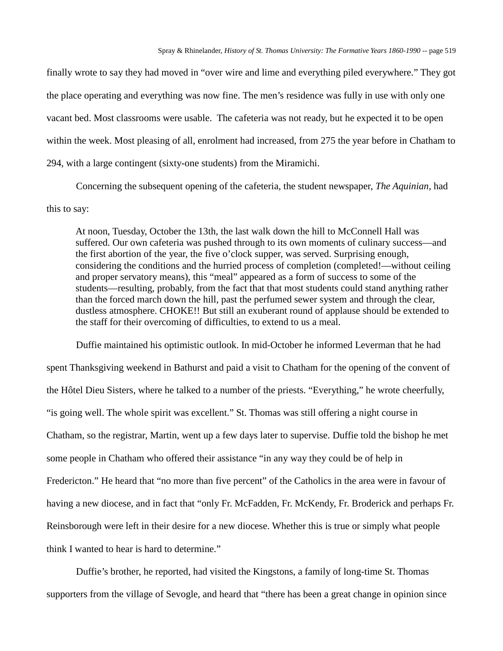finally wrote to say they had moved in "over wire and lime and everything piled everywhere." They got the place operating and everything was now fine. The men's residence was fully in use with only one vacant bed. Most classrooms were usable. The cafeteria was not ready, but he expected it to be open within the week. Most pleasing of all, enrolment had increased, from 275 the year before in Chatham to 294, with a large contingent (sixty-one students) from the Miramichi.

Concerning the subsequent opening of the cafeteria, the student newspaper, *The Aquinian,* had this to say:

At noon, Tuesday, October the 13th, the last walk down the hill to McConnell Hall was suffered. Our own cafeteria was pushed through to its own moments of culinary success—and the first abortion of the year, the five o'clock supper, was served. Surprising enough, considering the conditions and the hurried process of completion (completed!—without ceiling and proper servatory means), this "meal" appeared as a form of success to some of the students—resulting, probably, from the fact that that most students could stand anything rather than the forced march down the hill, past the perfumed sewer system and through the clear, dustless atmosphere. CHOKE!! But still an exuberant round of applause should be extended to the staff for their overcoming of difficulties, to extend to us a meal.

Duffie maintained his optimistic outlook. In mid-October he informed Leverman that he had spent Thanksgiving weekend in Bathurst and paid a visit to Chatham for the opening of the convent of the Hôtel Dieu Sisters, where he talked to a number of the priests. "Everything," he wrote cheerfully, "is going well. The whole spirit was excellent." St. Thomas was still offering a night course in Chatham, so the registrar, Martin, went up a few days later to supervise. Duffie told the bishop he met some people in Chatham who offered their assistance "in any way they could be of help in Fredericton." He heard that "no more than five percent" of the Catholics in the area were in favour of having a new diocese, and in fact that "only Fr. McFadden, Fr. McKendy, Fr. Broderick and perhaps Fr. Reinsborough were left in their desire for a new diocese. Whether this is true or simply what people think I wanted to hear is hard to determine."

Duffie's brother, he reported, had visited the Kingstons, a family of long-time St. Thomas supporters from the village of Sevogle, and heard that "there has been a great change in opinion since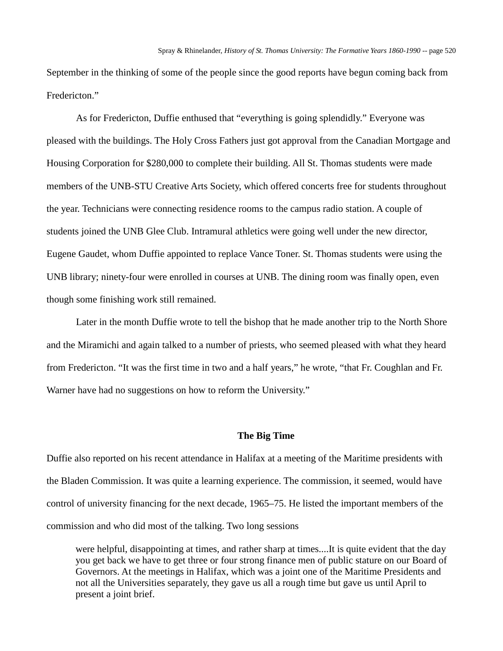September in the thinking of some of the people since the good reports have begun coming back from Fredericton."

As for Fredericton, Duffie enthused that "everything is going splendidly." Everyone was pleased with the buildings. The Holy Cross Fathers just got approval from the Canadian Mortgage and Housing Corporation for \$280,000 to complete their building. All St. Thomas students were made members of the UNB-STU Creative Arts Society, which offered concerts free for students throughout the year. Technicians were connecting residence rooms to the campus radio station. A couple of students joined the UNB Glee Club. Intramural athletics were going well under the new director, Eugene Gaudet, whom Duffie appointed to replace Vance Toner. St. Thomas students were using the UNB library; ninety-four were enrolled in courses at UNB. The dining room was finally open, even though some finishing work still remained.

Later in the month Duffie wrote to tell the bishop that he made another trip to the North Shore and the Miramichi and again talked to a number of priests, who seemed pleased with what they heard from Fredericton. "It was the first time in two and a half years," he wrote, "that Fr. Coughlan and Fr. Warner have had no suggestions on how to reform the University."

## **The Big Time**

Duffie also reported on his recent attendance in Halifax at a meeting of the Maritime presidents with the Bladen Commission. It was quite a learning experience. The commission, it seemed, would have control of university financing for the next decade, 1965–75. He listed the important members of the commission and who did most of the talking. Two long sessions

were helpful, disappointing at times, and rather sharp at times....It is quite evident that the day you get back we have to get three or four strong finance men of public stature on our Board of Governors. At the meetings in Halifax, which was a joint one of the Maritime Presidents and not all the Universities separately, they gave us all a rough time but gave us until April to present a joint brief.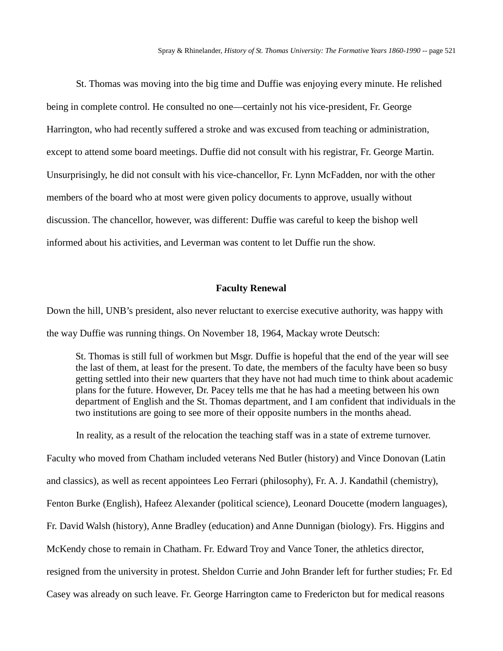St. Thomas was moving into the big time and Duffie was enjoying every minute. He relished being in complete control. He consulted no one—certainly not his vice-president, Fr. George Harrington, who had recently suffered a stroke and was excused from teaching or administration, except to attend some board meetings. Duffie did not consult with his registrar, Fr. George Martin. Unsurprisingly, he did not consult with his vice-chancellor, Fr. Lynn McFadden, nor with the other members of the board who at most were given policy documents to approve, usually without discussion. The chancellor, however, was different: Duffie was careful to keep the bishop well informed about his activities, and Leverman was content to let Duffie run the show.

#### **Faculty Renewal**

Down the hill, UNB's president, also never reluctant to exercise executive authority, was happy with the way Duffie was running things. On November 18, 1964, Mackay wrote Deutsch:

St. Thomas is still full of workmen but Msgr. Duffie is hopeful that the end of the year will see the last of them, at least for the present. To date, the members of the faculty have been so busy getting settled into their new quarters that they have not had much time to think about academic plans for the future. However, Dr. Pacey tells me that he has had a meeting between his own department of English and the St. Thomas department, and I am confident that individuals in the two institutions are going to see more of their opposite numbers in the months ahead.

In reality, as a result of the relocation the teaching staff was in a state of extreme turnover. Faculty who moved from Chatham included veterans Ned Butler (history) and Vince Donovan (Latin and classics), as well as recent appointees Leo Ferrari (philosophy), Fr. A. J. Kandathil (chemistry), Fenton Burke (English), Hafeez Alexander (political science), Leonard Doucette (modern languages), Fr. David Walsh (history), Anne Bradley (education) and Anne Dunnigan (biology). Frs. Higgins and McKendy chose to remain in Chatham. Fr. Edward Troy and Vance Toner, the athletics director, resigned from the university in protest. Sheldon Currie and John Brander left for further studies; Fr. Ed Casey was already on such leave. Fr. George Harrington came to Fredericton but for medical reasons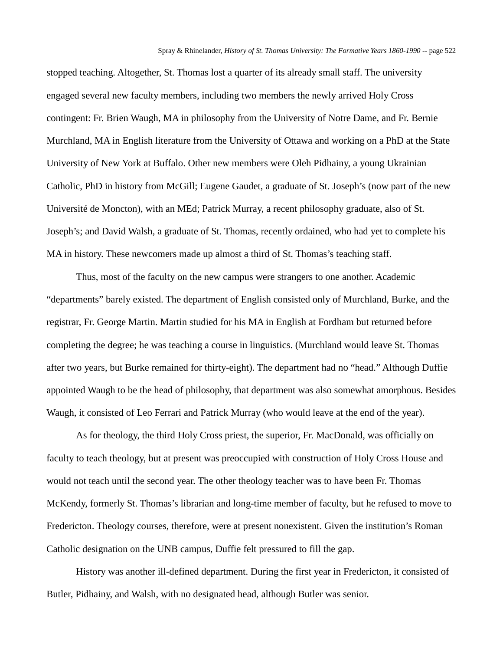stopped teaching. Altogether, St. Thomas lost a quarter of its already small staff. The university engaged several new faculty members, including two members the newly arrived Holy Cross contingent: Fr. Brien Waugh, MA in philosophy from the University of Notre Dame, and Fr. Bernie Murchland, MA in English literature from the University of Ottawa and working on a PhD at the State University of New York at Buffalo. Other new members were Oleh Pidhainy, a young Ukrainian Catholic, PhD in history from McGill; Eugene Gaudet, a graduate of St. Joseph's (now part of the new Université de Moncton), with an MEd; Patrick Murray, a recent philosophy graduate, also of St. Joseph's; and David Walsh, a graduate of St. Thomas, recently ordained, who had yet to complete his MA in history. These newcomers made up almost a third of St. Thomas's teaching staff.

Thus, most of the faculty on the new campus were strangers to one another. Academic "departments" barely existed. The department of English consisted only of Murchland, Burke, and the registrar, Fr. George Martin. Martin studied for his MA in English at Fordham but returned before completing the degree; he was teaching a course in linguistics. (Murchland would leave St. Thomas after two years, but Burke remained for thirty-eight). The department had no "head." Although Duffie appointed Waugh to be the head of philosophy, that department was also somewhat amorphous. Besides Waugh, it consisted of Leo Ferrari and Patrick Murray (who would leave at the end of the year).

As for theology, the third Holy Cross priest, the superior, Fr. MacDonald, was officially on faculty to teach theology, but at present was preoccupied with construction of Holy Cross House and would not teach until the second year. The other theology teacher was to have been Fr. Thomas McKendy, formerly St. Thomas's librarian and long-time member of faculty, but he refused to move to Fredericton. Theology courses, therefore, were at present nonexistent. Given the institution's Roman Catholic designation on the UNB campus, Duffie felt pressured to fill the gap.

History was another ill-defined department. During the first year in Fredericton, it consisted of Butler, Pidhainy, and Walsh, with no designated head, although Butler was senior.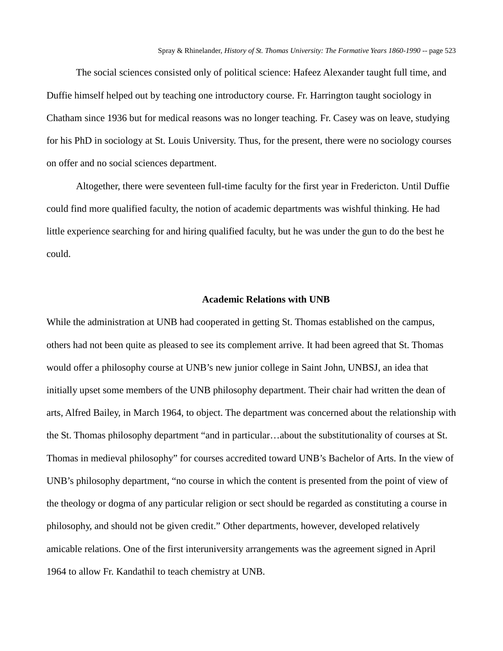The social sciences consisted only of political science: Hafeez Alexander taught full time, and Duffie himself helped out by teaching one introductory course. Fr. Harrington taught sociology in Chatham since 1936 but for medical reasons was no longer teaching. Fr. Casey was on leave, studying for his PhD in sociology at St. Louis University. Thus, for the present, there were no sociology courses on offer and no social sciences department.

Altogether, there were seventeen full-time faculty for the first year in Fredericton. Until Duffie could find more qualified faculty, the notion of academic departments was wishful thinking. He had little experience searching for and hiring qualified faculty, but he was under the gun to do the best he could.

#### **Academic Relations with UNB**

While the administration at UNB had cooperated in getting St. Thomas established on the campus, others had not been quite as pleased to see its complement arrive. It had been agreed that St. Thomas would offer a philosophy course at UNB's new junior college in Saint John, UNBSJ, an idea that initially upset some members of the UNB philosophy department. Their chair had written the dean of arts, Alfred Bailey, in March 1964, to object. The department was concerned about the relationship with the St. Thomas philosophy department "and in particular…about the substitutionality of courses at St. Thomas in medieval philosophy" for courses accredited toward UNB's Bachelor of Arts. In the view of UNB's philosophy department, "no course in which the content is presented from the point of view of the theology or dogma of any particular religion or sect should be regarded as constituting a course in philosophy, and should not be given credit." Other departments, however, developed relatively amicable relations. One of the first interuniversity arrangements was the agreement signed in April 1964 to allow Fr. Kandathil to teach chemistry at UNB.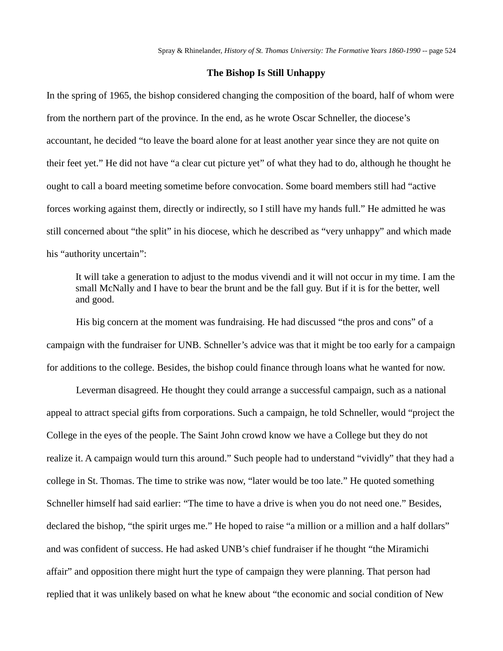## **The Bishop Is Still Unhappy**

In the spring of 1965, the bishop considered changing the composition of the board, half of whom were from the northern part of the province. In the end, as he wrote Oscar Schneller, the diocese's accountant, he decided "to leave the board alone for at least another year since they are not quite on their feet yet." He did not have "a clear cut picture yet" of what they had to do, although he thought he ought to call a board meeting sometime before convocation. Some board members still had "active forces working against them, directly or indirectly, so I still have my hands full." He admitted he was still concerned about "the split" in his diocese, which he described as "very unhappy" and which made his "authority uncertain":

It will take a generation to adjust to the modus vivendi and it will not occur in my time. I am the small McNally and I have to bear the brunt and be the fall guy. But if it is for the better, well and good.

His big concern at the moment was fundraising. He had discussed "the pros and cons" of a campaign with the fundraiser for UNB. Schneller's advice was that it might be too early for a campaign for additions to the college. Besides, the bishop could finance through loans what he wanted for now.

Leverman disagreed. He thought they could arrange a successful campaign, such as a national appeal to attract special gifts from corporations. Such a campaign, he told Schneller, would "project the College in the eyes of the people. The Saint John crowd know we have a College but they do not realize it. A campaign would turn this around." Such people had to understand "vividly" that they had a college in St. Thomas. The time to strike was now, "later would be too late." He quoted something Schneller himself had said earlier: "The time to have a drive is when you do not need one." Besides, declared the bishop, "the spirit urges me." He hoped to raise "a million or a million and a half dollars" and was confident of success. He had asked UNB's chief fundraiser if he thought "the Miramichi affair" and opposition there might hurt the type of campaign they were planning. That person had replied that it was unlikely based on what he knew about "the economic and social condition of New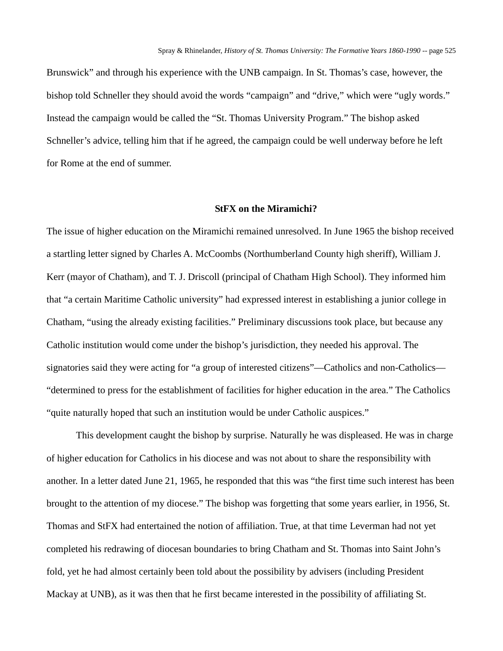Brunswick" and through his experience with the UNB campaign. In St. Thomas's case, however, the bishop told Schneller they should avoid the words "campaign" and "drive," which were "ugly words." Instead the campaign would be called the "St. Thomas University Program." The bishop asked Schneller's advice, telling him that if he agreed, the campaign could be well underway before he left for Rome at the end of summer.

#### **StFX on the Miramichi?**

The issue of higher education on the Miramichi remained unresolved. In June 1965 the bishop received a startling letter signed by Charles A. McCoombs (Northumberland County high sheriff), William J. Kerr (mayor of Chatham), and T. J. Driscoll (principal of Chatham High School). They informed him that "a certain Maritime Catholic university" had expressed interest in establishing a junior college in Chatham, "using the already existing facilities." Preliminary discussions took place, but because any Catholic institution would come under the bishop's jurisdiction, they needed his approval. The signatories said they were acting for "a group of interested citizens"—Catholics and non-Catholics— "determined to press for the establishment of facilities for higher education in the area." The Catholics "quite naturally hoped that such an institution would be under Catholic auspices."

This development caught the bishop by surprise. Naturally he was displeased. He was in charge of higher education for Catholics in his diocese and was not about to share the responsibility with another. In a letter dated June 21, 1965, he responded that this was "the first time such interest has been brought to the attention of my diocese." The bishop was forgetting that some years earlier, in 1956, St. Thomas and StFX had entertained the notion of affiliation. True, at that time Leverman had not yet completed his redrawing of diocesan boundaries to bring Chatham and St. Thomas into Saint John's fold, yet he had almost certainly been told about the possibility by advisers (including President Mackay at UNB), as it was then that he first became interested in the possibility of affiliating St.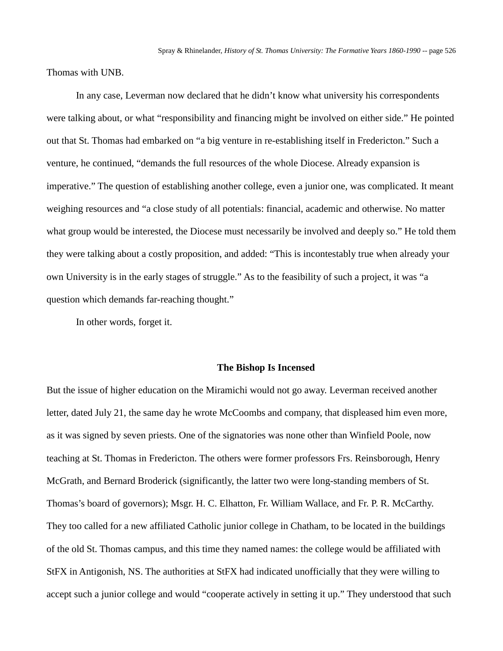Thomas with UNB.

In any case, Leverman now declared that he didn't know what university his correspondents were talking about, or what "responsibility and financing might be involved on either side." He pointed out that St. Thomas had embarked on "a big venture in re-establishing itself in Fredericton." Such a venture, he continued, "demands the full resources of the whole Diocese. Already expansion is imperative." The question of establishing another college, even a junior one, was complicated. It meant weighing resources and "a close study of all potentials: financial, academic and otherwise. No matter what group would be interested, the Diocese must necessarily be involved and deeply so." He told them they were talking about a costly proposition, and added: "This is incontestably true when already your own University is in the early stages of struggle." As to the feasibility of such a project, it was "a question which demands far-reaching thought."

In other words, forget it.

#### **The Bishop Is Incensed**

But the issue of higher education on the Miramichi would not go away. Leverman received another letter, dated July 21, the same day he wrote McCoombs and company, that displeased him even more, as it was signed by seven priests. One of the signatories was none other than Winfield Poole, now teaching at St. Thomas in Fredericton. The others were former professors Frs. Reinsborough, Henry McGrath, and Bernard Broderick (significantly, the latter two were long-standing members of St. Thomas's board of governors); Msgr. H. C. Elhatton, Fr. William Wallace, and Fr. P. R. McCarthy. They too called for a new affiliated Catholic junior college in Chatham, to be located in the buildings of the old St. Thomas campus, and this time they named names: the college would be affiliated with StFX in Antigonish, NS. The authorities at StFX had indicated unofficially that they were willing to accept such a junior college and would "cooperate actively in setting it up." They understood that such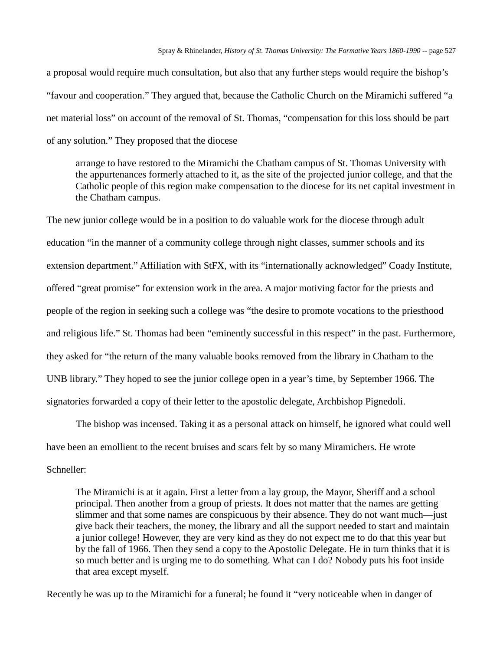a proposal would require much consultation, but also that any further steps would require the bishop's "favour and cooperation." They argued that, because the Catholic Church on the Miramichi suffered "a net material loss" on account of the removal of St. Thomas, "compensation for this loss should be part of any solution." They proposed that the diocese

arrange to have restored to the Miramichi the Chatham campus of St. Thomas University with the appurtenances formerly attached to it, as the site of the projected junior college, and that the Catholic people of this region make compensation to the diocese for its net capital investment in the Chatham campus.

The new junior college would be in a position to do valuable work for the diocese through adult education "in the manner of a community college through night classes, summer schools and its extension department." Affiliation with StFX, with its "internationally acknowledged" Coady Institute, offered "great promise" for extension work in the area. A major motiving factor for the priests and people of the region in seeking such a college was "the desire to promote vocations to the priesthood and religious life." St. Thomas had been "eminently successful in this respect" in the past. Furthermore, they asked for "the return of the many valuable books removed from the library in Chatham to the UNB library." They hoped to see the junior college open in a year's time, by September 1966. The signatories forwarded a copy of their letter to the apostolic delegate, Archbishop Pignedoli.

The bishop was incensed. Taking it as a personal attack on himself, he ignored what could well have been an emollient to the recent bruises and scars felt by so many Miramichers. He wrote Schneller:

The Miramichi is at it again. First a letter from a lay group, the Mayor, Sheriff and a school principal. Then another from a group of priests. It does not matter that the names are getting slimmer and that some names are conspicuous by their absence. They do not want much—just give back their teachers, the money, the library and all the support needed to start and maintain a junior college! However, they are very kind as they do not expect me to do that this year but by the fall of 1966. Then they send a copy to the Apostolic Delegate. He in turn thinks that it is so much better and is urging me to do something. What can I do? Nobody puts his foot inside that area except myself.

Recently he was up to the Miramichi for a funeral; he found it "very noticeable when in danger of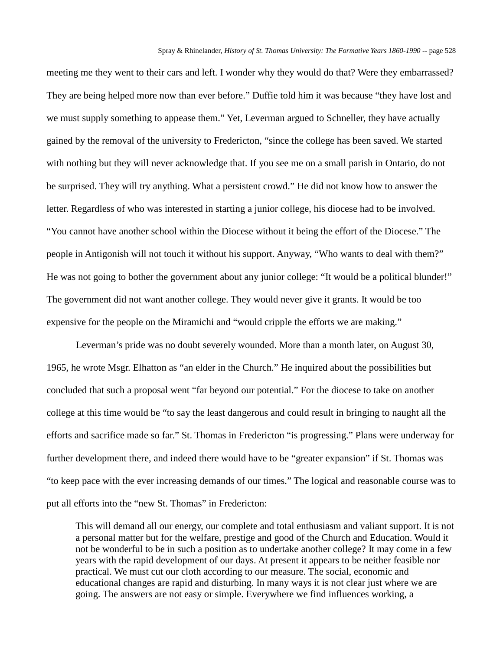meeting me they went to their cars and left. I wonder why they would do that? Were they embarrassed? They are being helped more now than ever before." Duffie told him it was because "they have lost and we must supply something to appease them." Yet, Leverman argued to Schneller, they have actually gained by the removal of the university to Fredericton, "since the college has been saved. We started with nothing but they will never acknowledge that. If you see me on a small parish in Ontario, do not be surprised. They will try anything. What a persistent crowd." He did not know how to answer the letter. Regardless of who was interested in starting a junior college, his diocese had to be involved. "You cannot have another school within the Diocese without it being the effort of the Diocese." The people in Antigonish will not touch it without his support. Anyway, "Who wants to deal with them?" He was not going to bother the government about any junior college: "It would be a political blunder!" The government did not want another college. They would never give it grants. It would be too expensive for the people on the Miramichi and "would cripple the efforts we are making."

Leverman's pride was no doubt severely wounded. More than a month later, on August 30, 1965, he wrote Msgr. Elhatton as "an elder in the Church." He inquired about the possibilities but concluded that such a proposal went "far beyond our potential." For the diocese to take on another college at this time would be "to say the least dangerous and could result in bringing to naught all the efforts and sacrifice made so far." St. Thomas in Fredericton "is progressing." Plans were underway for further development there, and indeed there would have to be "greater expansion" if St. Thomas was "to keep pace with the ever increasing demands of our times." The logical and reasonable course was to put all efforts into the "new St. Thomas" in Fredericton:

This will demand all our energy, our complete and total enthusiasm and valiant support. It is not a personal matter but for the welfare, prestige and good of the Church and Education. Would it not be wonderful to be in such a position as to undertake another college? It may come in a few years with the rapid development of our days. At present it appears to be neither feasible nor practical. We must cut our cloth according to our measure. The social, economic and educational changes are rapid and disturbing. In many ways it is not clear just where we are going. The answers are not easy or simple. Everywhere we find influences working, a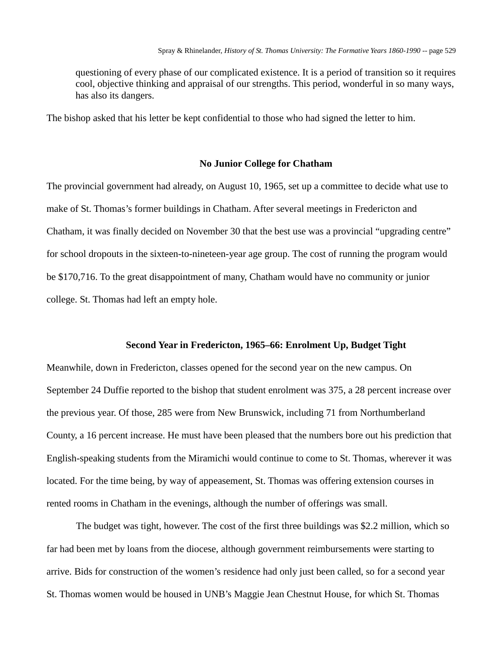questioning of every phase of our complicated existence. It is a period of transition so it requires cool, objective thinking and appraisal of our strengths. This period, wonderful in so many ways, has also its dangers.

The bishop asked that his letter be kept confidential to those who had signed the letter to him.

### **No Junior College for Chatham**

The provincial government had already, on August 10, 1965, set up a committee to decide what use to make of St. Thomas's former buildings in Chatham. After several meetings in Fredericton and Chatham, it was finally decided on November 30 that the best use was a provincial "upgrading centre" for school dropouts in the sixteen-to-nineteen-year age group. The cost of running the program would be \$170,716. To the great disappointment of many, Chatham would have no community or junior college. St. Thomas had left an empty hole.

### **Second Year in Fredericton, 1965–66: Enrolment Up, Budget Tight**

Meanwhile, down in Fredericton, classes opened for the second year on the new campus. On September 24 Duffie reported to the bishop that student enrolment was 375, a 28 percent increase over the previous year. Of those, 285 were from New Brunswick, including 71 from Northumberland County, a 16 percent increase. He must have been pleased that the numbers bore out his prediction that English-speaking students from the Miramichi would continue to come to St. Thomas, wherever it was located. For the time being, by way of appeasement, St. Thomas was offering extension courses in rented rooms in Chatham in the evenings, although the number of offerings was small.

The budget was tight, however. The cost of the first three buildings was \$2.2 million, which so far had been met by loans from the diocese, although government reimbursements were starting to arrive. Bids for construction of the women's residence had only just been called, so for a second year St. Thomas women would be housed in UNB's Maggie Jean Chestnut House, for which St. Thomas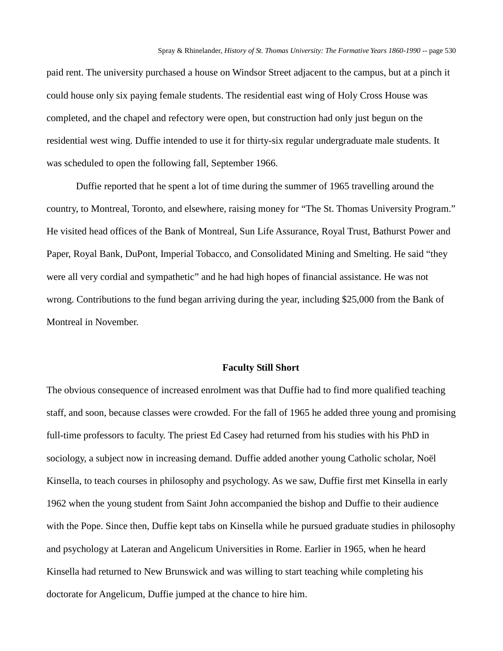paid rent. The university purchased a house on Windsor Street adjacent to the campus, but at a pinch it could house only six paying female students. The residential east wing of Holy Cross House was completed, and the chapel and refectory were open, but construction had only just begun on the residential west wing. Duffie intended to use it for thirty-six regular undergraduate male students. It was scheduled to open the following fall, September 1966.

Duffie reported that he spent a lot of time during the summer of 1965 travelling around the country, to Montreal, Toronto, and elsewhere, raising money for "The St. Thomas University Program." He visited head offices of the Bank of Montreal, Sun Life Assurance, Royal Trust, Bathurst Power and Paper, Royal Bank, DuPont, Imperial Tobacco, and Consolidated Mining and Smelting. He said "they were all very cordial and sympathetic" and he had high hopes of financial assistance. He was not wrong. Contributions to the fund began arriving during the year, including \$25,000 from the Bank of Montreal in November.

### **Faculty Still Short**

The obvious consequence of increased enrolment was that Duffie had to find more qualified teaching staff, and soon, because classes were crowded. For the fall of 1965 he added three young and promising full-time professors to faculty. The priest Ed Casey had returned from his studies with his PhD in sociology, a subject now in increasing demand. Duffie added another young Catholic scholar, Noël Kinsella, to teach courses in philosophy and psychology. As we saw, Duffie first met Kinsella in early 1962 when the young student from Saint John accompanied the bishop and Duffie to their audience with the Pope. Since then, Duffie kept tabs on Kinsella while he pursued graduate studies in philosophy and psychology at Lateran and Angelicum Universities in Rome. Earlier in 1965, when he heard Kinsella had returned to New Brunswick and was willing to start teaching while completing his doctorate for Angelicum, Duffie jumped at the chance to hire him.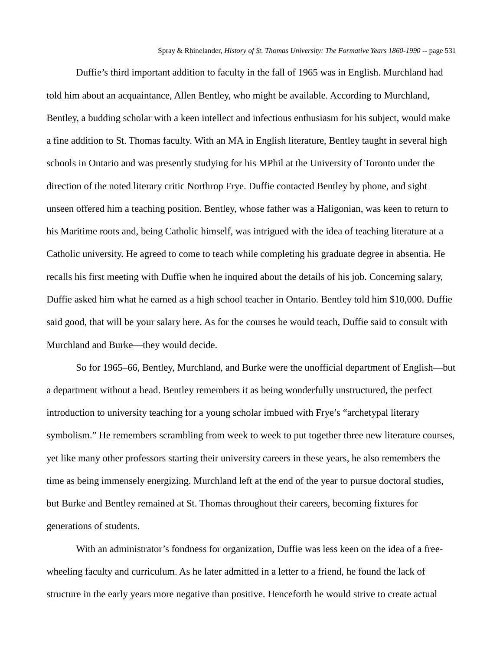Duffie's third important addition to faculty in the fall of 1965 was in English. Murchland had told him about an acquaintance, Allen Bentley, who might be available. According to Murchland, Bentley, a budding scholar with a keen intellect and infectious enthusiasm for his subject, would make a fine addition to St. Thomas faculty. With an MA in English literature, Bentley taught in several high schools in Ontario and was presently studying for his MPhil at the University of Toronto under the direction of the noted literary critic Northrop Frye. Duffie contacted Bentley by phone, and sight unseen offered him a teaching position. Bentley, whose father was a Haligonian, was keen to return to his Maritime roots and, being Catholic himself, was intrigued with the idea of teaching literature at a Catholic university. He agreed to come to teach while completing his graduate degree in absentia. He recalls his first meeting with Duffie when he inquired about the details of his job. Concerning salary, Duffie asked him what he earned as a high school teacher in Ontario. Bentley told him \$10,000. Duffie said good, that will be your salary here. As for the courses he would teach, Duffie said to consult with Murchland and Burke—they would decide.

So for 1965–66, Bentley, Murchland, and Burke were the unofficial department of English—but a department without a head. Bentley remembers it as being wonderfully unstructured, the perfect introduction to university teaching for a young scholar imbued with Frye's "archetypal literary symbolism." He remembers scrambling from week to week to put together three new literature courses, yet like many other professors starting their university careers in these years, he also remembers the time as being immensely energizing. Murchland left at the end of the year to pursue doctoral studies, but Burke and Bentley remained at St. Thomas throughout their careers, becoming fixtures for generations of students.

With an administrator's fondness for organization, Duffie was less keen on the idea of a freewheeling faculty and curriculum. As he later admitted in a letter to a friend, he found the lack of structure in the early years more negative than positive. Henceforth he would strive to create actual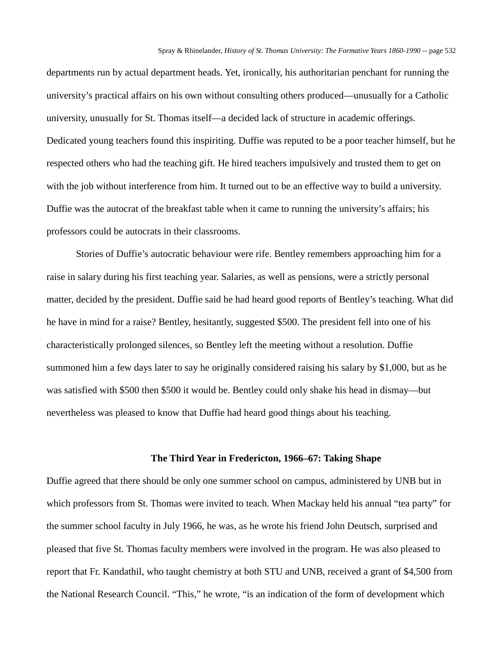departments run by actual department heads. Yet, ironically, his authoritarian penchant for running the university's practical affairs on his own without consulting others produced—unusually for a Catholic university, unusually for St. Thomas itself—a decided lack of structure in academic offerings. Dedicated young teachers found this inspiriting. Duffie was reputed to be a poor teacher himself, but he respected others who had the teaching gift. He hired teachers impulsively and trusted them to get on with the job without interference from him. It turned out to be an effective way to build a university. Duffie was the autocrat of the breakfast table when it came to running the university's affairs; his professors could be autocrats in their classrooms.

Stories of Duffie's autocratic behaviour were rife. Bentley remembers approaching him for a raise in salary during his first teaching year. Salaries, as well as pensions, were a strictly personal matter, decided by the president. Duffie said he had heard good reports of Bentley's teaching. What did he have in mind for a raise? Bentley, hesitantly, suggested \$500. The president fell into one of his characteristically prolonged silences, so Bentley left the meeting without a resolution. Duffie summoned him a few days later to say he originally considered raising his salary by \$1,000, but as he was satisfied with \$500 then \$500 it would be. Bentley could only shake his head in dismay—but nevertheless was pleased to know that Duffie had heard good things about his teaching.

## **The Third Year in Fredericton, 1966–67: Taking Shape**

Duffie agreed that there should be only one summer school on campus, administered by UNB but in which professors from St. Thomas were invited to teach. When Mackay held his annual "tea party" for the summer school faculty in July 1966, he was, as he wrote his friend John Deutsch, surprised and pleased that five St. Thomas faculty members were involved in the program. He was also pleased to report that Fr. Kandathil, who taught chemistry at both STU and UNB, received a grant of \$4,500 from the National Research Council. "This," he wrote, "is an indication of the form of development which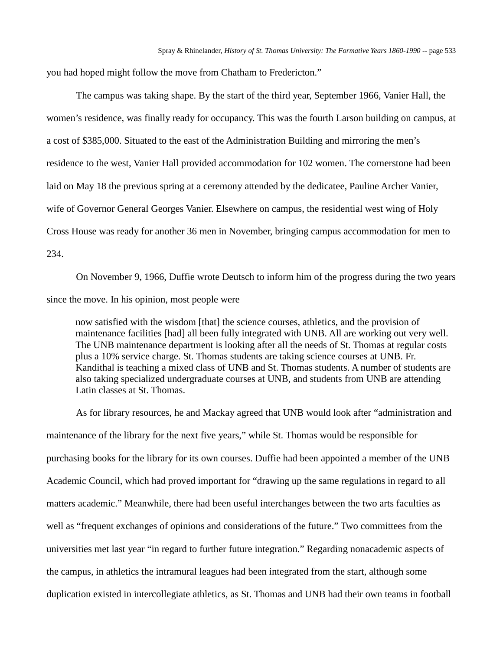you had hoped might follow the move from Chatham to Fredericton."

The campus was taking shape. By the start of the third year, September 1966, Vanier Hall, the women's residence, was finally ready for occupancy. This was the fourth Larson building on campus, at a cost of \$385,000. Situated to the east of the Administration Building and mirroring the men's residence to the west, Vanier Hall provided accommodation for 102 women. The cornerstone had been laid on May 18 the previous spring at a ceremony attended by the dedicatee, Pauline Archer Vanier, wife of Governor General Georges Vanier. Elsewhere on campus, the residential west wing of Holy Cross House was ready for another 36 men in November, bringing campus accommodation for men to 234.

On November 9, 1966, Duffie wrote Deutsch to inform him of the progress during the two years since the move. In his opinion, most people were

now satisfied with the wisdom [that] the science courses, athletics, and the provision of maintenance facilities [had] all been fully integrated with UNB. All are working out very well. The UNB maintenance department is looking after all the needs of St. Thomas at regular costs plus a 10% service charge. St. Thomas students are taking science courses at UNB. Fr. Kandithal is teaching a mixed class of UNB and St. Thomas students. A number of students are also taking specialized undergraduate courses at UNB, and students from UNB are attending Latin classes at St. Thomas.

As for library resources, he and Mackay agreed that UNB would look after "administration and maintenance of the library for the next five years," while St. Thomas would be responsible for purchasing books for the library for its own courses. Duffie had been appointed a member of the UNB Academic Council, which had proved important for "drawing up the same regulations in regard to all matters academic." Meanwhile, there had been useful interchanges between the two arts faculties as well as "frequent exchanges of opinions and considerations of the future." Two committees from the universities met last year "in regard to further future integration." Regarding nonacademic aspects of the campus, in athletics the intramural leagues had been integrated from the start, although some duplication existed in intercollegiate athletics, as St. Thomas and UNB had their own teams in football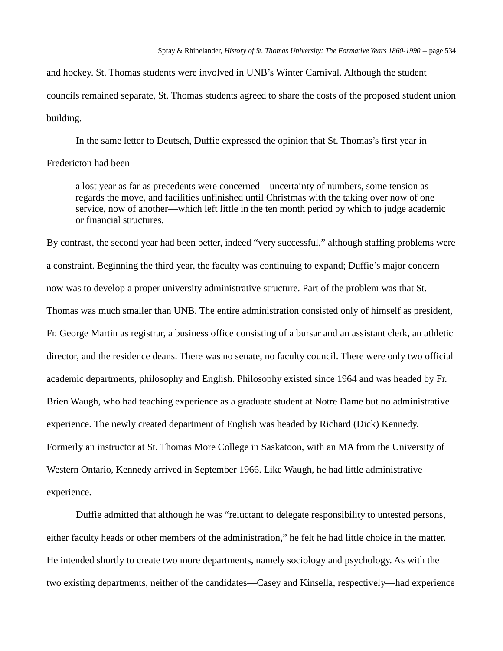and hockey. St. Thomas students were involved in UNB's Winter Carnival. Although the student councils remained separate, St. Thomas students agreed to share the costs of the proposed student union building.

In the same letter to Deutsch, Duffie expressed the opinion that St. Thomas's first year in

## Fredericton had been

a lost year as far as precedents were concerned—uncertainty of numbers, some tension as regards the move, and facilities unfinished until Christmas with the taking over now of one service, now of another—which left little in the ten month period by which to judge academic or financial structures.

By contrast, the second year had been better, indeed "very successful," although staffing problems were a constraint. Beginning the third year, the faculty was continuing to expand; Duffie's major concern now was to develop a proper university administrative structure. Part of the problem was that St. Thomas was much smaller than UNB. The entire administration consisted only of himself as president, Fr. George Martin as registrar, a business office consisting of a bursar and an assistant clerk, an athletic director, and the residence deans. There was no senate, no faculty council. There were only two official academic departments, philosophy and English. Philosophy existed since 1964 and was headed by Fr. Brien Waugh, who had teaching experience as a graduate student at Notre Dame but no administrative experience. The newly created department of English was headed by Richard (Dick) Kennedy. Formerly an instructor at St. Thomas More College in Saskatoon, with an MA from the University of Western Ontario, Kennedy arrived in September 1966. Like Waugh, he had little administrative experience.

Duffie admitted that although he was "reluctant to delegate responsibility to untested persons, either faculty heads or other members of the administration," he felt he had little choice in the matter. He intended shortly to create two more departments, namely sociology and psychology. As with the two existing departments, neither of the candidates—Casey and Kinsella, respectively—had experience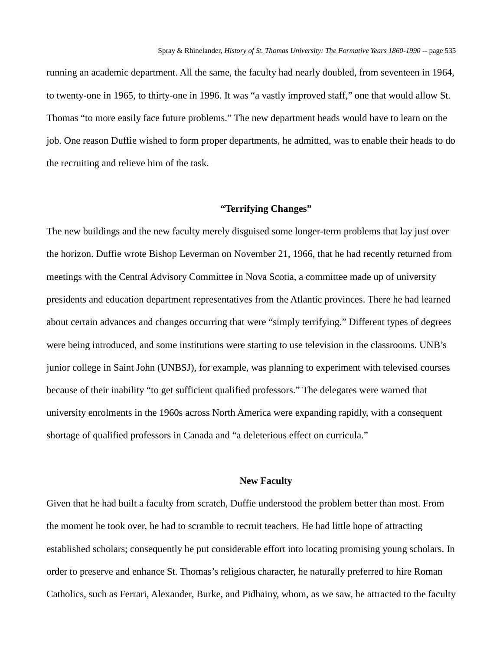running an academic department. All the same, the faculty had nearly doubled, from seventeen in 1964, to twenty-one in 1965, to thirty-one in 1996. It was "a vastly improved staff," one that would allow St. Thomas "to more easily face future problems." The new department heads would have to learn on the job. One reason Duffie wished to form proper departments, he admitted, was to enable their heads to do the recruiting and relieve him of the task.

## **"Terrifying Changes"**

The new buildings and the new faculty merely disguised some longer-term problems that lay just over the horizon. Duffie wrote Bishop Leverman on November 21, 1966, that he had recently returned from meetings with the Central Advisory Committee in Nova Scotia, a committee made up of university presidents and education department representatives from the Atlantic provinces. There he had learned about certain advances and changes occurring that were "simply terrifying." Different types of degrees were being introduced, and some institutions were starting to use television in the classrooms. UNB's junior college in Saint John (UNBSJ), for example, was planning to experiment with televised courses because of their inability "to get sufficient qualified professors." The delegates were warned that university enrolments in the 1960s across North America were expanding rapidly, with a consequent shortage of qualified professors in Canada and "a deleterious effect on curricula."

### **New Faculty**

Given that he had built a faculty from scratch, Duffie understood the problem better than most. From the moment he took over, he had to scramble to recruit teachers. He had little hope of attracting established scholars; consequently he put considerable effort into locating promising young scholars. In order to preserve and enhance St. Thomas's religious character, he naturally preferred to hire Roman Catholics, such as Ferrari, Alexander, Burke, and Pidhainy, whom, as we saw, he attracted to the faculty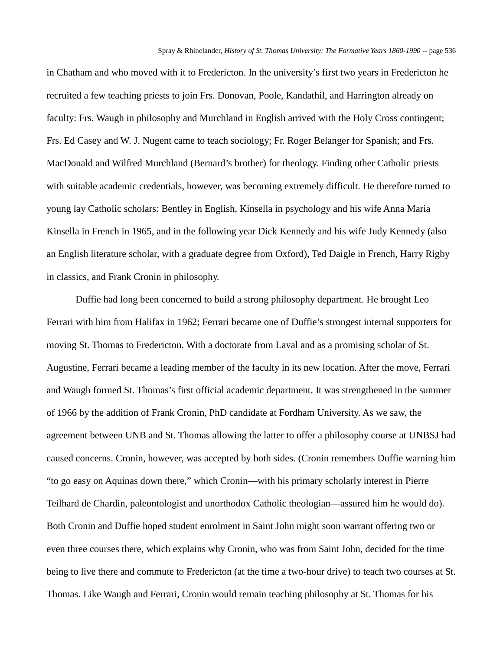in Chatham and who moved with it to Fredericton. In the university's first two years in Fredericton he recruited a few teaching priests to join Frs. Donovan, Poole, Kandathil, and Harrington already on faculty: Frs. Waugh in philosophy and Murchland in English arrived with the Holy Cross contingent; Frs. Ed Casey and W. J. Nugent came to teach sociology; Fr. Roger Belanger for Spanish; and Frs. MacDonald and Wilfred Murchland (Bernard's brother) for theology. Finding other Catholic priests with suitable academic credentials, however, was becoming extremely difficult. He therefore turned to young lay Catholic scholars: Bentley in English, Kinsella in psychology and his wife Anna Maria Kinsella in French in 1965, and in the following year Dick Kennedy and his wife Judy Kennedy (also an English literature scholar, with a graduate degree from Oxford), Ted Daigle in French, Harry Rigby in classics, and Frank Cronin in philosophy.

Duffie had long been concerned to build a strong philosophy department. He brought Leo Ferrari with him from Halifax in 1962; Ferrari became one of Duffie's strongest internal supporters for moving St. Thomas to Fredericton. With a doctorate from Laval and as a promising scholar of St. Augustine, Ferrari became a leading member of the faculty in its new location. After the move, Ferrari and Waugh formed St. Thomas's first official academic department. It was strengthened in the summer of 1966 by the addition of Frank Cronin, PhD candidate at Fordham University. As we saw, the agreement between UNB and St. Thomas allowing the latter to offer a philosophy course at UNBSJ had caused concerns. Cronin, however, was accepted by both sides. (Cronin remembers Duffie warning him "to go easy on Aquinas down there," which Cronin—with his primary scholarly interest in Pierre Teilhard de Chardin, paleontologist and unorthodox Catholic theologian—assured him he would do). Both Cronin and Duffie hoped student enrolment in Saint John might soon warrant offering two or even three courses there, which explains why Cronin, who was from Saint John, decided for the time being to live there and commute to Fredericton (at the time a two-hour drive) to teach two courses at St. Thomas. Like Waugh and Ferrari, Cronin would remain teaching philosophy at St. Thomas for his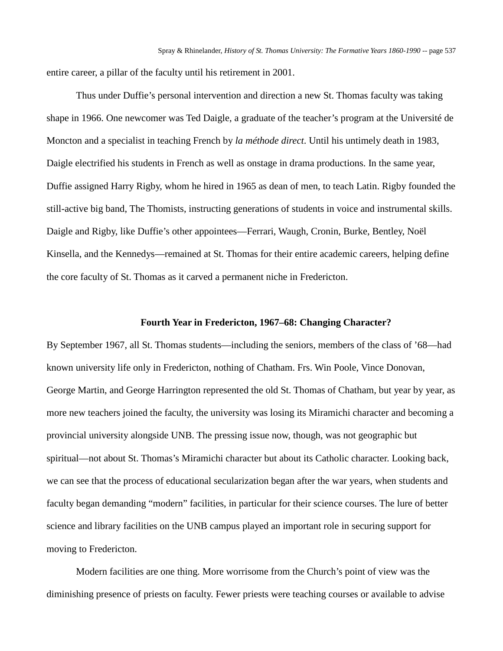entire career, a pillar of the faculty until his retirement in 2001.

Thus under Duffie's personal intervention and direction a new St. Thomas faculty was taking shape in 1966. One newcomer was Ted Daigle, a graduate of the teacher's program at the Université de Moncton and a specialist in teaching French by *la méthode direct*. Until his untimely death in 1983, Daigle electrified his students in French as well as onstage in drama productions. In the same year, Duffie assigned Harry Rigby, whom he hired in 1965 as dean of men, to teach Latin. Rigby founded the still-active big band, The Thomists, instructing generations of students in voice and instrumental skills. Daigle and Rigby, like Duffie's other appointees—Ferrari, Waugh, Cronin, Burke, Bentley, Noël Kinsella, and the Kennedys—remained at St. Thomas for their entire academic careers, helping define the core faculty of St. Thomas as it carved a permanent niche in Fredericton.

## **Fourth Year in Fredericton, 1967–68: Changing Character?**

By September 1967, all St. Thomas students—including the seniors, members of the class of '68—had known university life only in Fredericton, nothing of Chatham. Frs. Win Poole, Vince Donovan, George Martin, and George Harrington represented the old St. Thomas of Chatham, but year by year, as more new teachers joined the faculty, the university was losing its Miramichi character and becoming a provincial university alongside UNB. The pressing issue now, though, was not geographic but spiritual—not about St. Thomas's Miramichi character but about its Catholic character. Looking back, we can see that the process of educational secularization began after the war years, when students and faculty began demanding "modern" facilities, in particular for their science courses. The lure of better science and library facilities on the UNB campus played an important role in securing support for moving to Fredericton.

Modern facilities are one thing. More worrisome from the Church's point of view was the diminishing presence of priests on faculty. Fewer priests were teaching courses or available to advise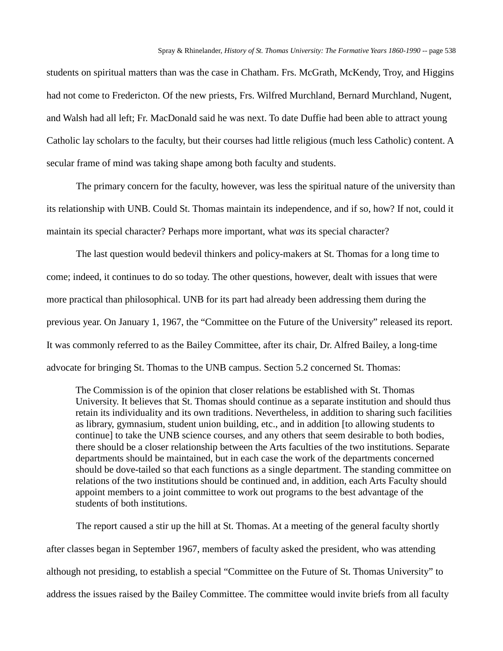students on spiritual matters than was the case in Chatham. Frs. McGrath, McKendy, Troy, and Higgins had not come to Fredericton. Of the new priests, Frs. Wilfred Murchland, Bernard Murchland, Nugent, and Walsh had all left; Fr. MacDonald said he was next. To date Duffie had been able to attract young Catholic lay scholars to the faculty, but their courses had little religious (much less Catholic) content. A secular frame of mind was taking shape among both faculty and students.

The primary concern for the faculty, however, was less the spiritual nature of the university than its relationship with UNB. Could St. Thomas maintain its independence, and if so, how? If not, could it maintain its special character? Perhaps more important, what *was* its special character?

The last question would bedevil thinkers and policy-makers at St. Thomas for a long time to come; indeed, it continues to do so today. The other questions, however, dealt with issues that were more practical than philosophical. UNB for its part had already been addressing them during the previous year. On January 1, 1967, the "Committee on the Future of the University" released its report. It was commonly referred to as the Bailey Committee, after its chair, Dr. Alfred Bailey, a long-time advocate for bringing St. Thomas to the UNB campus. Section 5.2 concerned St. Thomas:

The Commission is of the opinion that closer relations be established with St. Thomas University. It believes that St. Thomas should continue as a separate institution and should thus retain its individuality and its own traditions. Nevertheless, in addition to sharing such facilities as library, gymnasium, student union building, etc., and in addition [to allowing students to continue] to take the UNB science courses, and any others that seem desirable to both bodies, there should be a closer relationship between the Arts faculties of the two institutions. Separate departments should be maintained, but in each case the work of the departments concerned should be dove-tailed so that each functions as a single department. The standing committee on relations of the two institutions should be continued and, in addition, each Arts Faculty should appoint members to a joint committee to work out programs to the best advantage of the students of both institutions.

The report caused a stir up the hill at St. Thomas. At a meeting of the general faculty shortly after classes began in September 1967, members of faculty asked the president, who was attending although not presiding, to establish a special "Committee on the Future of St. Thomas University" to address the issues raised by the Bailey Committee. The committee would invite briefs from all faculty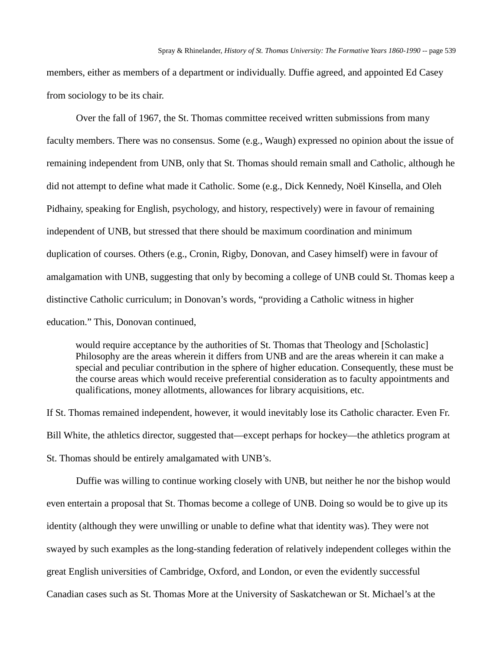members, either as members of a department or individually. Duffie agreed, and appointed Ed Casey from sociology to be its chair.

Over the fall of 1967, the St. Thomas committee received written submissions from many faculty members. There was no consensus. Some (e.g., Waugh) expressed no opinion about the issue of remaining independent from UNB, only that St. Thomas should remain small and Catholic, although he did not attempt to define what made it Catholic. Some (e.g., Dick Kennedy, Noël Kinsella, and Oleh Pidhainy, speaking for English, psychology, and history, respectively) were in favour of remaining independent of UNB, but stressed that there should be maximum coordination and minimum duplication of courses. Others (e.g., Cronin, Rigby, Donovan, and Casey himself) were in favour of amalgamation with UNB, suggesting that only by becoming a college of UNB could St. Thomas keep a distinctive Catholic curriculum; in Donovan's words, "providing a Catholic witness in higher education." This, Donovan continued,

would require acceptance by the authorities of St. Thomas that Theology and [Scholastic] Philosophy are the areas wherein it differs from UNB and are the areas wherein it can make a special and peculiar contribution in the sphere of higher education. Consequently, these must be the course areas which would receive preferential consideration as to faculty appointments and qualifications, money allotments, allowances for library acquisitions, etc.

If St. Thomas remained independent, however, it would inevitably lose its Catholic character. Even Fr. Bill White, the athletics director, suggested that—except perhaps for hockey—the athletics program at St. Thomas should be entirely amalgamated with UNB's.

Duffie was willing to continue working closely with UNB, but neither he nor the bishop would even entertain a proposal that St. Thomas become a college of UNB. Doing so would be to give up its identity (although they were unwilling or unable to define what that identity was). They were not swayed by such examples as the long-standing federation of relatively independent colleges within the great English universities of Cambridge, Oxford, and London, or even the evidently successful Canadian cases such as St. Thomas More at the University of Saskatchewan or St. Michael's at the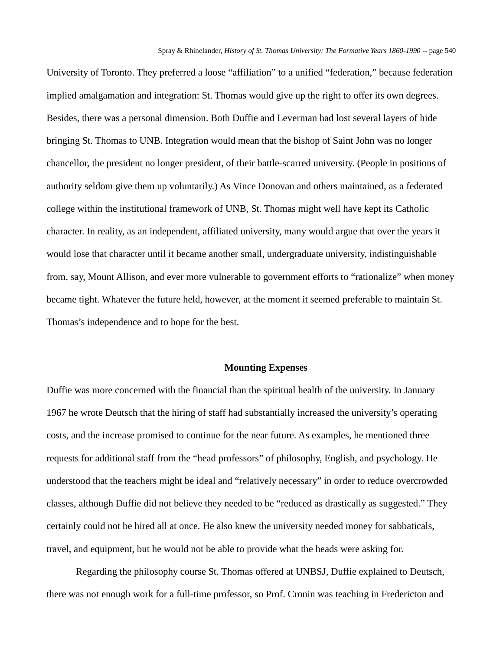University of Toronto. They preferred a loose "affiliation" to a unified "federation," because federation implied amalgamation and integration: St. Thomas would give up the right to offer its own degrees. Besides, there was a personal dimension. Both Duffie and Leverman had lost several layers of hide bringing St. Thomas to UNB. Integration would mean that the bishop of Saint John was no longer chancellor, the president no longer president, of their battle-scarred university. (People in positions of authority seldom give them up voluntarily.) As Vince Donovan and others maintained, as a federated college within the institutional framework of UNB, St. Thomas might well have kept its Catholic character. In reality, as an independent, affiliated university, many would argue that over the years it would lose that character until it became another small, undergraduate university, indistinguishable from, say, Mount Allison, and ever more vulnerable to government efforts to "rationalize" when money became tight. Whatever the future held, however, at the moment it seemed preferable to maintain St. Thomas's independence and to hope for the best.

### **Mounting Expenses**

Duffie was more concerned with the financial than the spiritual health of the university. In January 1967 he wrote Deutsch that the hiring of staff had substantially increased the university's operating costs, and the increase promised to continue for the near future. As examples, he mentioned three requests for additional staff from the "head professors" of philosophy, English, and psychology. He understood that the teachers might be ideal and "relatively necessary" in order to reduce overcrowded classes, although Duffie did not believe they needed to be "reduced as drastically as suggested." They certainly could not be hired all at once. He also knew the university needed money for sabbaticals, travel, and equipment, but he would not be able to provide what the heads were asking for.

Regarding the philosophy course St. Thomas offered at UNBSJ, Duffie explained to Deutsch, there was not enough work for a full-time professor, so Prof. Cronin was teaching in Fredericton and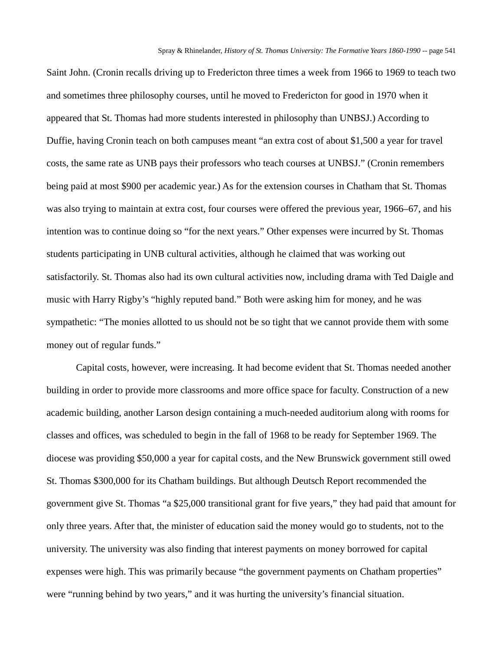Saint John. (Cronin recalls driving up to Fredericton three times a week from 1966 to 1969 to teach two and sometimes three philosophy courses, until he moved to Fredericton for good in 1970 when it appeared that St. Thomas had more students interested in philosophy than UNBSJ.) According to Duffie, having Cronin teach on both campuses meant "an extra cost of about \$1,500 a year for travel costs, the same rate as UNB pays their professors who teach courses at UNBSJ." (Cronin remembers being paid at most \$900 per academic year.) As for the extension courses in Chatham that St. Thomas was also trying to maintain at extra cost, four courses were offered the previous year, 1966–67, and his intention was to continue doing so "for the next years." Other expenses were incurred by St. Thomas students participating in UNB cultural activities, although he claimed that was working out satisfactorily. St. Thomas also had its own cultural activities now, including drama with Ted Daigle and music with Harry Rigby's "highly reputed band." Both were asking him for money, and he was sympathetic: "The monies allotted to us should not be so tight that we cannot provide them with some money out of regular funds."

Capital costs, however, were increasing. It had become evident that St. Thomas needed another building in order to provide more classrooms and more office space for faculty. Construction of a new academic building, another Larson design containing a much-needed auditorium along with rooms for classes and offices, was scheduled to begin in the fall of 1968 to be ready for September 1969. The diocese was providing \$50,000 a year for capital costs, and the New Brunswick government still owed St. Thomas \$300,000 for its Chatham buildings. But although Deutsch Report recommended the government give St. Thomas "a \$25,000 transitional grant for five years," they had paid that amount for only three years. After that, the minister of education said the money would go to students, not to the university. The university was also finding that interest payments on money borrowed for capital expenses were high. This was primarily because "the government payments on Chatham properties" were "running behind by two years," and it was hurting the university's financial situation.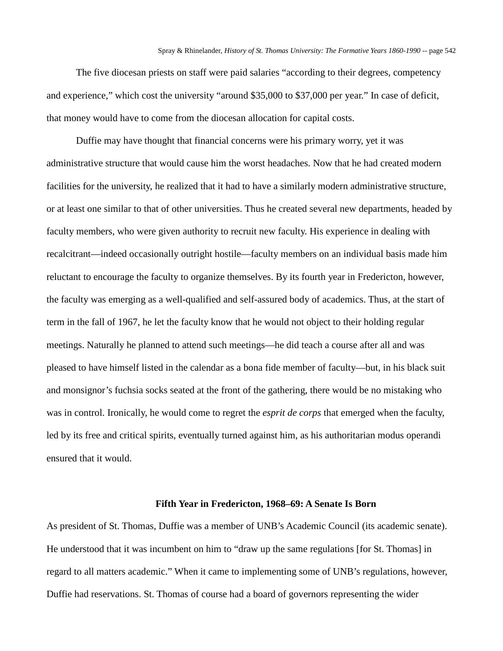The five diocesan priests on staff were paid salaries "according to their degrees, competency and experience," which cost the university "around \$35,000 to \$37,000 per year." In case of deficit, that money would have to come from the diocesan allocation for capital costs.

Duffie may have thought that financial concerns were his primary worry, yet it was administrative structure that would cause him the worst headaches. Now that he had created modern facilities for the university, he realized that it had to have a similarly modern administrative structure, or at least one similar to that of other universities. Thus he created several new departments, headed by faculty members, who were given authority to recruit new faculty. His experience in dealing with recalcitrant—indeed occasionally outright hostile—faculty members on an individual basis made him reluctant to encourage the faculty to organize themselves. By its fourth year in Fredericton, however, the faculty was emerging as a well-qualified and self-assured body of academics. Thus, at the start of term in the fall of 1967, he let the faculty know that he would not object to their holding regular meetings. Naturally he planned to attend such meetings—he did teach a course after all and was pleased to have himself listed in the calendar as a bona fide member of faculty—but, in his black suit and monsignor's fuchsia socks seated at the front of the gathering, there would be no mistaking who was in control. Ironically, he would come to regret the *esprit de corps* that emerged when the faculty, led by its free and critical spirits, eventually turned against him, as his authoritarian modus operandi ensured that it would.

# **Fifth Year in Fredericton, 1968–69: A Senate Is Born**

As president of St. Thomas, Duffie was a member of UNB's Academic Council (its academic senate). He understood that it was incumbent on him to "draw up the same regulations [for St. Thomas] in regard to all matters academic." When it came to implementing some of UNB's regulations, however, Duffie had reservations. St. Thomas of course had a board of governors representing the wider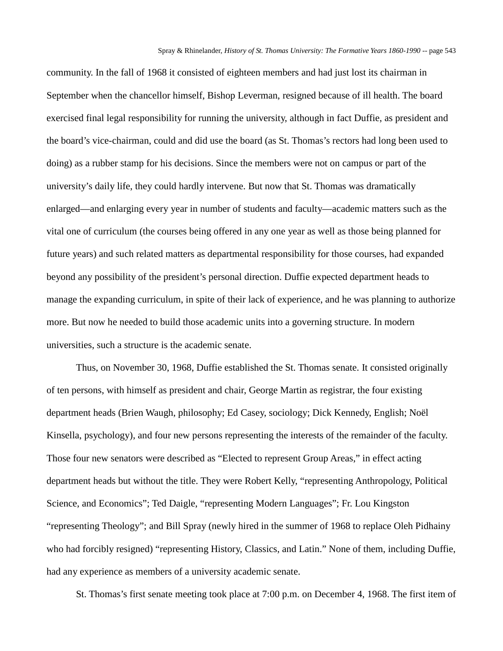community. In the fall of 1968 it consisted of eighteen members and had just lost its chairman in September when the chancellor himself, Bishop Leverman, resigned because of ill health. The board exercised final legal responsibility for running the university, although in fact Duffie, as president and the board's vice-chairman, could and did use the board (as St. Thomas's rectors had long been used to doing) as a rubber stamp for his decisions. Since the members were not on campus or part of the university's daily life, they could hardly intervene. But now that St. Thomas was dramatically enlarged—and enlarging every year in number of students and faculty—academic matters such as the vital one of curriculum (the courses being offered in any one year as well as those being planned for future years) and such related matters as departmental responsibility for those courses, had expanded beyond any possibility of the president's personal direction. Duffie expected department heads to manage the expanding curriculum, in spite of their lack of experience, and he was planning to authorize more. But now he needed to build those academic units into a governing structure. In modern universities, such a structure is the academic senate.

Thus, on November 30, 1968, Duffie established the St. Thomas senate. It consisted originally of ten persons, with himself as president and chair, George Martin as registrar, the four existing department heads (Brien Waugh, philosophy; Ed Casey, sociology; Dick Kennedy, English; Noël Kinsella, psychology), and four new persons representing the interests of the remainder of the faculty. Those four new senators were described as "Elected to represent Group Areas," in effect acting department heads but without the title. They were Robert Kelly, "representing Anthropology, Political Science, and Economics"; Ted Daigle, "representing Modern Languages"; Fr. Lou Kingston "representing Theology"; and Bill Spray (newly hired in the summer of 1968 to replace Oleh Pidhainy who had forcibly resigned) "representing History, Classics, and Latin." None of them, including Duffie, had any experience as members of a university academic senate.

St. Thomas's first senate meeting took place at 7:00 p.m. on December 4, 1968. The first item of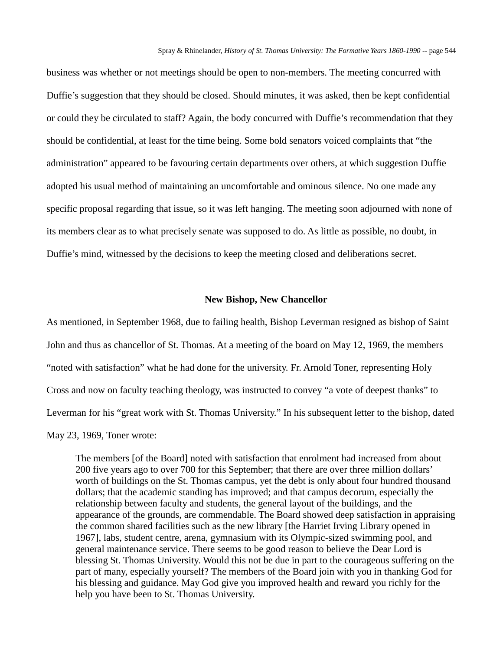business was whether or not meetings should be open to non-members. The meeting concurred with Duffie's suggestion that they should be closed. Should minutes, it was asked, then be kept confidential or could they be circulated to staff? Again, the body concurred with Duffie's recommendation that they should be confidential, at least for the time being. Some bold senators voiced complaints that "the administration" appeared to be favouring certain departments over others, at which suggestion Duffie adopted his usual method of maintaining an uncomfortable and ominous silence. No one made any specific proposal regarding that issue, so it was left hanging. The meeting soon adjourned with none of its members clear as to what precisely senate was supposed to do. As little as possible, no doubt, in Duffie's mind, witnessed by the decisions to keep the meeting closed and deliberations secret.

### **New Bishop, New Chancellor**

As mentioned, in September 1968, due to failing health, Bishop Leverman resigned as bishop of Saint John and thus as chancellor of St. Thomas. At a meeting of the board on May 12, 1969, the members "noted with satisfaction" what he had done for the university. Fr. Arnold Toner, representing Holy Cross and now on faculty teaching theology, was instructed to convey "a vote of deepest thanks" to Leverman for his "great work with St. Thomas University." In his subsequent letter to the bishop, dated May 23, 1969, Toner wrote:

The members [of the Board] noted with satisfaction that enrolment had increased from about 200 five years ago to over 700 for this September; that there are over three million dollars' worth of buildings on the St. Thomas campus, yet the debt is only about four hundred thousand dollars; that the academic standing has improved; and that campus decorum, especially the relationship between faculty and students, the general layout of the buildings, and the appearance of the grounds, are commendable. The Board showed deep satisfaction in appraising the common shared facilities such as the new library [the Harriet Irving Library opened in 1967], labs, student centre, arena, gymnasium with its Olympic-sized swimming pool, and general maintenance service. There seems to be good reason to believe the Dear Lord is blessing St. Thomas University. Would this not be due in part to the courageous suffering on the part of many, especially yourself? The members of the Board join with you in thanking God for his blessing and guidance. May God give you improved health and reward you richly for the help you have been to St. Thomas University.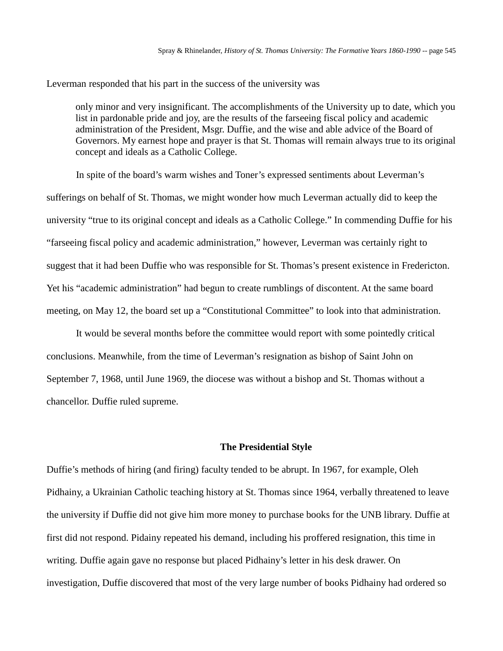Leverman responded that his part in the success of the university was

only minor and very insignificant. The accomplishments of the University up to date, which you list in pardonable pride and joy, are the results of the farseeing fiscal policy and academic administration of the President, Msgr. Duffie, and the wise and able advice of the Board of Governors. My earnest hope and prayer is that St. Thomas will remain always true to its original concept and ideals as a Catholic College.

In spite of the board's warm wishes and Toner's expressed sentiments about Leverman's sufferings on behalf of St. Thomas, we might wonder how much Leverman actually did to keep the university "true to its original concept and ideals as a Catholic College." In commending Duffie for his "farseeing fiscal policy and academic administration," however, Leverman was certainly right to suggest that it had been Duffie who was responsible for St. Thomas's present existence in Fredericton. Yet his "academic administration" had begun to create rumblings of discontent. At the same board meeting, on May 12, the board set up a "Constitutional Committee" to look into that administration.

It would be several months before the committee would report with some pointedly critical conclusions. Meanwhile, from the time of Leverman's resignation as bishop of Saint John on September 7, 1968, until June 1969, the diocese was without a bishop and St. Thomas without a chancellor. Duffie ruled supreme.

## **The Presidential Style**

Duffie's methods of hiring (and firing) faculty tended to be abrupt. In 1967, for example, Oleh Pidhainy, a Ukrainian Catholic teaching history at St. Thomas since 1964, verbally threatened to leave the university if Duffie did not give him more money to purchase books for the UNB library. Duffie at first did not respond. Pidainy repeated his demand, including his proffered resignation, this time in writing. Duffie again gave no response but placed Pidhainy's letter in his desk drawer. On investigation, Duffie discovered that most of the very large number of books Pidhainy had ordered so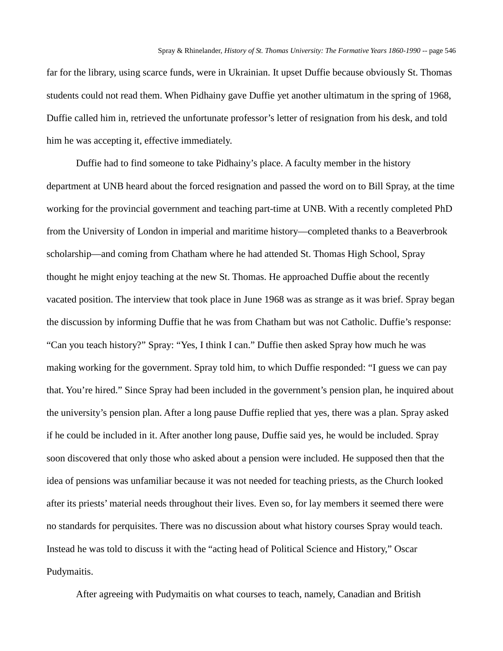far for the library, using scarce funds, were in Ukrainian. It upset Duffie because obviously St. Thomas students could not read them. When Pidhainy gave Duffie yet another ultimatum in the spring of 1968, Duffie called him in, retrieved the unfortunate professor's letter of resignation from his desk, and told him he was accepting it, effective immediately.

Duffie had to find someone to take Pidhainy's place. A faculty member in the history department at UNB heard about the forced resignation and passed the word on to Bill Spray, at the time working for the provincial government and teaching part-time at UNB. With a recently completed PhD from the University of London in imperial and maritime history—completed thanks to a Beaverbrook scholarship—and coming from Chatham where he had attended St. Thomas High School, Spray thought he might enjoy teaching at the new St. Thomas. He approached Duffie about the recently vacated position. The interview that took place in June 1968 was as strange as it was brief. Spray began the discussion by informing Duffie that he was from Chatham but was not Catholic. Duffie's response: "Can you teach history?" Spray: "Yes, I think I can." Duffie then asked Spray how much he was making working for the government. Spray told him, to which Duffie responded: "I guess we can pay that. You're hired." Since Spray had been included in the government's pension plan, he inquired about the university's pension plan. After a long pause Duffie replied that yes, there was a plan. Spray asked if he could be included in it. After another long pause, Duffie said yes, he would be included. Spray soon discovered that only those who asked about a pension were included. He supposed then that the idea of pensions was unfamiliar because it was not needed for teaching priests, as the Church looked after its priests' material needs throughout their lives. Even so, for lay members it seemed there were no standards for perquisites. There was no discussion about what history courses Spray would teach. Instead he was told to discuss it with the "acting head of Political Science and History," Oscar Pudymaitis.

After agreeing with Pudymaitis on what courses to teach, namely, Canadian and British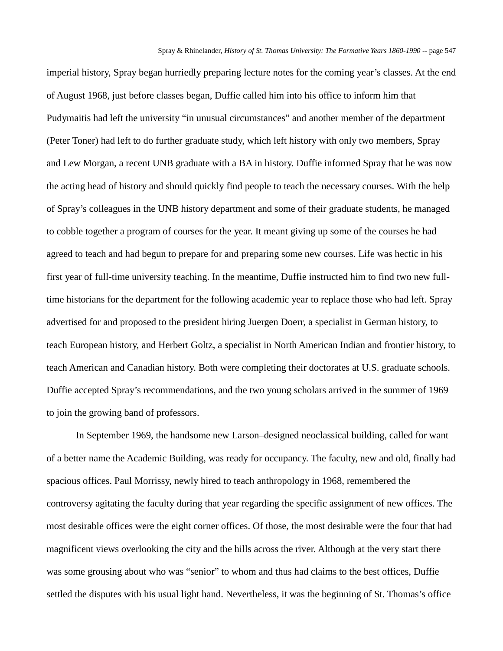imperial history, Spray began hurriedly preparing lecture notes for the coming year's classes. At the end of August 1968, just before classes began, Duffie called him into his office to inform him that Pudymaitis had left the university "in unusual circumstances" and another member of the department (Peter Toner) had left to do further graduate study, which left history with only two members, Spray and Lew Morgan, a recent UNB graduate with a BA in history. Duffie informed Spray that he was now the acting head of history and should quickly find people to teach the necessary courses. With the help of Spray's colleagues in the UNB history department and some of their graduate students, he managed to cobble together a program of courses for the year. It meant giving up some of the courses he had agreed to teach and had begun to prepare for and preparing some new courses. Life was hectic in his first year of full-time university teaching. In the meantime, Duffie instructed him to find two new fulltime historians for the department for the following academic year to replace those who had left. Spray advertised for and proposed to the president hiring Juergen Doerr, a specialist in German history, to teach European history, and Herbert Goltz, a specialist in North American Indian and frontier history, to teach American and Canadian history. Both were completing their doctorates at U.S. graduate schools. Duffie accepted Spray's recommendations, and the two young scholars arrived in the summer of 1969 to join the growing band of professors.

In September 1969, the handsome new Larson–designed neoclassical building, called for want of a better name the Academic Building, was ready for occupancy. The faculty, new and old, finally had spacious offices. Paul Morrissy, newly hired to teach anthropology in 1968, remembered the controversy agitating the faculty during that year regarding the specific assignment of new offices. The most desirable offices were the eight corner offices. Of those, the most desirable were the four that had magnificent views overlooking the city and the hills across the river. Although at the very start there was some grousing about who was "senior" to whom and thus had claims to the best offices, Duffie settled the disputes with his usual light hand. Nevertheless, it was the beginning of St. Thomas's office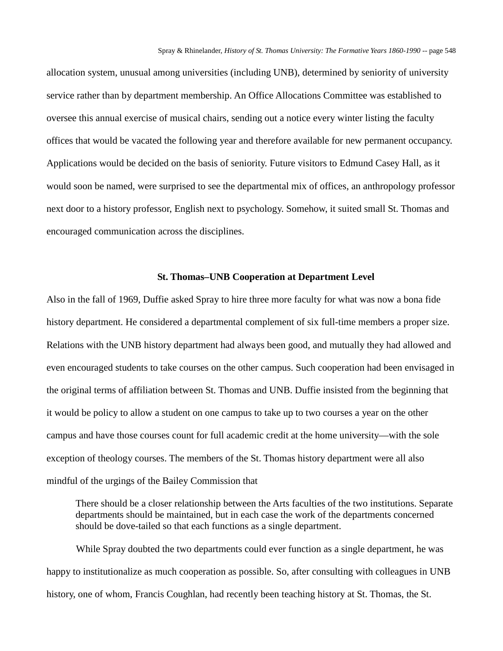allocation system, unusual among universities (including UNB), determined by seniority of university service rather than by department membership. An Office Allocations Committee was established to oversee this annual exercise of musical chairs, sending out a notice every winter listing the faculty offices that would be vacated the following year and therefore available for new permanent occupancy. Applications would be decided on the basis of seniority. Future visitors to Edmund Casey Hall, as it would soon be named, were surprised to see the departmental mix of offices, an anthropology professor next door to a history professor, English next to psychology. Somehow, it suited small St. Thomas and encouraged communication across the disciplines.

### **St. Thomas–UNB Cooperation at Department Level**

Also in the fall of 1969, Duffie asked Spray to hire three more faculty for what was now a bona fide history department. He considered a departmental complement of six full-time members a proper size. Relations with the UNB history department had always been good, and mutually they had allowed and even encouraged students to take courses on the other campus. Such cooperation had been envisaged in the original terms of affiliation between St. Thomas and UNB. Duffie insisted from the beginning that it would be policy to allow a student on one campus to take up to two courses a year on the other campus and have those courses count for full academic credit at the home university—with the sole exception of theology courses. The members of the St. Thomas history department were all also mindful of the urgings of the Bailey Commission that

There should be a closer relationship between the Arts faculties of the two institutions. Separate departments should be maintained, but in each case the work of the departments concerned should be dove-tailed so that each functions as a single department.

While Spray doubted the two departments could ever function as a single department, he was happy to institutionalize as much cooperation as possible. So, after consulting with colleagues in UNB history, one of whom, Francis Coughlan, had recently been teaching history at St. Thomas, the St.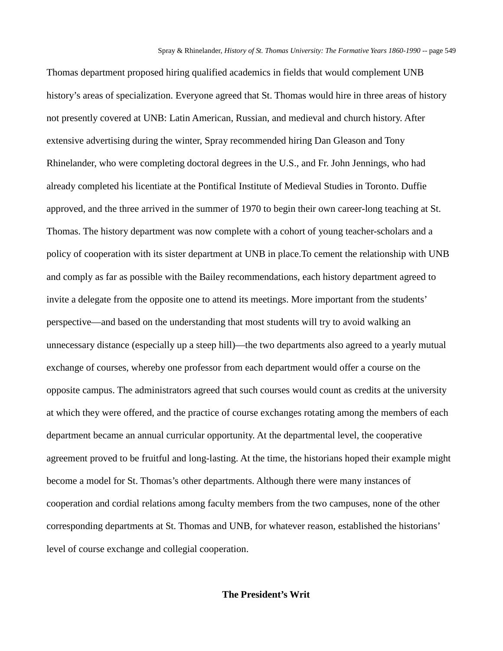Thomas department proposed hiring qualified academics in fields that would complement UNB history's areas of specialization. Everyone agreed that St. Thomas would hire in three areas of history not presently covered at UNB: Latin American, Russian, and medieval and church history. After extensive advertising during the winter, Spray recommended hiring Dan Gleason and Tony Rhinelander, who were completing doctoral degrees in the U.S., and Fr. John Jennings, who had already completed his licentiate at the Pontifical Institute of Medieval Studies in Toronto. Duffie approved, and the three arrived in the summer of 1970 to begin their own career-long teaching at St. Thomas. The history department was now complete with a cohort of young teacher-scholars and a policy of cooperation with its sister department at UNB in place.To cement the relationship with UNB and comply as far as possible with the Bailey recommendations, each history department agreed to invite a delegate from the opposite one to attend its meetings. More important from the students' perspective—and based on the understanding that most students will try to avoid walking an unnecessary distance (especially up a steep hill)—the two departments also agreed to a yearly mutual exchange of courses, whereby one professor from each department would offer a course on the opposite campus. The administrators agreed that such courses would count as credits at the university at which they were offered, and the practice of course exchanges rotating among the members of each department became an annual curricular opportunity. At the departmental level, the cooperative agreement proved to be fruitful and long-lasting. At the time, the historians hoped their example might become a model for St. Thomas's other departments. Although there were many instances of cooperation and cordial relations among faculty members from the two campuses, none of the other corresponding departments at St. Thomas and UNB, for whatever reason, established the historians' level of course exchange and collegial cooperation.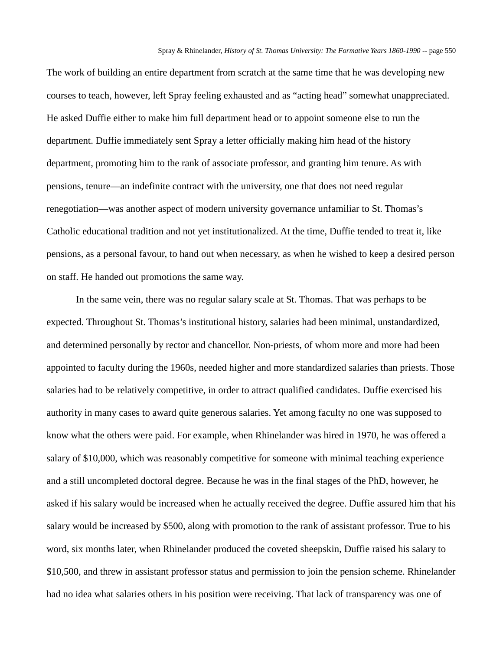The work of building an entire department from scratch at the same time that he was developing new courses to teach, however, left Spray feeling exhausted and as "acting head" somewhat unappreciated. He asked Duffie either to make him full department head or to appoint someone else to run the department. Duffie immediately sent Spray a letter officially making him head of the history department, promoting him to the rank of associate professor, and granting him tenure. As with pensions, tenure—an indefinite contract with the university, one that does not need regular renegotiation—was another aspect of modern university governance unfamiliar to St. Thomas's Catholic educational tradition and not yet institutionalized. At the time, Duffie tended to treat it, like pensions, as a personal favour, to hand out when necessary, as when he wished to keep a desired person on staff. He handed out promotions the same way.

In the same vein, there was no regular salary scale at St. Thomas. That was perhaps to be expected. Throughout St. Thomas's institutional history, salaries had been minimal, unstandardized, and determined personally by rector and chancellor. Non-priests, of whom more and more had been appointed to faculty during the 1960s, needed higher and more standardized salaries than priests. Those salaries had to be relatively competitive, in order to attract qualified candidates. Duffie exercised his authority in many cases to award quite generous salaries. Yet among faculty no one was supposed to know what the others were paid. For example, when Rhinelander was hired in 1970, he was offered a salary of \$10,000, which was reasonably competitive for someone with minimal teaching experience and a still uncompleted doctoral degree. Because he was in the final stages of the PhD, however, he asked if his salary would be increased when he actually received the degree. Duffie assured him that his salary would be increased by \$500, along with promotion to the rank of assistant professor. True to his word, six months later, when Rhinelander produced the coveted sheepskin, Duffie raised his salary to \$10,500, and threw in assistant professor status and permission to join the pension scheme. Rhinelander had no idea what salaries others in his position were receiving. That lack of transparency was one of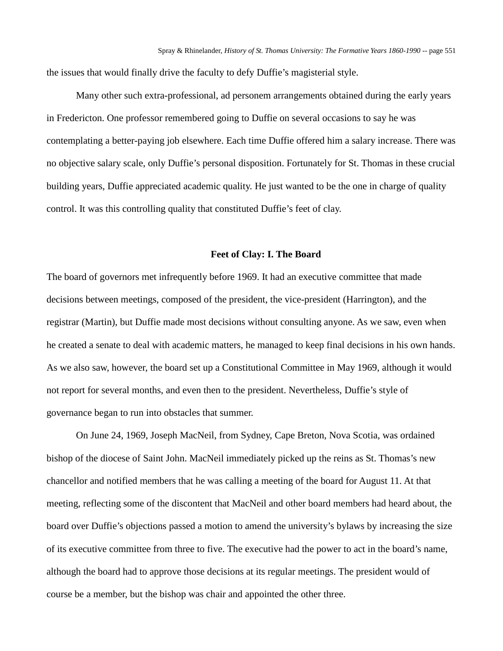the issues that would finally drive the faculty to defy Duffie's magisterial style.

Many other such extra-professional, ad personem arrangements obtained during the early years in Fredericton. One professor remembered going to Duffie on several occasions to say he was contemplating a better-paying job elsewhere. Each time Duffie offered him a salary increase. There was no objective salary scale, only Duffie's personal disposition. Fortunately for St. Thomas in these crucial building years, Duffie appreciated academic quality. He just wanted to be the one in charge of quality control. It was this controlling quality that constituted Duffie's feet of clay.

#### **Feet of Clay: I. The Board**

The board of governors met infrequently before 1969. It had an executive committee that made decisions between meetings, composed of the president, the vice-president (Harrington), and the registrar (Martin), but Duffie made most decisions without consulting anyone. As we saw, even when he created a senate to deal with academic matters, he managed to keep final decisions in his own hands. As we also saw, however, the board set up a Constitutional Committee in May 1969, although it would not report for several months, and even then to the president. Nevertheless, Duffie's style of governance began to run into obstacles that summer.

On June 24, 1969, Joseph MacNeil, from Sydney, Cape Breton, Nova Scotia, was ordained bishop of the diocese of Saint John. MacNeil immediately picked up the reins as St. Thomas's new chancellor and notified members that he was calling a meeting of the board for August 11. At that meeting, reflecting some of the discontent that MacNeil and other board members had heard about, the board over Duffie's objections passed a motion to amend the university's bylaws by increasing the size of its executive committee from three to five. The executive had the power to act in the board's name, although the board had to approve those decisions at its regular meetings. The president would of course be a member, but the bishop was chair and appointed the other three.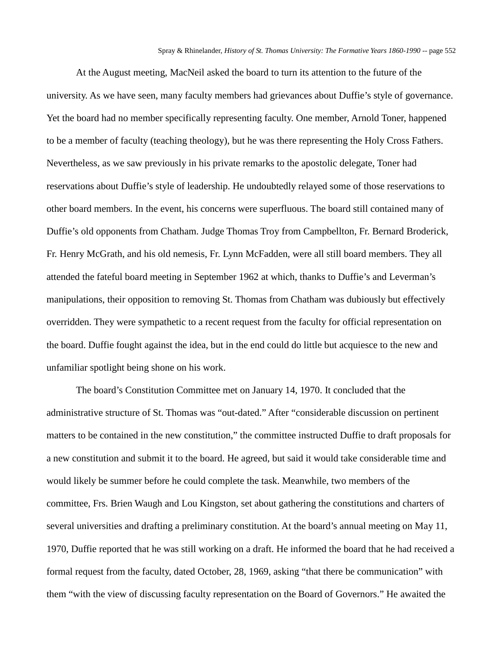At the August meeting, MacNeil asked the board to turn its attention to the future of the university. As we have seen, many faculty members had grievances about Duffie's style of governance. Yet the board had no member specifically representing faculty. One member, Arnold Toner, happened to be a member of faculty (teaching theology), but he was there representing the Holy Cross Fathers. Nevertheless, as we saw previously in his private remarks to the apostolic delegate, Toner had reservations about Duffie's style of leadership. He undoubtedly relayed some of those reservations to other board members. In the event, his concerns were superfluous. The board still contained many of Duffie's old opponents from Chatham. Judge Thomas Troy from Campbellton, Fr. Bernard Broderick, Fr. Henry McGrath, and his old nemesis, Fr. Lynn McFadden, were all still board members. They all attended the fateful board meeting in September 1962 at which, thanks to Duffie's and Leverman's manipulations, their opposition to removing St. Thomas from Chatham was dubiously but effectively overridden. They were sympathetic to a recent request from the faculty for official representation on the board. Duffie fought against the idea, but in the end could do little but acquiesce to the new and unfamiliar spotlight being shone on his work.

The board's Constitution Committee met on January 14, 1970. It concluded that the administrative structure of St. Thomas was "out-dated." After "considerable discussion on pertinent matters to be contained in the new constitution," the committee instructed Duffie to draft proposals for a new constitution and submit it to the board. He agreed, but said it would take considerable time and would likely be summer before he could complete the task. Meanwhile, two members of the committee, Frs. Brien Waugh and Lou Kingston, set about gathering the constitutions and charters of several universities and drafting a preliminary constitution. At the board's annual meeting on May 11, 1970, Duffie reported that he was still working on a draft. He informed the board that he had received a formal request from the faculty, dated October, 28, 1969, asking "that there be communication" with them "with the view of discussing faculty representation on the Board of Governors." He awaited the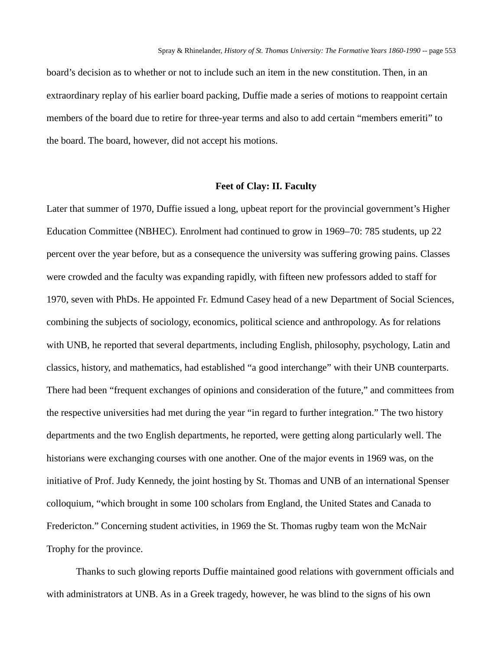board's decision as to whether or not to include such an item in the new constitution. Then, in an extraordinary replay of his earlier board packing, Duffie made a series of motions to reappoint certain members of the board due to retire for three-year terms and also to add certain "members emeriti" to the board. The board, however, did not accept his motions.

#### **Feet of Clay: II. Faculty**

Later that summer of 1970, Duffie issued a long, upbeat report for the provincial government's Higher Education Committee (NBHEC). Enrolment had continued to grow in 1969–70: 785 students, up 22 percent over the year before, but as a consequence the university was suffering growing pains. Classes were crowded and the faculty was expanding rapidly, with fifteen new professors added to staff for 1970, seven with PhDs. He appointed Fr. Edmund Casey head of a new Department of Social Sciences, combining the subjects of sociology, economics, political science and anthropology. As for relations with UNB, he reported that several departments, including English, philosophy, psychology, Latin and classics, history, and mathematics, had established "a good interchange" with their UNB counterparts. There had been "frequent exchanges of opinions and consideration of the future," and committees from the respective universities had met during the year "in regard to further integration." The two history departments and the two English departments, he reported, were getting along particularly well. The historians were exchanging courses with one another. One of the major events in 1969 was, on the initiative of Prof. Judy Kennedy, the joint hosting by St. Thomas and UNB of an international Spenser colloquium, "which brought in some 100 scholars from England, the United States and Canada to Fredericton." Concerning student activities, in 1969 the St. Thomas rugby team won the McNair Trophy for the province.

Thanks to such glowing reports Duffie maintained good relations with government officials and with administrators at UNB. As in a Greek tragedy, however, he was blind to the signs of his own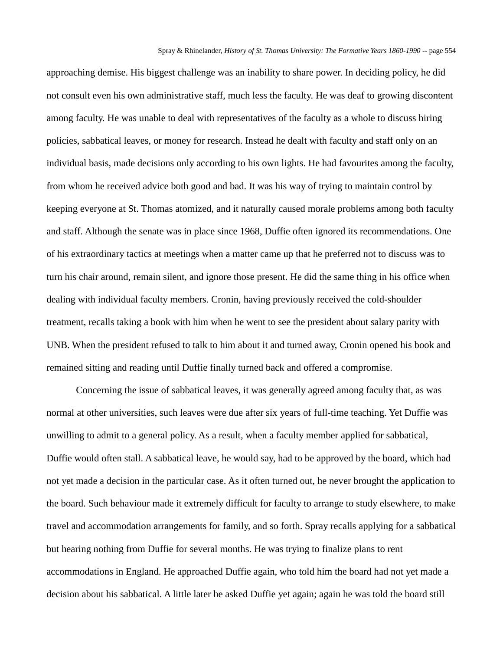approaching demise. His biggest challenge was an inability to share power. In deciding policy, he did not consult even his own administrative staff, much less the faculty. He was deaf to growing discontent among faculty. He was unable to deal with representatives of the faculty as a whole to discuss hiring policies, sabbatical leaves, or money for research. Instead he dealt with faculty and staff only on an individual basis, made decisions only according to his own lights. He had favourites among the faculty, from whom he received advice both good and bad. It was his way of trying to maintain control by keeping everyone at St. Thomas atomized, and it naturally caused morale problems among both faculty and staff. Although the senate was in place since 1968, Duffie often ignored its recommendations. One of his extraordinary tactics at meetings when a matter came up that he preferred not to discuss was to turn his chair around, remain silent, and ignore those present. He did the same thing in his office when dealing with individual faculty members. Cronin, having previously received the cold-shoulder treatment, recalls taking a book with him when he went to see the president about salary parity with UNB. When the president refused to talk to him about it and turned away, Cronin opened his book and remained sitting and reading until Duffie finally turned back and offered a compromise.

Concerning the issue of sabbatical leaves, it was generally agreed among faculty that, as was normal at other universities, such leaves were due after six years of full-time teaching. Yet Duffie was unwilling to admit to a general policy. As a result, when a faculty member applied for sabbatical, Duffie would often stall. A sabbatical leave, he would say, had to be approved by the board, which had not yet made a decision in the particular case. As it often turned out, he never brought the application to the board. Such behaviour made it extremely difficult for faculty to arrange to study elsewhere, to make travel and accommodation arrangements for family, and so forth. Spray recalls applying for a sabbatical but hearing nothing from Duffie for several months. He was trying to finalize plans to rent accommodations in England. He approached Duffie again, who told him the board had not yet made a decision about his sabbatical. A little later he asked Duffie yet again; again he was told the board still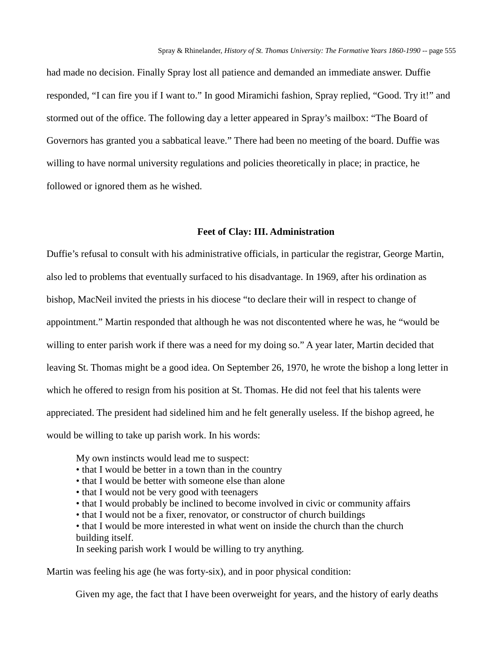had made no decision. Finally Spray lost all patience and demanded an immediate answer. Duffie responded, "I can fire you if I want to." In good Miramichi fashion, Spray replied, "Good. Try it!" and stormed out of the office. The following day a letter appeared in Spray's mailbox: "The Board of Governors has granted you a sabbatical leave." There had been no meeting of the board. Duffie was willing to have normal university regulations and policies theoretically in place; in practice, he followed or ignored them as he wished.

## **Feet of Clay: III. Administration**

Duffie's refusal to consult with his administrative officials, in particular the registrar, George Martin, also led to problems that eventually surfaced to his disadvantage. In 1969, after his ordination as bishop, MacNeil invited the priests in his diocese "to declare their will in respect to change of appointment." Martin responded that although he was not discontented where he was, he "would be willing to enter parish work if there was a need for my doing so." A year later, Martin decided that leaving St. Thomas might be a good idea. On September 26, 1970, he wrote the bishop a long letter in which he offered to resign from his position at St. Thomas. He did not feel that his talents were appreciated. The president had sidelined him and he felt generally useless. If the bishop agreed, he would be willing to take up parish work. In his words:

My own instincts would lead me to suspect:

- that I would be better in a town than in the country
- that I would be better with someone else than alone
- that I would not be very good with teenagers
- that I would probably be inclined to become involved in civic or community affairs
- that I would not be a fixer, renovator, or constructor of church buildings
- that I would be more interested in what went on inside the church than the church building itself.

In seeking parish work I would be willing to try anything.

Martin was feeling his age (he was forty-six), and in poor physical condition:

Given my age, the fact that I have been overweight for years, and the history of early deaths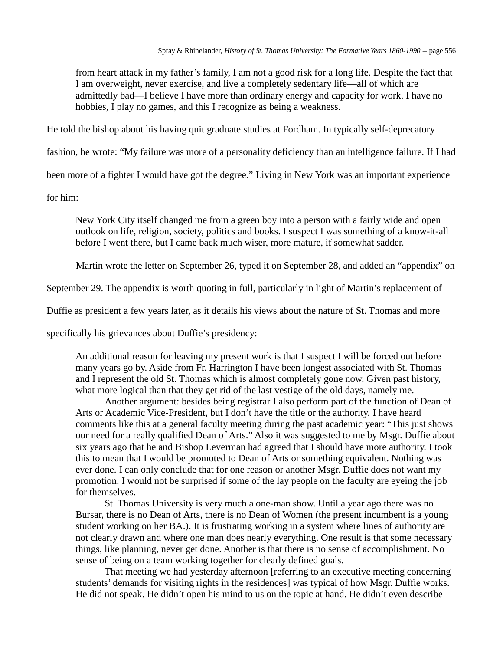from heart attack in my father's family, I am not a good risk for a long life. Despite the fact that I am overweight, never exercise, and live a completely sedentary life—all of which are admittedly bad—I believe I have more than ordinary energy and capacity for work. I have no hobbies, I play no games, and this I recognize as being a weakness.

He told the bishop about his having quit graduate studies at Fordham. In typically self-deprecatory

fashion, he wrote: "My failure was more of a personality deficiency than an intelligence failure. If I had

been more of a fighter I would have got the degree." Living in New York was an important experience

for him:

New York City itself changed me from a green boy into a person with a fairly wide and open outlook on life, religion, society, politics and books. I suspect I was something of a know-it-all before I went there, but I came back much wiser, more mature, if somewhat sadder.

Martin wrote the letter on September 26, typed it on September 28, and added an "appendix" on

September 29. The appendix is worth quoting in full, particularly in light of Martin's replacement of

Duffie as president a few years later, as it details his views about the nature of St. Thomas and more

specifically his grievances about Duffie's presidency:

An additional reason for leaving my present work is that I suspect I will be forced out before many years go by. Aside from Fr. Harrington I have been longest associated with St. Thomas and I represent the old St. Thomas which is almost completely gone now. Given past history, what more logical than that they get rid of the last vestige of the old days, namely me.

Another argument: besides being registrar I also perform part of the function of Dean of Arts or Academic Vice-President, but I don't have the title or the authority. I have heard comments like this at a general faculty meeting during the past academic year: "This just shows our need for a really qualified Dean of Arts." Also it was suggested to me by Msgr. Duffie about six years ago that he and Bishop Leverman had agreed that I should have more authority. I took this to mean that I would be promoted to Dean of Arts or something equivalent. Nothing was ever done. I can only conclude that for one reason or another Msgr. Duffie does not want my promotion. I would not be surprised if some of the lay people on the faculty are eyeing the job for themselves.

St. Thomas University is very much a one-man show. Until a year ago there was no Bursar, there is no Dean of Arts, there is no Dean of Women (the present incumbent is a young student working on her BA.). It is frustrating working in a system where lines of authority are not clearly drawn and where one man does nearly everything. One result is that some necessary things, like planning, never get done. Another is that there is no sense of accomplishment. No sense of being on a team working together for clearly defined goals.

That meeting we had yesterday afternoon [referring to an executive meeting concerning students' demands for visiting rights in the residences] was typical of how Msgr. Duffie works. He did not speak. He didn't open his mind to us on the topic at hand. He didn't even describe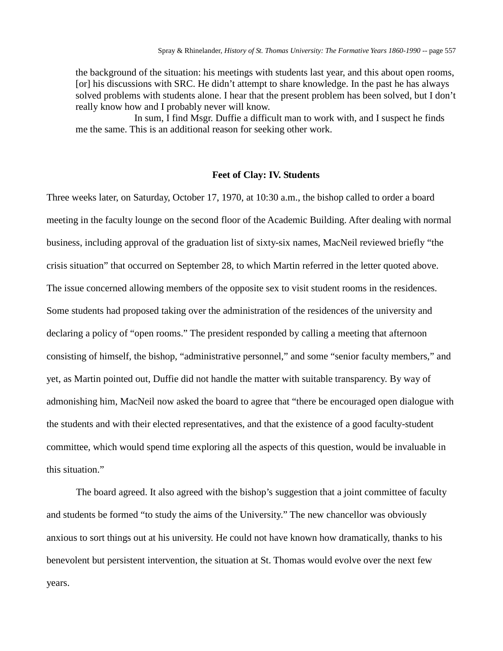the background of the situation: his meetings with students last year, and this about open rooms, [or] his discussions with SRC. He didn't attempt to share knowledge. In the past he has always solved problems with students alone. I hear that the present problem has been solved, but I don't really know how and I probably never will know.

In sum, I find Msgr. Duffie a difficult man to work with, and I suspect he finds me the same. This is an additional reason for seeking other work.

### **Feet of Clay: IV. Students**

Three weeks later, on Saturday, October 17, 1970, at 10:30 a.m., the bishop called to order a board meeting in the faculty lounge on the second floor of the Academic Building. After dealing with normal business, including approval of the graduation list of sixty-six names, MacNeil reviewed briefly "the crisis situation" that occurred on September 28, to which Martin referred in the letter quoted above. The issue concerned allowing members of the opposite sex to visit student rooms in the residences. Some students had proposed taking over the administration of the residences of the university and declaring a policy of "open rooms." The president responded by calling a meeting that afternoon consisting of himself, the bishop, "administrative personnel," and some "senior faculty members," and yet, as Martin pointed out, Duffie did not handle the matter with suitable transparency. By way of admonishing him, MacNeil now asked the board to agree that "there be encouraged open dialogue with the students and with their elected representatives, and that the existence of a good faculty-student committee, which would spend time exploring all the aspects of this question, would be invaluable in this situation."

The board agreed. It also agreed with the bishop's suggestion that a joint committee of faculty and students be formed "to study the aims of the University." The new chancellor was obviously anxious to sort things out at his university. He could not have known how dramatically, thanks to his benevolent but persistent intervention, the situation at St. Thomas would evolve over the next few years.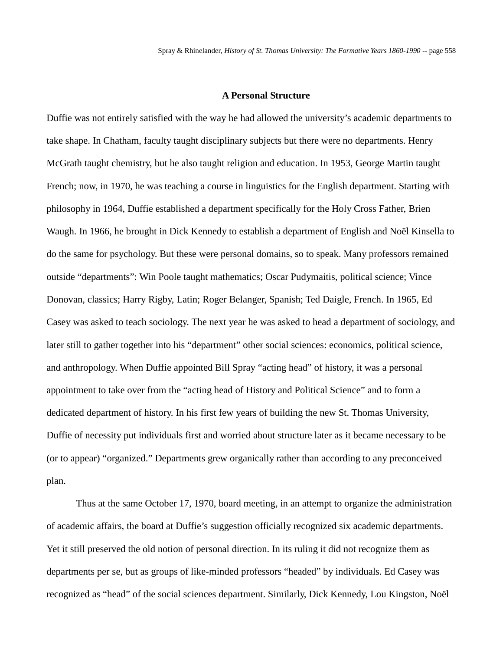#### **A Personal Structure**

Duffie was not entirely satisfied with the way he had allowed the university's academic departments to take shape. In Chatham, faculty taught disciplinary subjects but there were no departments. Henry McGrath taught chemistry, but he also taught religion and education. In 1953, George Martin taught French; now, in 1970, he was teaching a course in linguistics for the English department. Starting with philosophy in 1964, Duffie established a department specifically for the Holy Cross Father, Brien Waugh. In 1966, he brought in Dick Kennedy to establish a department of English and Noël Kinsella to do the same for psychology. But these were personal domains, so to speak. Many professors remained outside "departments": Win Poole taught mathematics; Oscar Pudymaitis, political science; Vince Donovan, classics; Harry Rigby, Latin; Roger Belanger, Spanish; Ted Daigle, French. In 1965, Ed Casey was asked to teach sociology. The next year he was asked to head a department of sociology, and later still to gather together into his "department" other social sciences: economics, political science, and anthropology. When Duffie appointed Bill Spray "acting head" of history, it was a personal appointment to take over from the "acting head of History and Political Science" and to form a dedicated department of history. In his first few years of building the new St. Thomas University, Duffie of necessity put individuals first and worried about structure later as it became necessary to be (or to appear) "organized." Departments grew organically rather than according to any preconceived plan.

Thus at the same October 17, 1970, board meeting, in an attempt to organize the administration of academic affairs, the board at Duffie's suggestion officially recognized six academic departments. Yet it still preserved the old notion of personal direction. In its ruling it did not recognize them as departments per se, but as groups of like-minded professors "headed" by individuals. Ed Casey was recognized as "head" of the social sciences department. Similarly, Dick Kennedy, Lou Kingston, Noël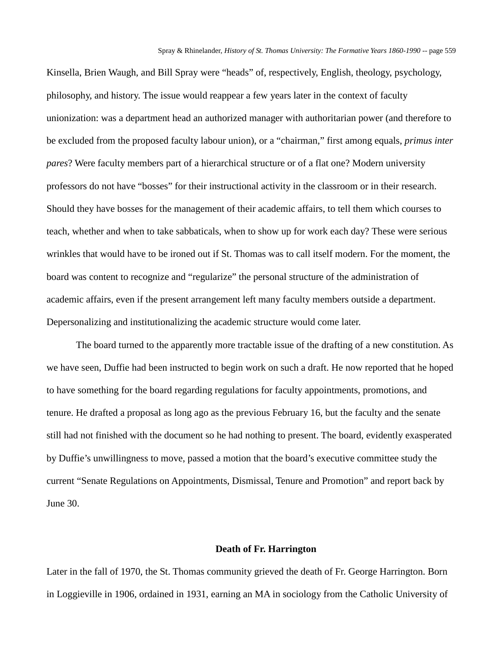Kinsella, Brien Waugh, and Bill Spray were "heads" of, respectively, English, theology, psychology, philosophy, and history. The issue would reappear a few years later in the context of faculty unionization: was a department head an authorized manager with authoritarian power (and therefore to be excluded from the proposed faculty labour union), or a "chairman," first among equals, *primus inter pares*? Were faculty members part of a hierarchical structure or of a flat one? Modern university professors do not have "bosses" for their instructional activity in the classroom or in their research. Should they have bosses for the management of their academic affairs, to tell them which courses to teach, whether and when to take sabbaticals, when to show up for work each day? These were serious wrinkles that would have to be ironed out if St. Thomas was to call itself modern. For the moment, the board was content to recognize and "regularize" the personal structure of the administration of academic affairs, even if the present arrangement left many faculty members outside a department. Depersonalizing and institutionalizing the academic structure would come later.

The board turned to the apparently more tractable issue of the drafting of a new constitution. As we have seen, Duffie had been instructed to begin work on such a draft. He now reported that he hoped to have something for the board regarding regulations for faculty appointments, promotions, and tenure. He drafted a proposal as long ago as the previous February 16, but the faculty and the senate still had not finished with the document so he had nothing to present. The board, evidently exasperated by Duffie's unwillingness to move, passed a motion that the board's executive committee study the current "Senate Regulations on Appointments, Dismissal, Tenure and Promotion" and report back by June 30.

# **Death of Fr. Harrington**

Later in the fall of 1970, the St. Thomas community grieved the death of Fr. George Harrington. Born in Loggieville in 1906, ordained in 1931, earning an MA in sociology from the Catholic University of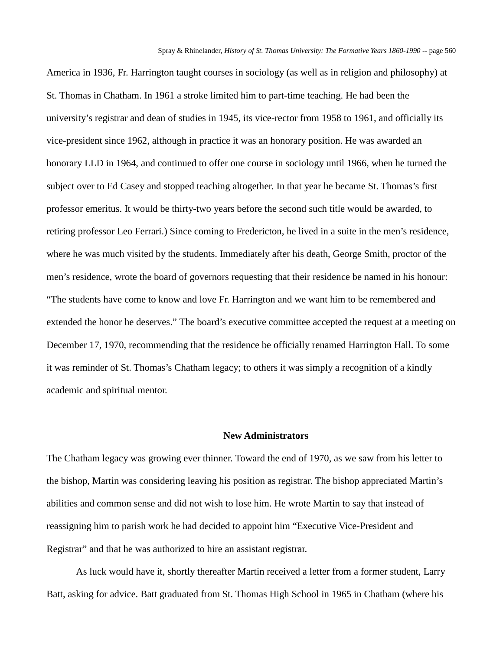America in 1936, Fr. Harrington taught courses in sociology (as well as in religion and philosophy) at St. Thomas in Chatham. In 1961 a stroke limited him to part-time teaching. He had been the university's registrar and dean of studies in 1945, its vice-rector from 1958 to 1961, and officially its vice-president since 1962, although in practice it was an honorary position. He was awarded an honorary LLD in 1964, and continued to offer one course in sociology until 1966, when he turned the subject over to Ed Casey and stopped teaching altogether. In that year he became St. Thomas's first professor emeritus. It would be thirty-two years before the second such title would be awarded, to retiring professor Leo Ferrari.) Since coming to Fredericton, he lived in a suite in the men's residence, where he was much visited by the students. Immediately after his death, George Smith, proctor of the men's residence, wrote the board of governors requesting that their residence be named in his honour: "The students have come to know and love Fr. Harrington and we want him to be remembered and extended the honor he deserves." The board's executive committee accepted the request at a meeting on December 17, 1970, recommending that the residence be officially renamed Harrington Hall. To some it was reminder of St. Thomas's Chatham legacy; to others it was simply a recognition of a kindly academic and spiritual mentor.

## **New Administrators**

The Chatham legacy was growing ever thinner. Toward the end of 1970, as we saw from his letter to the bishop, Martin was considering leaving his position as registrar. The bishop appreciated Martin's abilities and common sense and did not wish to lose him. He wrote Martin to say that instead of reassigning him to parish work he had decided to appoint him "Executive Vice-President and Registrar" and that he was authorized to hire an assistant registrar.

As luck would have it, shortly thereafter Martin received a letter from a former student, Larry Batt, asking for advice. Batt graduated from St. Thomas High School in 1965 in Chatham (where his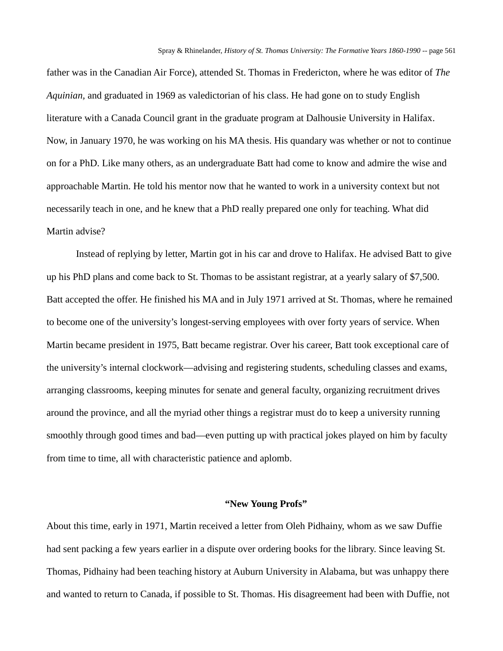father was in the Canadian Air Force), attended St. Thomas in Fredericton, where he was editor of *The Aquinian,* and graduated in 1969 as valedictorian of his class. He had gone on to study English literature with a Canada Council grant in the graduate program at Dalhousie University in Halifax. Now, in January 1970, he was working on his MA thesis. His quandary was whether or not to continue on for a PhD. Like many others, as an undergraduate Batt had come to know and admire the wise and approachable Martin. He told his mentor now that he wanted to work in a university context but not necessarily teach in one, and he knew that a PhD really prepared one only for teaching. What did Martin advise?

Instead of replying by letter, Martin got in his car and drove to Halifax. He advised Batt to give up his PhD plans and come back to St. Thomas to be assistant registrar, at a yearly salary of \$7,500. Batt accepted the offer. He finished his MA and in July 1971 arrived at St. Thomas, where he remained to become one of the university's longest-serving employees with over forty years of service. When Martin became president in 1975, Batt became registrar. Over his career, Batt took exceptional care of the university's internal clockwork—advising and registering students, scheduling classes and exams, arranging classrooms, keeping minutes for senate and general faculty, organizing recruitment drives around the province, and all the myriad other things a registrar must do to keep a university running smoothly through good times and bad—even putting up with practical jokes played on him by faculty from time to time, all with characteristic patience and aplomb.

#### **"New Young Profs"**

About this time, early in 1971, Martin received a letter from Oleh Pidhainy, whom as we saw Duffie had sent packing a few years earlier in a dispute over ordering books for the library. Since leaving St. Thomas, Pidhainy had been teaching history at Auburn University in Alabama, but was unhappy there and wanted to return to Canada, if possible to St. Thomas. His disagreement had been with Duffie, not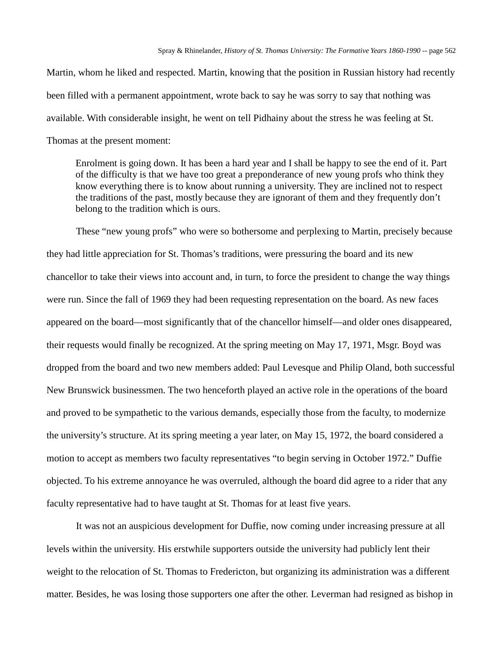Martin, whom he liked and respected. Martin, knowing that the position in Russian history had recently been filled with a permanent appointment, wrote back to say he was sorry to say that nothing was available. With considerable insight, he went on tell Pidhainy about the stress he was feeling at St. Thomas at the present moment:

Enrolment is going down. It has been a hard year and I shall be happy to see the end of it. Part of the difficulty is that we have too great a preponderance of new young profs who think they know everything there is to know about running a university. They are inclined not to respect the traditions of the past, mostly because they are ignorant of them and they frequently don't belong to the tradition which is ours.

These "new young profs" who were so bothersome and perplexing to Martin, precisely because they had little appreciation for St. Thomas's traditions, were pressuring the board and its new chancellor to take their views into account and, in turn, to force the president to change the way things were run. Since the fall of 1969 they had been requesting representation on the board. As new faces appeared on the board—most significantly that of the chancellor himself—and older ones disappeared, their requests would finally be recognized. At the spring meeting on May 17, 1971, Msgr. Boyd was dropped from the board and two new members added: Paul Levesque and Philip Oland, both successful New Brunswick businessmen. The two henceforth played an active role in the operations of the board and proved to be sympathetic to the various demands, especially those from the faculty, to modernize the university's structure. At its spring meeting a year later, on May 15, 1972, the board considered a motion to accept as members two faculty representatives "to begin serving in October 1972." Duffie objected. To his extreme annoyance he was overruled, although the board did agree to a rider that any faculty representative had to have taught at St. Thomas for at least five years.

It was not an auspicious development for Duffie, now coming under increasing pressure at all levels within the university. His erstwhile supporters outside the university had publicly lent their weight to the relocation of St. Thomas to Fredericton, but organizing its administration was a different matter. Besides, he was losing those supporters one after the other. Leverman had resigned as bishop in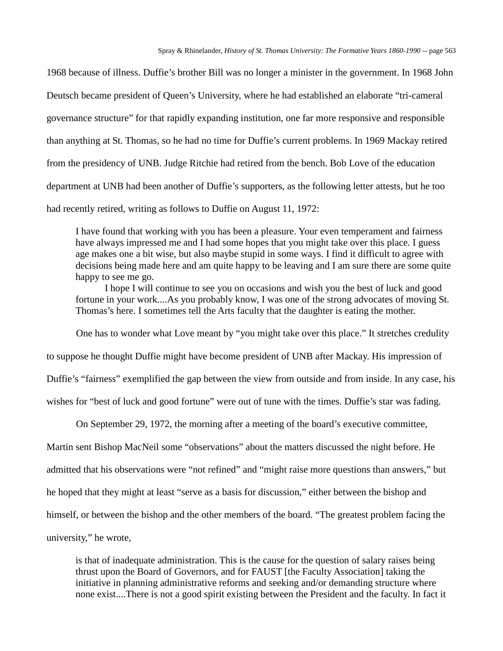1968 because of illness. Duffie's brother Bill was no longer a minister in the government. In 1968 John Deutsch became president of Queen's University, where he had established an elaborate "tri-cameral governance structure" for that rapidly expanding institution, one far more responsive and responsible than anything at St. Thomas, so he had no time for Duffie's current problems. In 1969 Mackay retired from the presidency of UNB. Judge Ritchie had retired from the bench. Bob Love of the education department at UNB had been another of Duffie's supporters, as the following letter attests, but he too had recently retired, writing as follows to Duffie on August 11, 1972:

I have found that working with you has been a pleasure. Your even temperament and fairness have always impressed me and I had some hopes that you might take over this place. I guess age makes one a bit wise, but also maybe stupid in some ways. I find it difficult to agree with decisions being made here and am quite happy to be leaving and I am sure there are some quite happy to see me go.

I hope I will continue to see you on occasions and wish you the best of luck and good fortune in your work....As you probably know, I was one of the strong advocates of moving St. Thomas's here. I sometimes tell the Arts faculty that the daughter is eating the mother.

One has to wonder what Love meant by "you might take over this place." It stretches credulity

to suppose he thought Duffie might have become president of UNB after Mackay. His impression of

Duffie's "fairness" exemplified the gap between the view from outside and from inside. In any case, his

wishes for "best of luck and good fortune" were out of tune with the times. Duffie's star was fading.

On September 29, 1972, the morning after a meeting of the board's executive committee,

Martin sent Bishop MacNeil some "observations" about the matters discussed the night before. He admitted that his observations were "not refined" and "might raise more questions than answers," but he hoped that they might at least "serve as a basis for discussion," either between the bishop and himself, or between the bishop and the other members of the board. "The greatest problem facing the university," he wrote,

is that of inadequate administration. This is the cause for the question of salary raises being thrust upon the Board of Governors, and for FAUST [the Faculty Association] taking the initiative in planning administrative reforms and seeking and/or demanding structure where none exist....There is not a good spirit existing between the President and the faculty. In fact it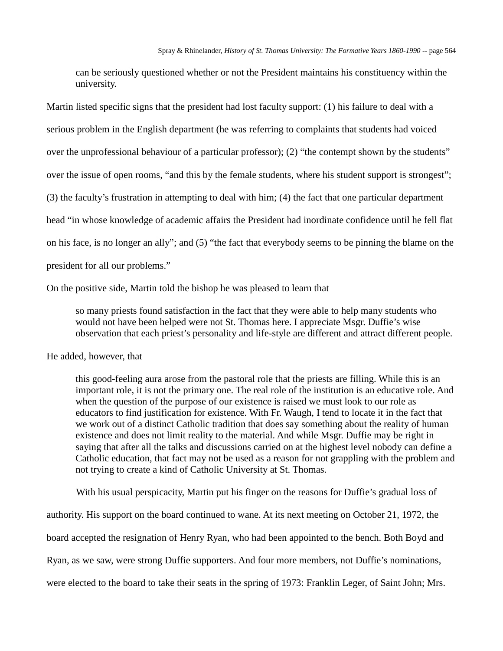can be seriously questioned whether or not the President maintains his constituency within the university.

Martin listed specific signs that the president had lost faculty support: (1) his failure to deal with a serious problem in the English department (he was referring to complaints that students had voiced over the unprofessional behaviour of a particular professor); (2) "the contempt shown by the students" over the issue of open rooms, "and this by the female students, where his student support is strongest"; (3) the faculty's frustration in attempting to deal with him; (4) the fact that one particular department head "in whose knowledge of academic affairs the President had inordinate confidence until he fell flat on his face, is no longer an ally"; and (5) "the fact that everybody seems to be pinning the blame on the president for all our problems."

On the positive side, Martin told the bishop he was pleased to learn that

so many priests found satisfaction in the fact that they were able to help many students who would not have been helped were not St. Thomas here. I appreciate Msgr. Duffie's wise observation that each priest's personality and life-style are different and attract different people.

He added, however, that

this good-feeling aura arose from the pastoral role that the priests are filling. While this is an important role, it is not the primary one. The real role of the institution is an educative role. And when the question of the purpose of our existence is raised we must look to our role as educators to find justification for existence. With Fr. Waugh, I tend to locate it in the fact that we work out of a distinct Catholic tradition that does say something about the reality of human existence and does not limit reality to the material. And while Msgr. Duffie may be right in saying that after all the talks and discussions carried on at the highest level nobody can define a Catholic education, that fact may not be used as a reason for not grappling with the problem and not trying to create a kind of Catholic University at St. Thomas.

With his usual perspicacity, Martin put his finger on the reasons for Duffie's gradual loss of

authority. His support on the board continued to wane. At its next meeting on October 21, 1972, the

board accepted the resignation of Henry Ryan, who had been appointed to the bench. Both Boyd and

Ryan, as we saw, were strong Duffie supporters. And four more members, not Duffie's nominations,

were elected to the board to take their seats in the spring of 1973: Franklin Leger, of Saint John; Mrs.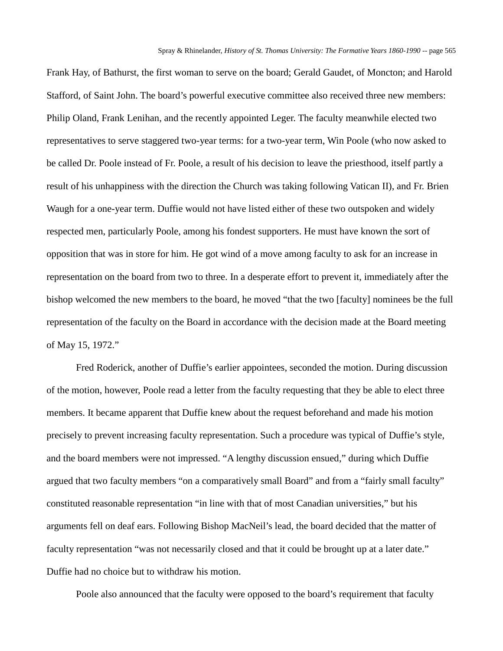Frank Hay, of Bathurst, the first woman to serve on the board; Gerald Gaudet, of Moncton; and Harold Stafford, of Saint John. The board's powerful executive committee also received three new members: Philip Oland, Frank Lenihan, and the recently appointed Leger. The faculty meanwhile elected two representatives to serve staggered two-year terms: for a two-year term, Win Poole (who now asked to be called Dr. Poole instead of Fr. Poole, a result of his decision to leave the priesthood, itself partly a result of his unhappiness with the direction the Church was taking following Vatican II), and Fr. Brien Waugh for a one-year term. Duffie would not have listed either of these two outspoken and widely respected men, particularly Poole, among his fondest supporters. He must have known the sort of opposition that was in store for him. He got wind of a move among faculty to ask for an increase in representation on the board from two to three. In a desperate effort to prevent it, immediately after the bishop welcomed the new members to the board, he moved "that the two [faculty] nominees be the full representation of the faculty on the Board in accordance with the decision made at the Board meeting of May 15, 1972."

Fred Roderick, another of Duffie's earlier appointees, seconded the motion. During discussion of the motion, however, Poole read a letter from the faculty requesting that they be able to elect three members. It became apparent that Duffie knew about the request beforehand and made his motion precisely to prevent increasing faculty representation. Such a procedure was typical of Duffie's style, and the board members were not impressed. "A lengthy discussion ensued," during which Duffie argued that two faculty members "on a comparatively small Board" and from a "fairly small faculty" constituted reasonable representation "in line with that of most Canadian universities," but his arguments fell on deaf ears. Following Bishop MacNeil's lead, the board decided that the matter of faculty representation "was not necessarily closed and that it could be brought up at a later date." Duffie had no choice but to withdraw his motion.

Poole also announced that the faculty were opposed to the board's requirement that faculty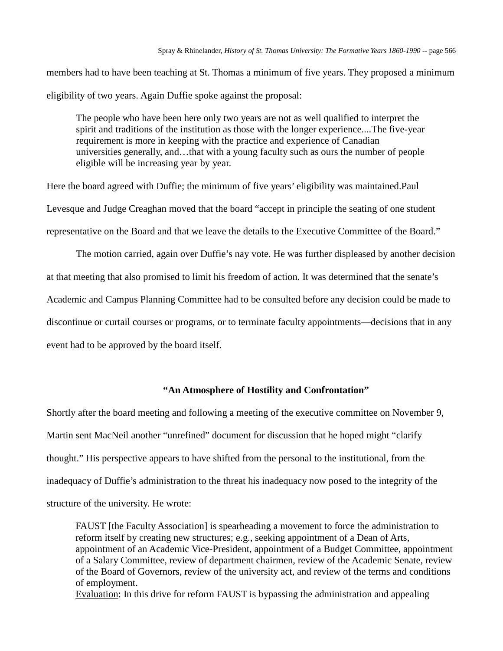members had to have been teaching at St. Thomas a minimum of five years. They proposed a minimum eligibility of two years. Again Duffie spoke against the proposal:

The people who have been here only two years are not as well qualified to interpret the spirit and traditions of the institution as those with the longer experience....The five-year requirement is more in keeping with the practice and experience of Canadian universities generally, and…that with a young faculty such as ours the number of people eligible will be increasing year by year.

Here the board agreed with Duffie; the minimum of five years' eligibility was maintained.Paul Levesque and Judge Creaghan moved that the board "accept in principle the seating of one student representative on the Board and that we leave the details to the Executive Committee of the Board."

The motion carried, again over Duffie's nay vote. He was further displeased by another decision at that meeting that also promised to limit his freedom of action. It was determined that the senate's Academic and Campus Planning Committee had to be consulted before any decision could be made to discontinue or curtail courses or programs, or to terminate faculty appointments—decisions that in any event had to be approved by the board itself.

# **"An Atmosphere of Hostility and Confrontation"**

Shortly after the board meeting and following a meeting of the executive committee on November 9, Martin sent MacNeil another "unrefined" document for discussion that he hoped might "clarify thought." His perspective appears to have shifted from the personal to the institutional, from the inadequacy of Duffie's administration to the threat his inadequacy now posed to the integrity of the structure of the university. He wrote:

FAUST [the Faculty Association] is spearheading a movement to force the administration to reform itself by creating new structures; e.g., seeking appointment of a Dean of Arts, appointment of an Academic Vice-President, appointment of a Budget Committee, appointment of a Salary Committee, review of department chairmen, review of the Academic Senate, review of the Board of Governors, review of the university act, and review of the terms and conditions of employment.

Evaluation: In this drive for reform FAUST is bypassing the administration and appealing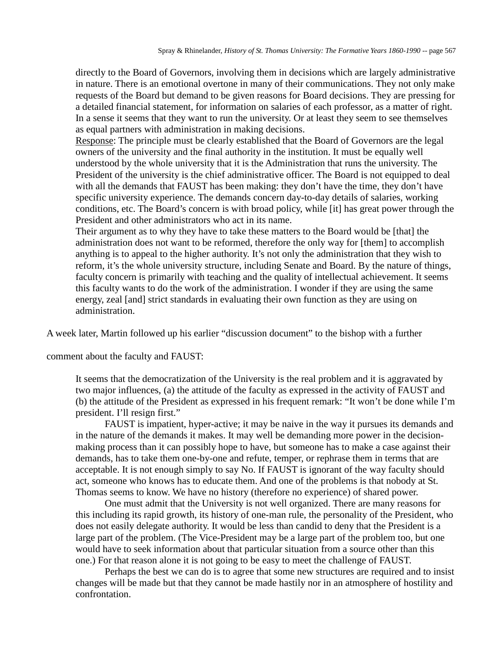directly to the Board of Governors, involving them in decisions which are largely administrative in nature. There is an emotional overtone in many of their communications. They not only make requests of the Board but demand to be given reasons for Board decisions. They are pressing for a detailed financial statement, for information on salaries of each professor, as a matter of right. In a sense it seems that they want to run the university. Or at least they seem to see themselves as equal partners with administration in making decisions.

Response: The principle must be clearly established that the Board of Governors are the legal owners of the university and the final authority in the institution. It must be equally well understood by the whole university that it is the Administration that runs the university. The President of the university is the chief administrative officer. The Board is not equipped to deal with all the demands that FAUST has been making: they don't have the time, they don't have specific university experience. The demands concern day-to-day details of salaries, working conditions, etc. The Board's concern is with broad policy, while [it] has great power through the President and other administrators who act in its name.

Their argument as to why they have to take these matters to the Board would be [that] the administration does not want to be reformed, therefore the only way for [them] to accomplish anything is to appeal to the higher authority. It's not only the administration that they wish to reform, it's the whole university structure, including Senate and Board. By the nature of things, faculty concern is primarily with teaching and the quality of intellectual achievement. It seems this faculty wants to do the work of the administration. I wonder if they are using the same energy, zeal [and] strict standards in evaluating their own function as they are using on administration.

A week later, Martin followed up his earlier "discussion document" to the bishop with a further

comment about the faculty and FAUST:

It seems that the democratization of the University is the real problem and it is aggravated by two major influences, (a) the attitude of the faculty as expressed in the activity of FAUST and (b) the attitude of the President as expressed in his frequent remark: "It won't be done while I'm president. I'll resign first."

FAUST is impatient, hyper-active; it may be naive in the way it pursues its demands and in the nature of the demands it makes. It may well be demanding more power in the decisionmaking process than it can possibly hope to have, but someone has to make a case against their demands, has to take them one-by-one and refute, temper, or rephrase them in terms that are acceptable. It is not enough simply to say No. If FAUST is ignorant of the way faculty should act, someone who knows has to educate them. And one of the problems is that nobody at St. Thomas seems to know. We have no history (therefore no experience) of shared power.

One must admit that the University is not well organized. There are many reasons for this including its rapid growth, its history of one-man rule, the personality of the President, who does not easily delegate authority. It would be less than candid to deny that the President is a large part of the problem. (The Vice-President may be a large part of the problem too, but one would have to seek information about that particular situation from a source other than this one.) For that reason alone it is not going to be easy to meet the challenge of FAUST.

Perhaps the best we can do is to agree that some new structures are required and to insist changes will be made but that they cannot be made hastily nor in an atmosphere of hostility and confrontation.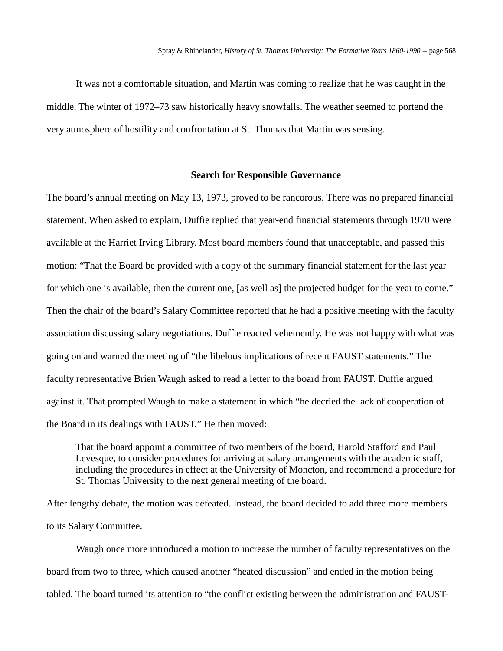It was not a comfortable situation, and Martin was coming to realize that he was caught in the middle. The winter of 1972–73 saw historically heavy snowfalls. The weather seemed to portend the very atmosphere of hostility and confrontation at St. Thomas that Martin was sensing.

# **Search for Responsible Governance**

The board's annual meeting on May 13, 1973, proved to be rancorous. There was no prepared financial statement. When asked to explain, Duffie replied that year-end financial statements through 1970 were available at the Harriet Irving Library. Most board members found that unacceptable, and passed this motion: "That the Board be provided with a copy of the summary financial statement for the last year for which one is available, then the current one, [as well as] the projected budget for the year to come." Then the chair of the board's Salary Committee reported that he had a positive meeting with the faculty association discussing salary negotiations. Duffie reacted vehemently. He was not happy with what was going on and warned the meeting of "the libelous implications of recent FAUST statements." The faculty representative Brien Waugh asked to read a letter to the board from FAUST. Duffie argued against it. That prompted Waugh to make a statement in which "he decried the lack of cooperation of the Board in its dealings with FAUST." He then moved:

That the board appoint a committee of two members of the board, Harold Stafford and Paul Levesque, to consider procedures for arriving at salary arrangements with the academic staff, including the procedures in effect at the University of Moncton, and recommend a procedure for St. Thomas University to the next general meeting of the board.

After lengthy debate, the motion was defeated. Instead, the board decided to add three more members to its Salary Committee.

Waugh once more introduced a motion to increase the number of faculty representatives on the board from two to three, which caused another "heated discussion" and ended in the motion being tabled. The board turned its attention to "the conflict existing between the administration and FAUST-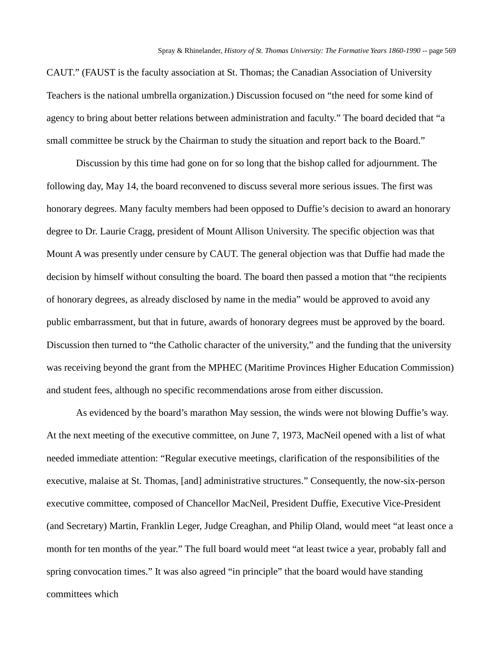CAUT." (FAUST is the faculty association at St. Thomas; the Canadian Association of University Teachers is the national umbrella organization.) Discussion focused on "the need for some kind of agency to bring about better relations between administration and faculty." The board decided that "a small committee be struck by the Chairman to study the situation and report back to the Board."

Discussion by this time had gone on for so long that the bishop called for adjournment. The following day, May 14, the board reconvened to discuss several more serious issues. The first was honorary degrees. Many faculty members had been opposed to Duffie's decision to award an honorary degree to Dr. Laurie Cragg, president of Mount Allison University. The specific objection was that Mount A was presently under censure by CAUT. The general objection was that Duffie had made the decision by himself without consulting the board. The board then passed a motion that "the recipients of honorary degrees, as already disclosed by name in the media" would be approved to avoid any public embarrassment, but that in future, awards of honorary degrees must be approved by the board. Discussion then turned to "the Catholic character of the university," and the funding that the university was receiving beyond the grant from the MPHEC (Maritime Provinces Higher Education Commission) and student fees, although no specific recommendations arose from either discussion.

As evidenced by the board's marathon May session, the winds were not blowing Duffie's way. At the next meeting of the executive committee, on June 7, 1973, MacNeil opened with a list of what needed immediate attention: "Regular executive meetings, clarification of the responsibilities of the executive, malaise at St. Thomas, [and] administrative structures." Consequently, the now-six-person executive committee, composed of Chancellor MacNeil, President Duffie, Executive Vice-President (and Secretary) Martin, Franklin Leger, Judge Creaghan, and Philip Oland, would meet "at least once a month for ten months of the year." The full board would meet "at least twice a year, probably fall and spring convocation times." It was also agreed "in principle" that the board would have standing committees which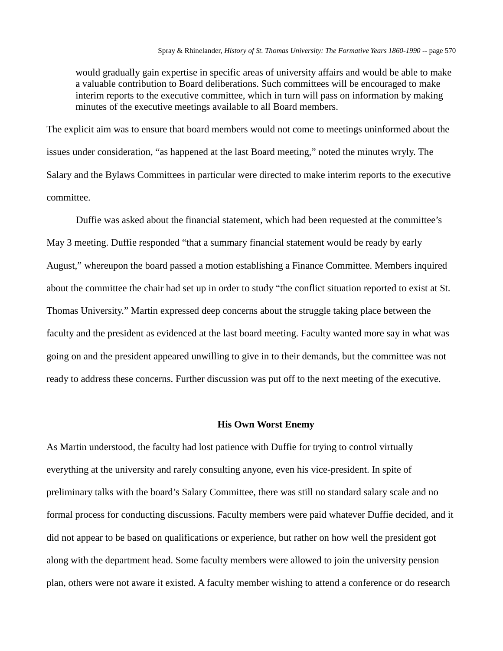would gradually gain expertise in specific areas of university affairs and would be able to make a valuable contribution to Board deliberations. Such committees will be encouraged to make interim reports to the executive committee, which in turn will pass on information by making minutes of the executive meetings available to all Board members.

The explicit aim was to ensure that board members would not come to meetings uninformed about the issues under consideration, "as happened at the last Board meeting," noted the minutes wryly. The Salary and the Bylaws Committees in particular were directed to make interim reports to the executive committee.

Duffie was asked about the financial statement, which had been requested at the committee's May 3 meeting. Duffie responded "that a summary financial statement would be ready by early August," whereupon the board passed a motion establishing a Finance Committee. Members inquired about the committee the chair had set up in order to study "the conflict situation reported to exist at St. Thomas University." Martin expressed deep concerns about the struggle taking place between the faculty and the president as evidenced at the last board meeting. Faculty wanted more say in what was going on and the president appeared unwilling to give in to their demands, but the committee was not ready to address these concerns. Further discussion was put off to the next meeting of the executive.

### **His Own Worst Enemy**

As Martin understood, the faculty had lost patience with Duffie for trying to control virtually everything at the university and rarely consulting anyone, even his vice-president. In spite of preliminary talks with the board's Salary Committee, there was still no standard salary scale and no formal process for conducting discussions. Faculty members were paid whatever Duffie decided, and it did not appear to be based on qualifications or experience, but rather on how well the president got along with the department head. Some faculty members were allowed to join the university pension plan, others were not aware it existed. A faculty member wishing to attend a conference or do research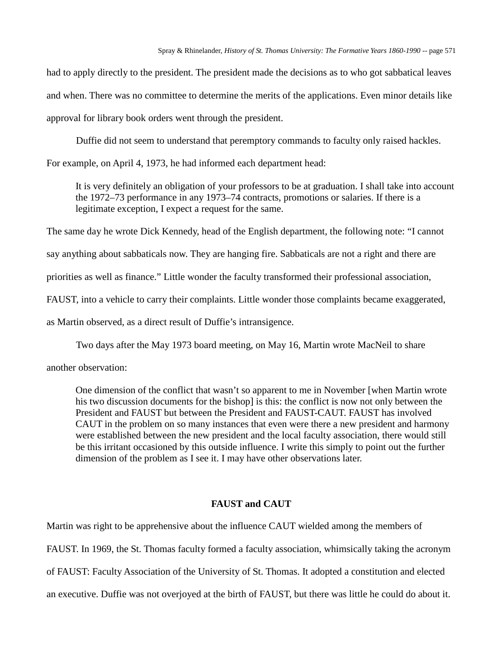had to apply directly to the president. The president made the decisions as to who got sabbatical leaves and when. There was no committee to determine the merits of the applications. Even minor details like approval for library book orders went through the president.

Duffie did not seem to understand that peremptory commands to faculty only raised hackles.

For example, on April 4, 1973, he had informed each department head:

It is very definitely an obligation of your professors to be at graduation. I shall take into account the 1972–73 performance in any 1973–74 contracts, promotions or salaries. If there is a legitimate exception, I expect a request for the same.

The same day he wrote Dick Kennedy, head of the English department, the following note: "I cannot

say anything about sabbaticals now. They are hanging fire. Sabbaticals are not a right and there are

priorities as well as finance." Little wonder the faculty transformed their professional association,

FAUST, into a vehicle to carry their complaints. Little wonder those complaints became exaggerated,

as Martin observed, as a direct result of Duffie's intransigence.

Two days after the May 1973 board meeting, on May 16, Martin wrote MacNeil to share

another observation:

One dimension of the conflict that wasn't so apparent to me in November [when Martin wrote his two discussion documents for the bishop] is this: the conflict is now not only between the President and FAUST but between the President and FAUST-CAUT. FAUST has involved CAUT in the problem on so many instances that even were there a new president and harmony were established between the new president and the local faculty association, there would still be this irritant occasioned by this outside influence. I write this simply to point out the further dimension of the problem as I see it. I may have other observations later.

# **FAUST and CAUT**

Martin was right to be apprehensive about the influence CAUT wielded among the members of FAUST. In 1969, the St. Thomas faculty formed a faculty association, whimsically taking the acronym of FAUST: Faculty Association of the University of St. Thomas. It adopted a constitution and elected an executive. Duffie was not overjoyed at the birth of FAUST, but there was little he could do about it.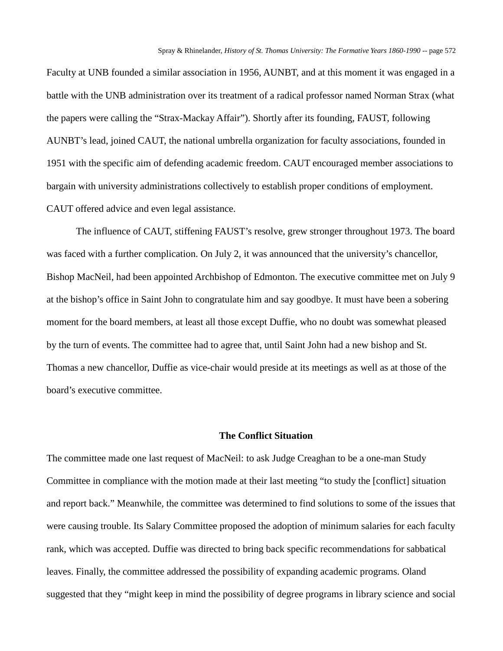Faculty at UNB founded a similar association in 1956, AUNBT, and at this moment it was engaged in a battle with the UNB administration over its treatment of a radical professor named Norman Strax (what the papers were calling the "Strax-Mackay Affair"). Shortly after its founding, FAUST, following AUNBT's lead, joined CAUT, the national umbrella organization for faculty associations, founded in 1951 with the specific aim of defending academic freedom. CAUT encouraged member associations to bargain with university administrations collectively to establish proper conditions of employment. CAUT offered advice and even legal assistance.

The influence of CAUT, stiffening FAUST's resolve, grew stronger throughout 1973. The board was faced with a further complication. On July 2, it was announced that the university's chancellor, Bishop MacNeil, had been appointed Archbishop of Edmonton. The executive committee met on July 9 at the bishop's office in Saint John to congratulate him and say goodbye. It must have been a sobering moment for the board members, at least all those except Duffie, who no doubt was somewhat pleased by the turn of events. The committee had to agree that, until Saint John had a new bishop and St. Thomas a new chancellor, Duffie as vice-chair would preside at its meetings as well as at those of the board's executive committee.

## **The Conflict Situation**

The committee made one last request of MacNeil: to ask Judge Creaghan to be a one-man Study Committee in compliance with the motion made at their last meeting "to study the [conflict] situation and report back." Meanwhile, the committee was determined to find solutions to some of the issues that were causing trouble. Its Salary Committee proposed the adoption of minimum salaries for each faculty rank, which was accepted. Duffie was directed to bring back specific recommendations for sabbatical leaves. Finally, the committee addressed the possibility of expanding academic programs. Oland suggested that they "might keep in mind the possibility of degree programs in library science and social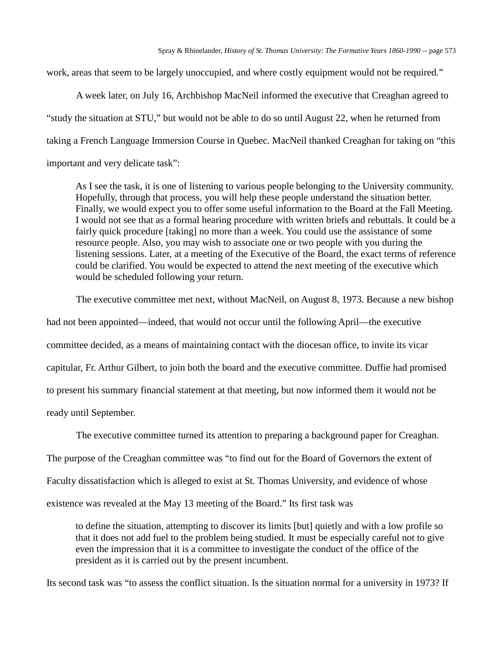work, areas that seem to be largely unoccupied, and where costly equipment would not be required."

A week later, on July 16, Archbishop MacNeil informed the executive that Creaghan agreed to "study the situation at STU," but would not be able to do so until August 22, when he returned from taking a French Language Immersion Course in Quebec. MacNeil thanked Creaghan for taking on "this important and very delicate task":

As I see the task, it is one of listening to various people belonging to the University community. Hopefully, through that process, you will help these people understand the situation better. Finally, we would expect you to offer some useful information to the Board at the Fall Meeting. I would not see that as a formal hearing procedure with written briefs and rebuttals. It could be a fairly quick procedure [taking] no more than a week. You could use the assistance of some resource people. Also, you may wish to associate one or two people with you during the listening sessions. Later, at a meeting of the Executive of the Board, the exact terms of reference could be clarified. You would be expected to attend the next meeting of the executive which would be scheduled following your return.

The executive committee met next, without MacNeil, on August 8, 1973. Because a new bishop had not been appointed—indeed, that would not occur until the following April—the executive

committee decided, as a means of maintaining contact with the diocesan office, to invite its vicar capitular, Fr. Arthur Gilbert, to join both the board and the executive committee. Duffie had promised to present his summary financial statement at that meeting, but now informed them it would not be ready until September.

The executive committee turned its attention to preparing a background paper for Creaghan.

The purpose of the Creaghan committee was "to find out for the Board of Governors the extent of

Faculty dissatisfaction which is alleged to exist at St. Thomas University, and evidence of whose

existence was revealed at the May 13 meeting of the Board." Its first task was

to define the situation, attempting to discover its limits [but] quietly and with a low profile so that it does not add fuel to the problem being studied. It must be especially careful not to give even the impression that it is a committee to investigate the conduct of the office of the president as it is carried out by the present incumbent.

Its second task was "to assess the conflict situation. Is the situation normal for a university in 1973? If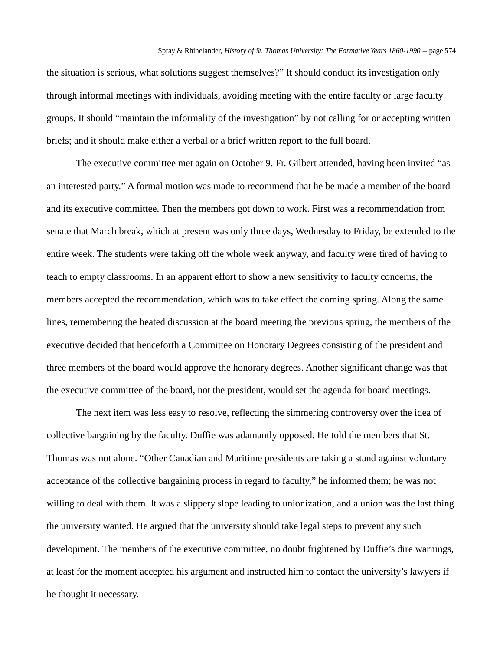the situation is serious, what solutions suggest themselves?" It should conduct its investigation only through informal meetings with individuals, avoiding meeting with the entire faculty or large faculty groups. It should "maintain the informality of the investigation" by not calling for or accepting written briefs; and it should make either a verbal or a brief written report to the full board.

The executive committee met again on October 9. Fr. Gilbert attended, having been invited "as an interested party." A formal motion was made to recommend that he be made a member of the board and its executive committee. Then the members got down to work. First was a recommendation from senate that March break, which at present was only three days, Wednesday to Friday, be extended to the entire week. The students were taking off the whole week anyway, and faculty were tired of having to teach to empty classrooms. In an apparent effort to show a new sensitivity to faculty concerns, the members accepted the recommendation, which was to take effect the coming spring. Along the same lines, remembering the heated discussion at the board meeting the previous spring, the members of the executive decided that henceforth a Committee on Honorary Degrees consisting of the president and three members of the board would approve the honorary degrees. Another significant change was that the executive committee of the board, not the president, would set the agenda for board meetings.

The next item was less easy to resolve, reflecting the simmering controversy over the idea of collective bargaining by the faculty. Duffie was adamantly opposed. He told the members that St. Thomas was not alone. "Other Canadian and Maritime presidents are taking a stand against voluntary acceptance of the collective bargaining process in regard to faculty," he informed them; he was not willing to deal with them. It was a slippery slope leading to unionization, and a union was the last thing the university wanted. He argued that the university should take legal steps to prevent any such development. The members of the executive committee, no doubt frightened by Duffie's dire warnings, at least for the moment accepted his argument and instructed him to contact the university's lawyers if he thought it necessary.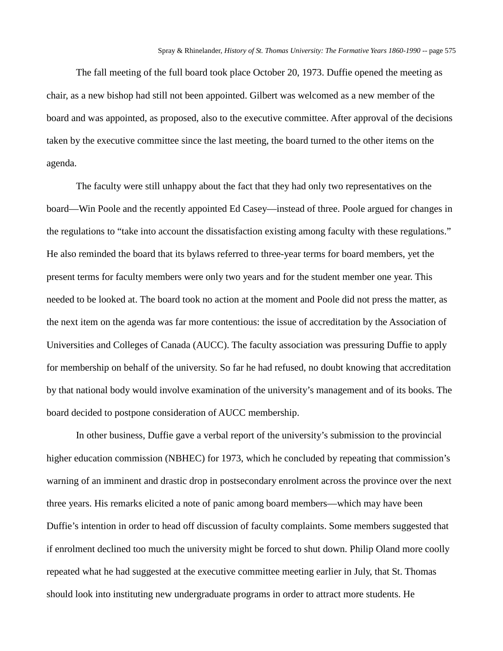The fall meeting of the full board took place October 20, 1973. Duffie opened the meeting as chair, as a new bishop had still not been appointed. Gilbert was welcomed as a new member of the board and was appointed, as proposed, also to the executive committee. After approval of the decisions taken by the executive committee since the last meeting, the board turned to the other items on the agenda.

The faculty were still unhappy about the fact that they had only two representatives on the board—Win Poole and the recently appointed Ed Casey—instead of three. Poole argued for changes in the regulations to "take into account the dissatisfaction existing among faculty with these regulations." He also reminded the board that its bylaws referred to three-year terms for board members, yet the present terms for faculty members were only two years and for the student member one year. This needed to be looked at. The board took no action at the moment and Poole did not press the matter, as the next item on the agenda was far more contentious: the issue of accreditation by the Association of Universities and Colleges of Canada (AUCC). The faculty association was pressuring Duffie to apply for membership on behalf of the university. So far he had refused, no doubt knowing that accreditation by that national body would involve examination of the university's management and of its books. The board decided to postpone consideration of AUCC membership.

In other business, Duffie gave a verbal report of the university's submission to the provincial higher education commission (NBHEC) for 1973, which he concluded by repeating that commission's warning of an imminent and drastic drop in postsecondary enrolment across the province over the next three years. His remarks elicited a note of panic among board members—which may have been Duffie's intention in order to head off discussion of faculty complaints. Some members suggested that if enrolment declined too much the university might be forced to shut down. Philip Oland more coolly repeated what he had suggested at the executive committee meeting earlier in July, that St. Thomas should look into instituting new undergraduate programs in order to attract more students. He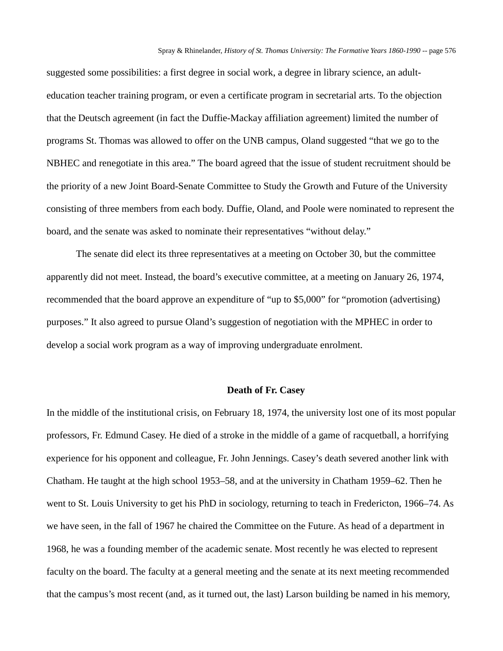suggested some possibilities: a first degree in social work, a degree in library science, an adulteducation teacher training program, or even a certificate program in secretarial arts. To the objection that the Deutsch agreement (in fact the Duffie-Mackay affiliation agreement) limited the number of programs St. Thomas was allowed to offer on the UNB campus, Oland suggested "that we go to the NBHEC and renegotiate in this area." The board agreed that the issue of student recruitment should be the priority of a new Joint Board-Senate Committee to Study the Growth and Future of the University consisting of three members from each body. Duffie, Oland, and Poole were nominated to represent the board, and the senate was asked to nominate their representatives "without delay."

The senate did elect its three representatives at a meeting on October 30, but the committee apparently did not meet. Instead, the board's executive committee, at a meeting on January 26, 1974, recommended that the board approve an expenditure of "up to \$5,000" for "promotion (advertising) purposes." It also agreed to pursue Oland's suggestion of negotiation with the MPHEC in order to develop a social work program as a way of improving undergraduate enrolment.

#### **Death of Fr. Casey**

In the middle of the institutional crisis, on February 18, 1974, the university lost one of its most popular professors, Fr. Edmund Casey. He died of a stroke in the middle of a game of racquetball, a horrifying experience for his opponent and colleague, Fr. John Jennings. Casey's death severed another link with Chatham. He taught at the high school 1953–58, and at the university in Chatham 1959–62. Then he went to St. Louis University to get his PhD in sociology, returning to teach in Fredericton, 1966–74. As we have seen, in the fall of 1967 he chaired the Committee on the Future. As head of a department in 1968, he was a founding member of the academic senate. Most recently he was elected to represent faculty on the board. The faculty at a general meeting and the senate at its next meeting recommended that the campus's most recent (and, as it turned out, the last) Larson building be named in his memory,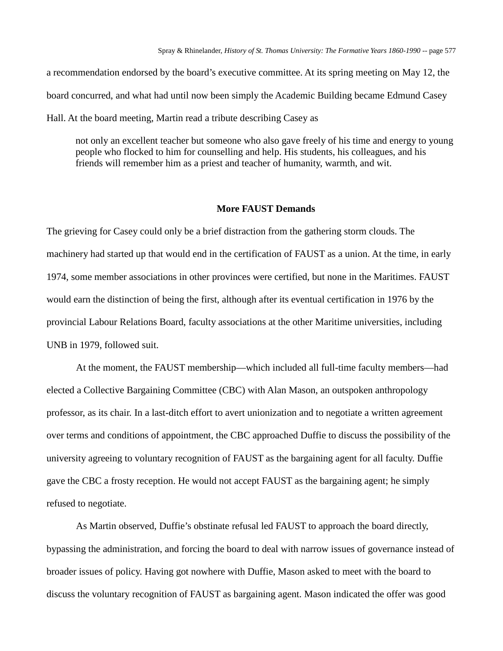a recommendation endorsed by the board's executive committee. At its spring meeting on May 12, the board concurred, and what had until now been simply the Academic Building became Edmund Casey Hall. At the board meeting, Martin read a tribute describing Casey as

not only an excellent teacher but someone who also gave freely of his time and energy to young people who flocked to him for counselling and help. His students, his colleagues, and his friends will remember him as a priest and teacher of humanity, warmth, and wit.

#### **More FAUST Demands**

The grieving for Casey could only be a brief distraction from the gathering storm clouds. The machinery had started up that would end in the certification of FAUST as a union. At the time, in early 1974, some member associations in other provinces were certified, but none in the Maritimes. FAUST would earn the distinction of being the first, although after its eventual certification in 1976 by the provincial Labour Relations Board, faculty associations at the other Maritime universities, including UNB in 1979, followed suit.

At the moment, the FAUST membership—which included all full-time faculty members—had elected a Collective Bargaining Committee (CBC) with Alan Mason, an outspoken anthropology professor, as its chair. In a last-ditch effort to avert unionization and to negotiate a written agreement over terms and conditions of appointment, the CBC approached Duffie to discuss the possibility of the university agreeing to voluntary recognition of FAUST as the bargaining agent for all faculty. Duffie gave the CBC a frosty reception. He would not accept FAUST as the bargaining agent; he simply refused to negotiate.

As Martin observed, Duffie's obstinate refusal led FAUST to approach the board directly, bypassing the administration, and forcing the board to deal with narrow issues of governance instead of broader issues of policy. Having got nowhere with Duffie, Mason asked to meet with the board to discuss the voluntary recognition of FAUST as bargaining agent. Mason indicated the offer was good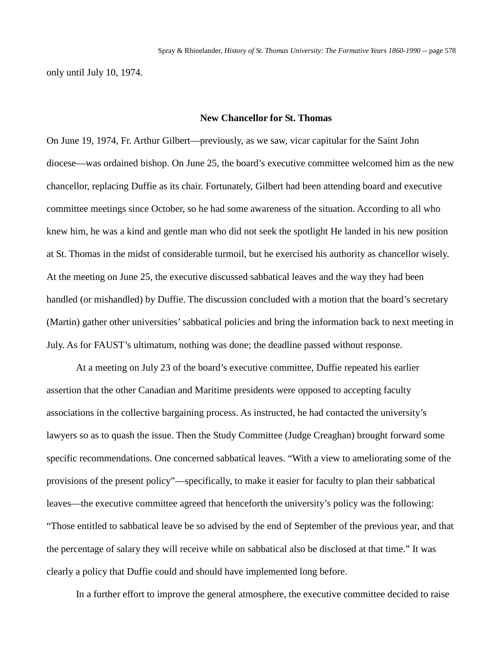only until July 10, 1974.

# **New Chancellor for St. Thomas**

On June 19, 1974, Fr. Arthur Gilbert—previously, as we saw, vicar capitular for the Saint John diocese—was ordained bishop. On June 25, the board's executive committee welcomed him as the new chancellor, replacing Duffie as its chair. Fortunately, Gilbert had been attending board and executive committee meetings since October, so he had some awareness of the situation. According to all who knew him, he was a kind and gentle man who did not seek the spotlight He landed in his new position at St. Thomas in the midst of considerable turmoil, but he exercised his authority as chancellor wisely. At the meeting on June 25, the executive discussed sabbatical leaves and the way they had been handled (or mishandled) by Duffie. The discussion concluded with a motion that the board's secretary (Martin) gather other universities' sabbatical policies and bring the information back to next meeting in July. As for FAUST's ultimatum, nothing was done; the deadline passed without response.

At a meeting on July 23 of the board's executive committee, Duffie repeated his earlier assertion that the other Canadian and Maritime presidents were opposed to accepting faculty associations in the collective bargaining process. As instructed, he had contacted the university's lawyers so as to quash the issue. Then the Study Committee (Judge Creaghan) brought forward some specific recommendations. One concerned sabbatical leaves. "With a view to ameliorating some of the provisions of the present policy"—specifically, to make it easier for faculty to plan their sabbatical leaves—the executive committee agreed that henceforth the university's policy was the following: "Those entitled to sabbatical leave be so advised by the end of September of the previous year, and that the percentage of salary they will receive while on sabbatical also be disclosed at that time." It was clearly a policy that Duffie could and should have implemented long before.

In a further effort to improve the general atmosphere, the executive committee decided to raise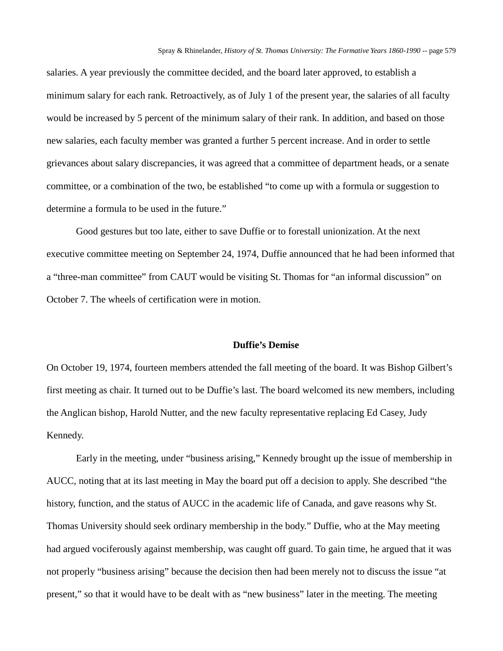salaries. A year previously the committee decided, and the board later approved, to establish a minimum salary for each rank. Retroactively, as of July 1 of the present year, the salaries of all faculty would be increased by 5 percent of the minimum salary of their rank. In addition, and based on those new salaries, each faculty member was granted a further 5 percent increase. And in order to settle grievances about salary discrepancies, it was agreed that a committee of department heads, or a senate committee, or a combination of the two, be established "to come up with a formula or suggestion to determine a formula to be used in the future."

Good gestures but too late, either to save Duffie or to forestall unionization. At the next executive committee meeting on September 24, 1974, Duffie announced that he had been informed that a "three-man committee" from CAUT would be visiting St. Thomas for "an informal discussion" on October 7. The wheels of certification were in motion.

### **Duffie's Demise**

On October 19, 1974, fourteen members attended the fall meeting of the board. It was Bishop Gilbert's first meeting as chair. It turned out to be Duffie's last. The board welcomed its new members, including the Anglican bishop, Harold Nutter, and the new faculty representative replacing Ed Casey, Judy Kennedy.

Early in the meeting, under "business arising," Kennedy brought up the issue of membership in AUCC, noting that at its last meeting in May the board put off a decision to apply. She described "the history, function, and the status of AUCC in the academic life of Canada, and gave reasons why St. Thomas University should seek ordinary membership in the body." Duffie, who at the May meeting had argued vociferously against membership, was caught off guard. To gain time, he argued that it was not properly "business arising" because the decision then had been merely not to discuss the issue "at present," so that it would have to be dealt with as "new business" later in the meeting. The meeting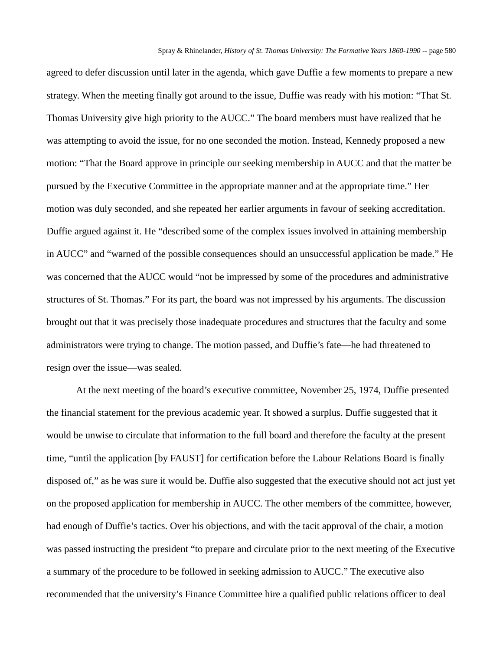agreed to defer discussion until later in the agenda, which gave Duffie a few moments to prepare a new strategy. When the meeting finally got around to the issue, Duffie was ready with his motion: "That St. Thomas University give high priority to the AUCC." The board members must have realized that he was attempting to avoid the issue, for no one seconded the motion. Instead, Kennedy proposed a new motion: "That the Board approve in principle our seeking membership in AUCC and that the matter be pursued by the Executive Committee in the appropriate manner and at the appropriate time." Her motion was duly seconded, and she repeated her earlier arguments in favour of seeking accreditation. Duffie argued against it. He "described some of the complex issues involved in attaining membership in AUCC" and "warned of the possible consequences should an unsuccessful application be made." He was concerned that the AUCC would "not be impressed by some of the procedures and administrative structures of St. Thomas." For its part, the board was not impressed by his arguments. The discussion brought out that it was precisely those inadequate procedures and structures that the faculty and some administrators were trying to change. The motion passed, and Duffie's fate—he had threatened to resign over the issue—was sealed.

At the next meeting of the board's executive committee, November 25, 1974, Duffie presented the financial statement for the previous academic year. It showed a surplus. Duffie suggested that it would be unwise to circulate that information to the full board and therefore the faculty at the present time, "until the application [by FAUST] for certification before the Labour Relations Board is finally disposed of," as he was sure it would be. Duffie also suggested that the executive should not act just yet on the proposed application for membership in AUCC. The other members of the committee, however, had enough of Duffie's tactics. Over his objections, and with the tacit approval of the chair, a motion was passed instructing the president "to prepare and circulate prior to the next meeting of the Executive a summary of the procedure to be followed in seeking admission to AUCC." The executive also recommended that the university's Finance Committee hire a qualified public relations officer to deal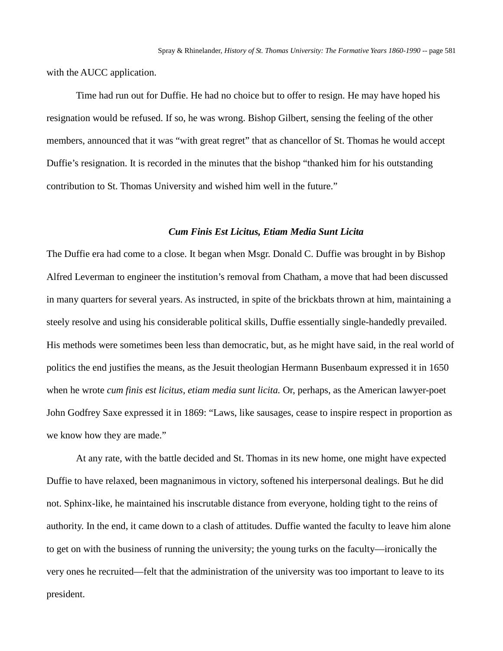with the AUCC application.

Time had run out for Duffie. He had no choice but to offer to resign. He may have hoped his resignation would be refused. If so, he was wrong. Bishop Gilbert, sensing the feeling of the other members, announced that it was "with great regret" that as chancellor of St. Thomas he would accept Duffie's resignation. It is recorded in the minutes that the bishop "thanked him for his outstanding contribution to St. Thomas University and wished him well in the future."

# *Cum Finis Est Licitus, Etiam Media Sunt Licita*

The Duffie era had come to a close. It began when Msgr. Donald C. Duffie was brought in by Bishop Alfred Leverman to engineer the institution's removal from Chatham, a move that had been discussed in many quarters for several years. As instructed, in spite of the brickbats thrown at him, maintaining a steely resolve and using his considerable political skills, Duffie essentially single-handedly prevailed. His methods were sometimes been less than democratic, but, as he might have said, in the real world of politics the end justifies the means, as the Jesuit theologian Hermann Busenbaum expressed it in 1650 when he wrote *cum finis est licitus, etiam media sunt licita.* Or, perhaps, as the American lawyer-poet John Godfrey Saxe expressed it in 1869: "Laws, like sausages, cease to inspire respect in proportion as we know how they are made."

At any rate, with the battle decided and St. Thomas in its new home, one might have expected Duffie to have relaxed, been magnanimous in victory, softened his interpersonal dealings. But he did not. Sphinx-like, he maintained his inscrutable distance from everyone, holding tight to the reins of authority. In the end, it came down to a clash of attitudes. Duffie wanted the faculty to leave him alone to get on with the business of running the university; the young turks on the faculty—ironically the very ones he recruited—felt that the administration of the university was too important to leave to its president.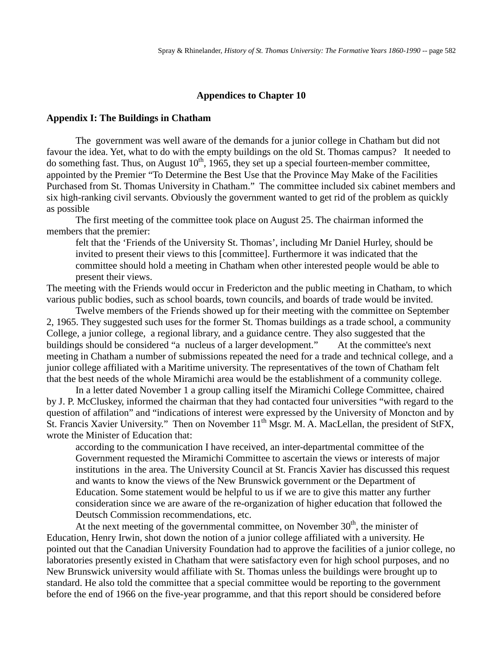### **Appendices to Chapter 10**

#### **Appendix I: The Buildings in Chatham**

The government was well aware of the demands for a junior college in Chatham but did not favour the idea. Yet, what to do with the empty buildings on the old St. Thomas campus? It needed to do something fast. Thus, on August  $10^{th}$ , 1965, they set up a special fourteen-member committee, appointed by the Premier "To Determine the Best Use that the Province May Make of the Facilities Purchased from St. Thomas University in Chatham." The committee included six cabinet members and six high-ranking civil servants. Obviously the government wanted to get rid of the problem as quickly as possible

The first meeting of the committee took place on August 25. The chairman informed the members that the premier:

felt that the 'Friends of the University St. Thomas', including Mr Daniel Hurley, should be invited to present their views to this [committee]. Furthermore it was indicated that the committee should hold a meeting in Chatham when other interested people would be able to present their views.

The meeting with the Friends would occur in Fredericton and the public meeting in Chatham, to which various public bodies, such as school boards, town councils, and boards of trade would be invited.

Twelve members of the Friends showed up for their meeting with the committee on September 2, 1965. They suggested such uses for the former St. Thomas buildings as a trade school, a community College, a junior college, a regional library, and a guidance centre. They also suggested that the buildings should be considered "a nucleus of a larger development." At the committee's next meeting in Chatham a number of submissions repeated the need for a trade and technical college, and a junior college affiliated with a Maritime university. The representatives of the town of Chatham felt that the best needs of the whole Miramichi area would be the establishment of a community college.

In a letter dated November 1 a group calling itself the Miramichi College Committee, chaired by J. P. McCluskey, informed the chairman that they had contacted four universities "with regard to the question of affilation" and "indications of interest were expressed by the University of Moncton and by St. Francis Xavier University." Then on November 11<sup>th</sup> Msgr. M. A. MacLellan, the president of StFX, wrote the Minister of Education that:

according to the communication I have received, an inter-departmental committee of the Government requested the Miramichi Committee to ascertain the views or interests of major institutions in the area. The University Council at St. Francis Xavier has discussed this request and wants to know the views of the New Brunswick government or the Department of Education. Some statement would be helpful to us if we are to give this matter any further consideration since we are aware of the re-organization of higher education that followed the Deutsch Commission recommendations, etc.

At the next meeting of the governmental committee, on November  $30<sup>th</sup>$ , the minister of Education, Henry Irwin, shot down the notion of a junior college affiliated with a university. He pointed out that the Canadian University Foundation had to approve the facilities of a junior college, no laboratories presently existed in Chatham that were satisfactory even for high school purposes, and no New Brunswick university would affiliate with St. Thomas unless the buildings were brought up to standard. He also told the committee that a special committee would be reporting to the government before the end of 1966 on the five-year programme, and that this report should be considered before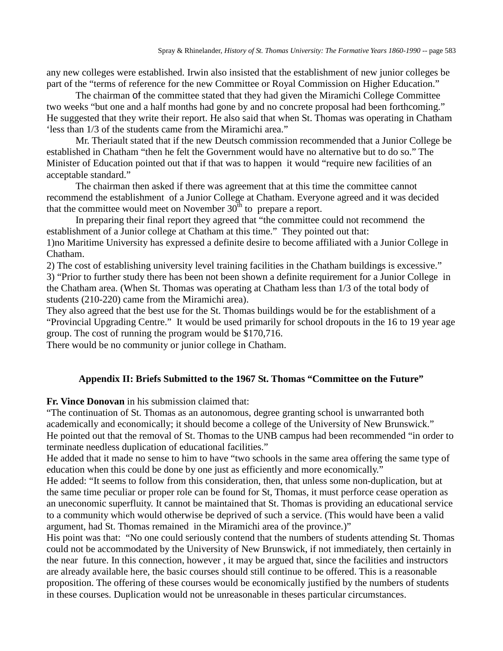any new colleges were established. Irwin also insisted that the establishment of new junior colleges be part of the "terms of reference for the new Committee or Royal Commission on Higher Education."

The chairman of the committee stated that they had given the Miramichi College Committee two weeks "but one and a half months had gone by and no concrete proposal had been forthcoming." He suggested that they write their report. He also said that when St. Thomas was operating in Chatham 'less than 1/3 of the students came from the Miramichi area."

Mr. Theriault stated that if the new Deutsch commission recommended that a Junior College be established in Chatham "then he felt the Government would have no alternative but to do so." The Minister of Education pointed out that if that was to happen it would "require new facilities of an acceptable standard."

The chairman then asked if there was agreement that at this time the committee cannot recommend the establishment of a Junior College at Chatham. Everyone agreed and it was decided that the committee would meet on November  $30<sup>th</sup>$  to prepare a report.

In preparing their final report they agreed that "the committee could not recommend the establishment of a Junior college at Chatham at this time." They pointed out that: 1)no Maritime University has expressed a definite desire to become affiliated with a Junior College in Chatham.

2) The cost of establishing university level training facilities in the Chatham buildings is excessive."

3) "Prior to further study there has been not been shown a definite requirement for a Junior College in the Chatham area. (When St. Thomas was operating at Chatham less than 1/3 of the total body of students (210-220) came from the Miramichi area).

They also agreed that the best use for the St. Thomas buildings would be for the establishment of a "Provincial Upgrading Centre." It would be used primarily for school dropouts in the 16 to 19 year age group. The cost of running the program would be \$170,716.

There would be no community or junior college in Chatham.

### **Appendix II: Briefs Submitted to the 1967 St. Thomas "Committee on the Future"**

**Fr. Vince Donovan** in his submission claimed that:

"The continuation of St. Thomas as an autonomous, degree granting school is unwarranted both academically and economically; it should become a college of the University of New Brunswick." He pointed out that the removal of St. Thomas to the UNB campus had been recommended "in order to terminate needless duplication of educational facilities."

He added that it made no sense to him to have "two schools in the same area offering the same type of education when this could be done by one just as efficiently and more economically."

He added: "It seems to follow from this consideration, then, that unless some non-duplication, but at the same time peculiar or proper role can be found for St, Thomas, it must perforce cease operation as an uneconomic superfluity. It cannot be maintained that St. Thomas is providing an educational service to a community which would otherwise be deprived of such a service. (This would have been a valid argument, had St. Thomas remained in the Miramichi area of the province.)"

His point was that: "No one could seriously contend that the numbers of students attending St. Thomas could not be accommodated by the University of New Brunswick, if not immediately, then certainly in the near future. In this connection, however , it may be argued that, since the facilities and instructors are already available here, the basic courses should still continue to be offered. This is a reasonable proposition. The offering of these courses would be economically justified by the numbers of students in these courses. Duplication would not be unreasonable in theses particular circumstances.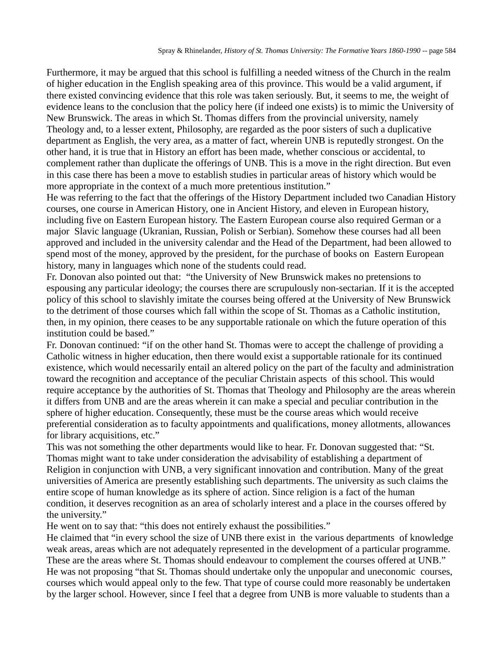Furthermore, it may be argued that this school is fulfilling a needed witness of the Church in the realm of higher education in the English speaking area of this province. This would be a valid argument, if there existed convincing evidence that this role was taken seriously. But, it seems to me, the weight of evidence leans to the conclusion that the policy here (if indeed one exists) is to mimic the University of New Brunswick. The areas in which St. Thomas differs from the provincial university, namely Theology and, to a lesser extent, Philosophy, are regarded as the poor sisters of such a duplicative department as English, the very area, as a matter of fact, wherein UNB is reputedly strongest. On the other hand, it is true that in History an effort has been made, whether conscious or accidental, to complement rather than duplicate the offerings of UNB. This is a move in the right direction. But even in this case there has been a move to establish studies in particular areas of history which would be more appropriate in the context of a much more pretentious institution."

He was referring to the fact that the offerings of the History Department included two Canadian History courses, one course in American History, one in Ancient History, and eleven in European history, including five on Eastern European history. The Eastern European course also required German or a major Slavic language (Ukranian, Russian, Polish or Serbian). Somehow these courses had all been approved and included in the university calendar and the Head of the Department, had been allowed to spend most of the money, approved by the president, for the purchase of books on Eastern European history, many in languages which none of the students could read.

Fr. Donovan also pointed out that: "the University of New Brunswick makes no pretensions to espousing any particular ideology; the courses there are scrupulously non-sectarian. If it is the accepted policy of this school to slavishly imitate the courses being offered at the University of New Brunswick to the detriment of those courses which fall within the scope of St. Thomas as a Catholic institution, then, in my opinion, there ceases to be any supportable rationale on which the future operation of this institution could be based."

Fr. Donovan continued: "if on the other hand St. Thomas were to accept the challenge of providing a Catholic witness in higher education, then there would exist a supportable rationale for its continued existence, which would necessarily entail an altered policy on the part of the faculty and administration toward the recognition and acceptance of the peculiar Christain aspects of this school. This would require acceptance by the authorities of St. Thomas that Theology and Philosophy are the areas wherein it differs from UNB and are the areas wherein it can make a special and peculiar contribution in the sphere of higher education. Consequently, these must be the course areas which would receive preferential consideration as to faculty appointments and qualifications, money allotments, allowances for library acquisitions, etc."

This was not something the other departments would like to hear. Fr. Donovan suggested that: "St. Thomas might want to take under consideration the advisability of establishing a department of Religion in conjunction with UNB, a very significant innovation and contribution. Many of the great universities of America are presently establishing such departments. The university as such claims the entire scope of human knowledge as its sphere of action. Since religion is a fact of the human condition, it deserves recognition as an area of scholarly interest and a place in the courses offered by the university."

He went on to say that: "this does not entirely exhaust the possibilities."

He claimed that "in every school the size of UNB there exist in the various departments of knowledge weak areas, areas which are not adequately represented in the development of a particular programme. These are the areas where St. Thomas should endeavour to complement the courses offered at UNB." He was not proposing "that St. Thomas should undertake only the unpopular and uneconomic courses, courses which would appeal only to the few. That type of course could more reasonably be undertaken by the larger school. However, since I feel that a degree from UNB is more valuable to students than a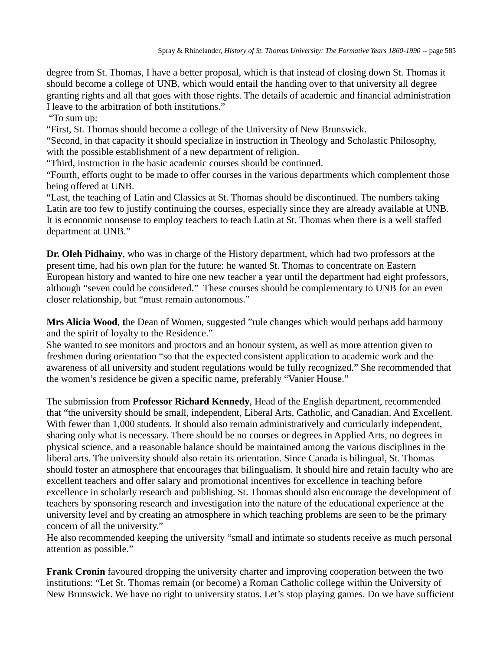degree from St. Thomas, I have a better proposal, which is that instead of closing down St. Thomas it should become a college of UNB, which would entail the handing over to that university all degree granting rights and all that goes with those rights. The details of academic and financial administration I leave to the arbitration of both institutions."

"To sum up:

"First, St. Thomas should become a college of the University of New Brunswick.

"Second, in that capacity it should specialize in instruction in Theology and Scholastic Philosophy, with the possible establishment of a new department of religion.

"Third, instruction in the basic academic courses should be continued.

"Fourth, efforts ought to be made to offer courses in the various departments which complement those being offered at UNB.

"Last, the teaching of Latin and Classics at St. Thomas should be discontinued. The numbers taking Latin are too few to justify continuing the courses, especially since they are already available at UNB. It is economic nonsense to employ teachers to teach Latin at St. Thomas when there is a well staffed department at UNB."

**Dr. Oleh Pidhainy**, who was in charge of the History department, which had two professors at the present time, had his own plan for the future: he wanted St. Thomas to concentrate on Eastern European history and wanted to hire one new teacher a year until the department had eight professors, although "seven could be considered." These courses should be complementary to UNB for an even closer relationship, but "must remain autonomous."

**Mrs Alicia Wood**, **t**he Dean of Women, suggested "rule changes which would perhaps add harmony and the spirit of loyalty to the Residence."

She wanted to see monitors and proctors and an honour system, as well as more attention given to freshmen during orientation "so that the expected consistent application to academic work and the awareness of all university and student regulations would be fully recognized." She recommended that the women's residence be given a specific name, preferably "Vanier House."

The submission from **Professor Richard Kennedy**, Head of the English department, recommended that "the university should be small, independent, Liberal Arts, Catholic, and Canadian. And Excellent. With fewer than 1,000 students. It should also remain administratively and curricularly independent, sharing only what is necessary. There should be no courses or degrees in Applied Arts, no degrees in physical science, and a reasonable balance should be maintained among the various disciplines in the liberal arts. The university should also retain its orientation. Since Canada is bilingual, St. Thomas should foster an atmosphere that encourages that bilingualism. It should hire and retain faculty who are excellent teachers and offer salary and promotional incentives for excellence in teaching before excellence in scholarly research and publishing. St. Thomas should also encourage the development of teachers by sponsoring research and investigation into the nature of the educational experience at the university level and by creating an atmosphere in which teaching problems are seen to be the primary concern of all the university."

He also recommended keeping the university "small and intimate so students receive as much personal attention as possible."

**Frank Cronin** favoured dropping the university charter and improving cooperation between the two institutions: "Let St. Thomas remain (or become) a Roman Catholic college within the University of New Brunswick. We have no right to university status. Let's stop playing games. Do we have sufficient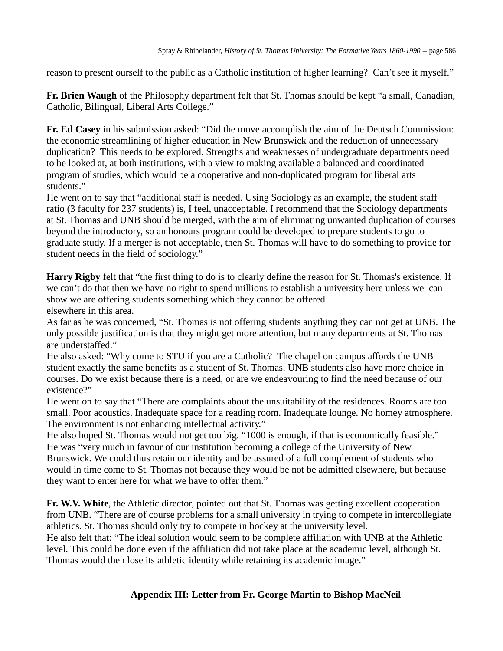reason to present ourself to the public as a Catholic institution of higher learning? Can't see it myself."

**Fr. Brien Waugh** of the Philosophy department felt that St. Thomas should be kept "a small, Canadian, Catholic, Bilingual, Liberal Arts College."

**Fr. Ed Casey** in his submission asked: "Did the move accomplish the aim of the Deutsch Commission: the economic streamlining of higher education in New Brunswick and the reduction of unnecessary duplication? This needs to be explored. Strengths and weaknesses of undergraduate departments need to be looked at, at both institutions, with a view to making available a balanced and coordinated program of studies, which would be a cooperative and non-duplicated program for liberal arts students."

He went on to say that "additional staff is needed. Using Sociology as an example, the student staff ratio (3 faculty for 237 students) is, I feel, unacceptable. I recommend that the Sociology departments at St. Thomas and UNB should be merged, with the aim of eliminating unwanted duplication of courses beyond the introductory, so an honours program could be developed to prepare students to go to graduate study. If a merger is not acceptable, then St. Thomas will have to do something to provide for student needs in the field of sociology."

**Harry Rigby** felt that "the first thing to do is to clearly define the reason for St. Thomas's existence. If we can't do that then we have no right to spend millions to establish a university here unless we can show we are offering students something which they cannot be offered elsewhere in this area.

As far as he was concerned, "St. Thomas is not offering students anything they can not get at UNB. The only possible justification is that they might get more attention, but many departments at St. Thomas are understaffed."

He also asked: "Why come to STU if you are a Catholic? The chapel on campus affords the UNB student exactly the same benefits as a student of St. Thomas. UNB students also have more choice in courses. Do we exist because there is a need, or are we endeavouring to find the need because of our existence?"

He went on to say that "There are complaints about the unsuitability of the residences. Rooms are too small. Poor acoustics. Inadequate space for a reading room. Inadequate lounge. No homey atmosphere. The environment is not enhancing intellectual activity."

He also hoped St. Thomas would not get too big. "1000 is enough, if that is economically feasible." He was "very much in favour of our institution becoming a college of the University of New Brunswick. We could thus retain our identity and be assured of a full complement of students who would in time come to St. Thomas not because they would be not be admitted elsewhere, but because they want to enter here for what we have to offer them."

**Fr. W.V. White**, the Athletic director, pointed out that St. Thomas was getting excellent cooperation from UNB. "There are of course problems for a small university in trying to compete in intercollegiate athletics. St. Thomas should only try to compete in hockey at the university level.

He also felt that: "The ideal solution would seem to be complete affiliation with UNB at the Athletic level. This could be done even if the affiliation did not take place at the academic level, although St. Thomas would then lose its athletic identity while retaining its academic image."

# **Appendix III: Letter from Fr. George Martin to Bishop MacNeil**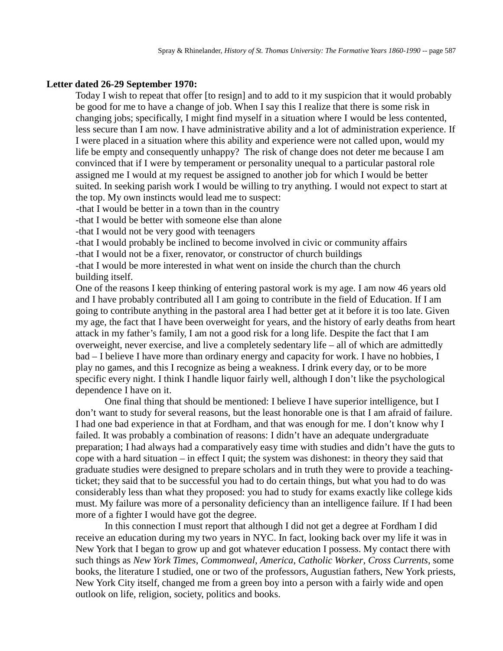## **Letter dated 26-29 September 1970:**

Today I wish to repeat that offer [to resign] and to add to it my suspicion that it would probably be good for me to have a change of job. When I say this I realize that there is some risk in changing jobs; specifically, I might find myself in a situation where I would be less contented, less secure than I am now. I have administrative ability and a lot of administration experience. If I were placed in a situation where this ability and experience were not called upon, would my life be empty and consequently unhappy? The risk of change does not deter me because I am convinced that if I were by temperament or personality unequal to a particular pastoral role assigned me I would at my request be assigned to another job for which I would be better suited. In seeking parish work I would be willing to try anything. I would not expect to start at the top. My own instincts would lead me to suspect:

-that I would be better in a town than in the country

-that I would be better with someone else than alone

-that I would not be very good with teenagers

-that I would probably be inclined to become involved in civic or community affairs

-that I would not be a fixer, renovator, or constructor of church buildings

-that I would be more interested in what went on inside the church than the church building itself.

One of the reasons I keep thinking of entering pastoral work is my age. I am now 46 years old and I have probably contributed all I am going to contribute in the field of Education. If I am going to contribute anything in the pastoral area I had better get at it before it is too late. Given my age, the fact that I have been overweight for years, and the history of early deaths from heart attack in my father's family, I am not a good risk for a long life. Despite the fact that I am overweight, never exercise, and live a completely sedentary life – all of which are admittedly bad – I believe I have more than ordinary energy and capacity for work. I have no hobbies, I play no games, and this I recognize as being a weakness. I drink every day, or to be more specific every night. I think I handle liquor fairly well, although I don't like the psychological dependence I have on it.

One final thing that should be mentioned: I believe I have superior intelligence, but I don't want to study for several reasons, but the least honorable one is that I am afraid of failure. I had one bad experience in that at Fordham, and that was enough for me. I don't know why I failed. It was probably a combination of reasons: I didn't have an adequate undergraduate preparation; I had always had a comparatively easy time with studies and didn't have the guts to cope with a hard situation – in effect I quit; the system was dishonest: in theory they said that graduate studies were designed to prepare scholars and in truth they were to provide a teachingticket; they said that to be successful you had to do certain things, but what you had to do was considerably less than what they proposed: you had to study for exams exactly like college kids must. My failure was more of a personality deficiency than an intelligence failure. If I had been more of a fighter I would have got the degree.

In this connection I must report that although I did not get a degree at Fordham I did receive an education during my two years in NYC. In fact, looking back over my life it was in New York that I began to grow up and got whatever education I possess. My contact there with such things as *New York Times*, *Commonweal*, *America*, *Catholic Worker*, *Cross Currents*, some books, the literature I studied, one or two of the professors, Augustian fathers, New York priests, New York City itself, changed me from a green boy into a person with a fairly wide and open outlook on life, religion, society, politics and books.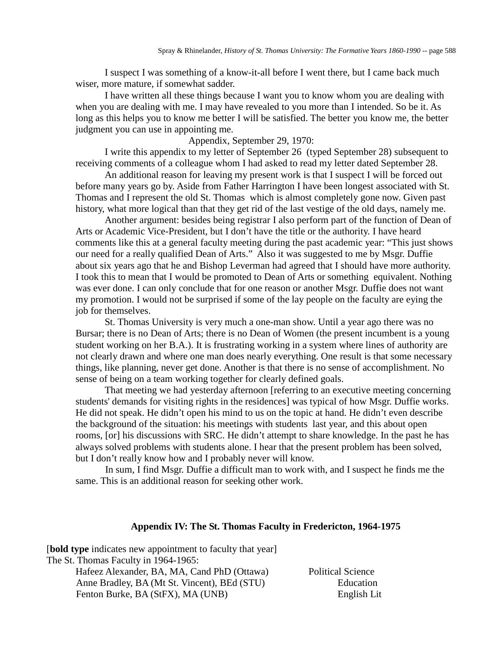I suspect I was something of a know-it-all before I went there, but I came back much wiser, more mature, if somewhat sadder.

I have written all these things because I want you to know whom you are dealing with when you are dealing with me. I may have revealed to you more than I intended. So be it. As long as this helps you to know me better I will be satisfied. The better you know me, the better judgment you can use in appointing me.

## Appendix, September 29, 1970:

I write this appendix to my letter of September 26 (typed September 28) subsequent to receiving comments of a colleague whom I had asked to read my letter dated September 28.

An additional reason for leaving my present work is that I suspect I will be forced out before many years go by. Aside from Father Harrington I have been longest associated with St. Thomas and I represent the old St. Thomas which is almost completely gone now. Given past history, what more logical than that they get rid of the last vestige of the old days, namely me.

Another argument: besides being registrar I also perform part of the function of Dean of Arts or Academic Vice-President, but I don't have the title or the authority. I have heard comments like this at a general faculty meeting during the past academic year: "This just shows our need for a really qualified Dean of Arts." Also it was suggested to me by Msgr. Duffie about six years ago that he and Bishop Leverman had agreed that I should have more authority. I took this to mean that I would be promoted to Dean of Arts or something equivalent. Nothing was ever done. I can only conclude that for one reason or another Msgr. Duffie does not want my promotion. I would not be surprised if some of the lay people on the faculty are eying the job for themselves.

St. Thomas University is very much a one-man show. Until a year ago there was no Bursar; there is no Dean of Arts; there is no Dean of Women (the present incumbent is a young student working on her B.A.). It is frustrating working in a system where lines of authority are not clearly drawn and where one man does nearly everything. One result is that some necessary things, like planning, never get done. Another is that there is no sense of accomplishment. No sense of being on a team working together for clearly defined goals.

That meeting we had yesterday afternoon [referring to an executive meeting concerning students' demands for visiting rights in the residences] was typical of how Msgr. Duffie works. He did not speak. He didn't open his mind to us on the topic at hand. He didn't even describe the background of the situation: his meetings with students last year, and this about open rooms, [or] his discussions with SRC. He didn't attempt to share knowledge. In the past he has always solved problems with students alone. I hear that the present problem has been solved, but I don't really know how and I probably never will know.

In sum, I find Msgr. Duffie a difficult man to work with, and I suspect he finds me the same. This is an additional reason for seeking other work.

## **Appendix IV: The St. Thomas Faculty in Fredericton, 1964-1975**

[**bold type** indicates new appointment to faculty that year] The St. Thomas Faculty in 1964-1965: Hafeez Alexander, BA, MA, Cand PhD (Ottawa) Political Science Anne Bradley, BA (Mt St. Vincent), BEd (STU) Education Fenton Burke, BA (StFX), MA (UNB) English Lit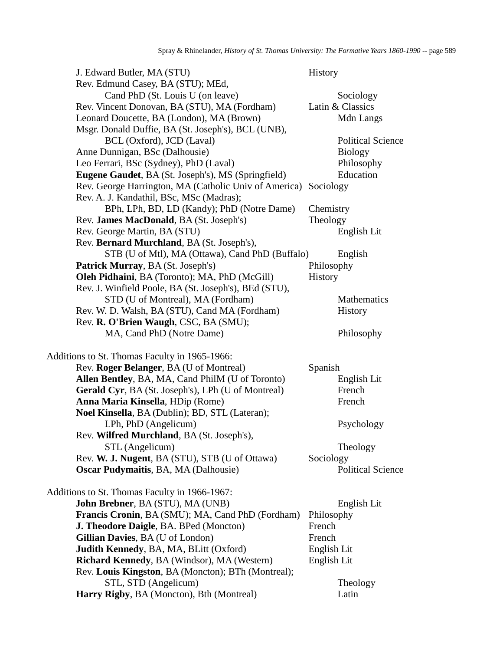| J. Edward Butler, MA (STU)                                      | History                  |
|-----------------------------------------------------------------|--------------------------|
| Rev. Edmund Casey, BA (STU); MEd,                               |                          |
| Cand PhD (St. Louis U (on leave)                                | Sociology                |
| Rev. Vincent Donovan, BA (STU), MA (Fordham)                    | Latin & Classics         |
| Leonard Doucette, BA (London), MA (Brown)                       | Mdn Langs                |
| Msgr. Donald Duffie, BA (St. Joseph's), BCL (UNB),              |                          |
| BCL (Oxford), JCD (Laval)                                       | <b>Political Science</b> |
| Anne Dunnigan, BSc (Dalhousie)                                  | <b>Biology</b>           |
| Leo Ferrari, BSc (Sydney), PhD (Laval)                          | Philosophy               |
| Eugene Gaudet, BA (St. Joseph's), MS (Springfield)              | Education                |
| Rev. George Harrington, MA (Catholic Univ of America) Sociology |                          |
| Rev. A. J. Kandathil, BSc, MSc (Madras);                        |                          |
| BPh, LPh, BD, LD (Kandy); PhD (Notre Dame)                      | Chemistry                |
| Rev. James MacDonald, BA (St. Joseph's)                         | Theology                 |
| Rev. George Martin, BA (STU)                                    | English Lit              |
| Rev. Bernard Murchland, BA (St. Joseph's),                      |                          |
| STB (U of Mtl), MA (Ottawa), Cand PhD (Buffalo)                 | English                  |
| Patrick Murray, BA (St. Joseph's)                               | Philosophy               |
| Oleh Pidhaini, BA (Toronto); MA, PhD (McGill)                   | <b>History</b>           |
| Rev. J. Winfield Poole, BA (St. Joseph's), BEd (STU),           |                          |
| STD (U of Montreal), MA (Fordham)                               | Mathematics              |
| Rev. W. D. Walsh, BA (STU), Cand MA (Fordham)                   | <b>History</b>           |
| Rev. R. O'Brien Waugh, CSC, BA (SMU);                           |                          |
| MA, Cand PhD (Notre Dame)                                       | Philosophy               |
| Additions to St. Thomas Faculty in 1965-1966:                   |                          |
| Rev. Roger Belanger, BA (U of Montreal)                         | Spanish                  |
| Allen Bentley, BA, MA, Cand PhilM (U of Toronto)                | English Lit              |
| Gerald Cyr, BA (St. Joseph's), LPh (U of Montreal)              | French                   |
| Anna Maria Kinsella, HDip (Rome)                                | French                   |
| Noel Kinsella, BA (Dublin); BD, STL (Lateran);                  |                          |
| LPh, PhD (Angelicum)                                            | Psychology               |
| Rev. Wilfred Murchland, BA (St. Joseph's),                      |                          |
| STL (Angelicum)                                                 | Theology                 |
| Rev. W. J. Nugent, BA (STU), STB (U of Ottawa)                  | Sociology                |
| <b>Oscar Pudymaitis, BA, MA (Dalhousie)</b>                     | <b>Political Science</b> |
| Additions to St. Thomas Faculty in 1966-1967:                   |                          |
| John Brebner, BA (STU), MA (UNB)                                | English Lit              |
| Francis Cronin, BA (SMU); MA, Cand PhD (Fordham)                | Philosophy               |
| J. Theodore Daigle, BA. BPed (Moncton)                          | French                   |
| Gillian Davies, BA (U of London)                                | French                   |
| <b>Judith Kennedy, BA, MA, BLitt (Oxford)</b>                   | English Lit              |
| <b>Richard Kennedy, BA (Windsor), MA (Western)</b>              | English Lit              |
| Rev. Louis Kingston, BA (Moncton); BTh (Montreal);              |                          |
| STL, STD (Angelicum)                                            | Theology                 |
| Harry Rigby, BA (Moncton), Bth (Montreal)                       | Latin                    |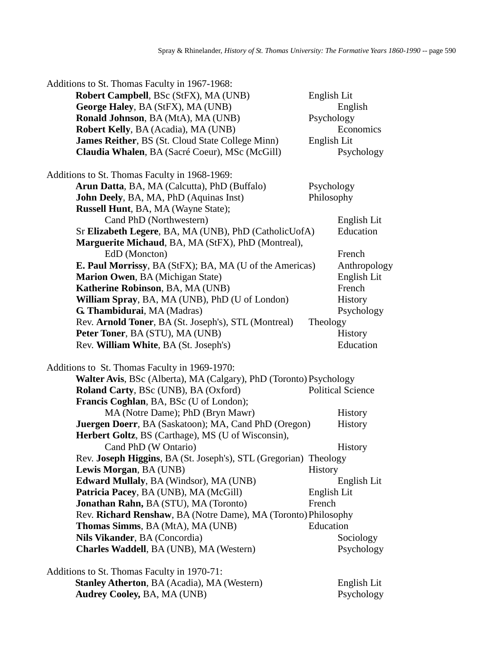| Additions to St. Thomas Faculty in 1967-1968:                      |                |                          |
|--------------------------------------------------------------------|----------------|--------------------------|
| Robert Campbell, BSc (StFX), MA (UNB)                              | English Lit    |                          |
| George Haley, BA (StFX), MA (UNB)                                  |                | English                  |
| Ronald Johnson, BA (MtA), MA (UNB)                                 | Psychology     |                          |
| <b>Robert Kelly, BA (Acadia), MA (UNB)</b>                         |                | Economics                |
| <b>James Reither, BS (St. Cloud State College Minn)</b>            | English Lit    |                          |
| Claudia Whalen, BA (Sacré Coeur), MSc (McGill)                     |                | Psychology               |
| Additions to St. Thomas Faculty in 1968-1969:                      |                |                          |
| Arun Datta, BA, MA (Calcutta), PhD (Buffalo)                       | Psychology     |                          |
| John Deely, BA, MA, PhD (Aquinas Inst)                             | Philosophy     |                          |
| Russell Hunt, BA, MA (Wayne State);                                |                |                          |
| Cand PhD (Northwestern)                                            |                | English Lit              |
| Sr Elizabeth Legere, BA, MA (UNB), PhD (CatholicUofA)              |                | Education                |
| Marguerite Michaud, BA, MA (StFX), PhD (Montreal),                 |                |                          |
| EdD (Moncton)                                                      |                | French                   |
| <b>E. Paul Morrissy</b> , BA (StFX); BA, MA (U of the Americas)    |                | Anthropology             |
| <b>Marion Owen, BA (Michigan State)</b>                            |                | English Lit              |
| Katherine Robinson, BA, MA (UNB)                                   |                | French                   |
| William Spray, BA, MA (UNB), PhD (U of London)                     |                | History                  |
| G. Thambidurai, MA (Madras)                                        |                | Psychology               |
| Rev. Arnold Toner, BA (St. Joseph's), STL (Montreal)               | Theology       |                          |
| Peter Toner, BA (STU), MA (UNB)                                    |                | History                  |
| Rev. William White, BA (St. Joseph's)                              |                | Education                |
| Additions to St. Thomas Faculty in 1969-1970:                      |                |                          |
| Walter Avis, BSc (Alberta), MA (Calgary), PhD (Toronto) Psychology |                |                          |
| Roland Carty, BSc (UNB), BA (Oxford)                               |                | <b>Political Science</b> |
| Francis Coghlan, BA, BSc (U of London);                            |                |                          |
| MA (Notre Dame); PhD (Bryn Mawr)                                   |                | <b>History</b>           |
| <b>Juergen Doerr</b> , BA (Saskatoon); MA, Cand PhD (Oregon)       |                | History                  |
| Herbert Goltz, BS (Carthage), MS (U of Wisconsin),                 |                |                          |
| Cand PhD (W Ontario)                                               |                | <b>History</b>           |
| Rev. Joseph Higgins, BA (St. Joseph's), STL (Gregorian) Theology   |                |                          |
| Lewis Morgan, BA (UNB)                                             | <b>History</b> |                          |
| <b>Edward Mullaly, BA (Windsor), MA (UNB)</b>                      |                | English Lit              |
| Patricia Pacey, BA (UNB), MA (McGill)                              | English Lit    |                          |
| <b>Jonathan Rahn, BA (STU), MA (Toronto)</b>                       | French         |                          |
| Rev. Richard Renshaw, BA (Notre Dame), MA (Toronto) Philosophy     |                |                          |
| Thomas Simms, BA (MtA), MA (UNB)                                   | Education      |                          |
| Nils Vikander, BA (Concordia)                                      |                | Sociology                |
| Charles Waddell, BA (UNB), MA (Western)                            |                | Psychology               |
| Additions to St. Thomas Faculty in 1970-71:                        |                |                          |
| <b>Stanley Atherton, BA (Acadia), MA (Western)</b>                 |                | English Lit              |

**Standard, Standard, Atherton, Atherton, Académic English Lit<br>Psychology** Audrey Cooley, BA, MA (UNB)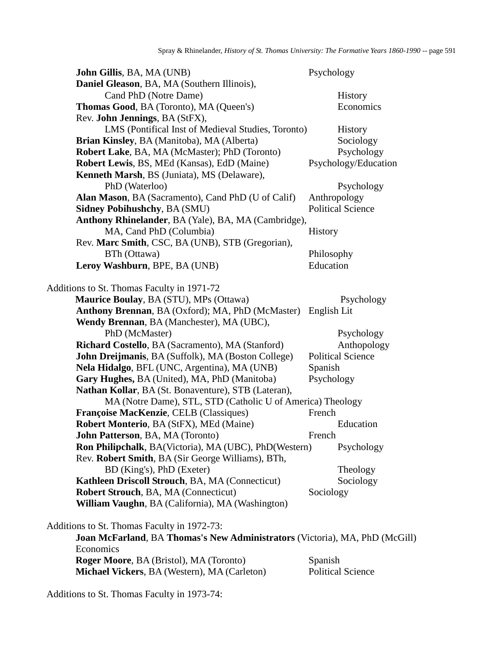| John Gillis, BA, MA (UNB)                                                   | Psychology               |
|-----------------------------------------------------------------------------|--------------------------|
| Daniel Gleason, BA, MA (Southern Illinois),                                 |                          |
| Cand PhD (Notre Dame)                                                       | History                  |
| <b>Thomas Good, BA (Toronto), MA (Queen's)</b>                              | Economics                |
| Rev. John Jennings, BA (StFX),                                              |                          |
| LMS (Pontifical Inst of Medieval Studies, Toronto)                          | <b>History</b>           |
| Brian Kinsley, BA (Manitoba), MA (Alberta)                                  | Sociology                |
| Robert Lake, BA, MA (McMaster); PhD (Toronto)                               | Psychology               |
| Robert Lewis, BS, MEd (Kansas), EdD (Maine)                                 | Psychology/Education     |
| <b>Kenneth Marsh, BS (Juniata), MS (Delaware),</b>                          |                          |
| PhD (Waterloo)                                                              | Psychology               |
| Alan Mason, BA (Sacramento), Cand PhD (U of Calif)                          | Anthropology             |
| <b>Sidney Pobihushchy, BA (SMU)</b>                                         | <b>Political Science</b> |
| Anthony Rhinelander, BA (Yale), BA, MA (Cambridge),                         |                          |
| MA, Cand PhD (Columbia)                                                     | <b>History</b>           |
| Rev. Marc Smith, CSC, BA (UNB), STB (Gregorian),                            |                          |
| BTh (Ottawa)                                                                | Philosophy               |
| Leroy Washburn, BPE, BA (UNB)                                               | Education                |
| Additions to St. Thomas Faculty in 1971-72                                  |                          |
| <b>Maurice Boulay, BA (STU), MPs (Ottawa)</b>                               | Psychology               |
| Anthony Brennan, BA (Oxford); MA, PhD (McMaster) English Lit                |                          |
| Wendy Brennan, BA (Manchester), MA (UBC),                                   |                          |
| PhD (McMaster)                                                              | Psychology               |
| Richard Costello, BA (Sacramento), MA (Stanford)                            | Anthopology              |
| John Dreijmanis, BA (Suffolk), MA (Boston College)                          | <b>Political Science</b> |
| Nela Hidalgo, BFL (UNC, Argentina), MA (UNB)                                | Spanish                  |
| Gary Hughes, BA (United), MA, PhD (Manitoba)                                | Psychology               |
| Nathan Kollar, BA (St. Bonaventure), STB (Lateran),                         |                          |
| MA (Notre Dame), STL, STD (Catholic U of America) Theology                  |                          |
| Françoise MacKenzie, CELB (Classiques)                                      | French                   |
| Robert Monterio, BA (StFX), MEd (Maine)                                     | Education                |
| <b>John Patterson</b> , BA, MA (Toronto)                                    | French                   |
| Ron Philipchalk, BA(Victoria), MA (UBC), PhD(Western)                       | Psychology               |
| Rev. Robert Smith, BA (Sir George Williams), BTh,                           |                          |
| BD (King's), PhD (Exeter)                                                   | Theology                 |
| Kathleen Driscoll Strouch, BA, MA (Connecticut)                             | Sociology                |
| Robert Strouch, BA, MA (Connecticut)                                        | Sociology                |
| William Vaughn, BA (California), MA (Washington)                            |                          |
| Additions to St. Thomas Faculty in 1972-73:                                 |                          |
| Joan McFarland, BA Thomas's New Administrators (Victoria), MA, PhD (McGill) |                          |
| Economics                                                                   |                          |
| Roger Moore, BA (Bristol), MA (Toronto)                                     | Spanish                  |
| Michael Vickers, BA (Western), MA (Carleton)                                | <b>Political Science</b> |

Additions to St. Thomas Faculty in 1973-74: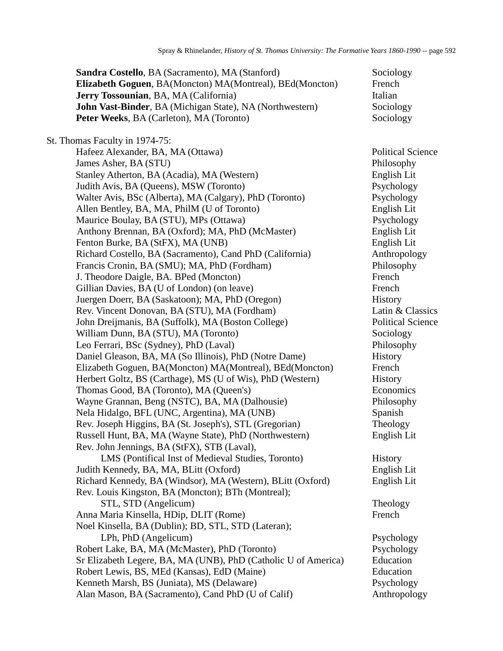| Sandra Costello, BA (Sacramento), MA (Stanford)                | Sociology                |
|----------------------------------------------------------------|--------------------------|
| Elizabeth Goguen, BA(Moncton) MA(Montreal), BEd(Moncton)       | French                   |
| Jerry Tossounian, BA, MA (California)                          | Italian                  |
| John Vast-Binder, BA (Michigan State), NA (Northwestern)       | Sociology                |
| Peter Weeks, BA (Carleton), MA (Toronto)                       | Sociology                |
|                                                                |                          |
| St. Thomas Faculty in 1974-75:                                 |                          |
| Hafeez Alexander, BA, MA (Ottawa)                              | <b>Political Science</b> |
| James Asher, BA (STU)                                          | Philosophy               |
| Stanley Atherton, BA (Acadia), MA (Western)                    | English Lit              |
| Judith Avis, BA (Queens), MSW (Toronto)                        | Psychology               |
| Walter Avis, BSc (Alberta), MA (Calgary), PhD (Toronto)        | Psychology               |
| Allen Bentley, BA, MA, PhilM (U of Toronto)                    | English Lit              |
| Maurice Boulay, BA (STU), MPs (Ottawa)                         | Psychology               |
| Anthony Brennan, BA (Oxford); MA, PhD (McMaster)               | English Lit              |
| Fenton Burke, BA (StFX), MA (UNB)                              | English Lit              |
| Richard Costello, BA (Sacramento), Cand PhD (California)       | Anthropology             |
| Francis Cronin, BA (SMU); MA, PhD (Fordham)                    | Philosophy               |
| J. Theodore Daigle, BA. BPed (Moncton)                         | French                   |
| Gillian Davies, BA (U of London) (on leave)                    | French                   |
| Juergen Doerr, BA (Saskatoon); MA, PhD (Oregon)                | History                  |
| Rev. Vincent Donovan, BA (STU), MA (Fordham)                   | Latin & Classics         |
| John Dreijmanis, BA (Suffolk), MA (Boston College)             | <b>Political Science</b> |
| William Dunn, BA (STU), MA (Toronto)                           | Sociology                |
| Leo Ferrari, BSc (Sydney), PhD (Laval)                         | Philosophy               |
| Daniel Gleason, BA, MA (So Illinois), PhD (Notre Dame)         | History                  |
| Elizabeth Goguen, BA(Moncton) MA(Montreal), BEd(Moncton)       | French                   |
| Herbert Goltz, BS (Carthage), MS (U of Wis), PhD (Western)     | History                  |
| Thomas Good, BA (Toronto), MA (Queen's)                        | Economics                |
| Wayne Grannan, Beng (NSTC), BA, MA (Dalhousie)                 | Philosophy               |
| Nela Hidalgo, BFL (UNC, Argentina), MA (UNB)                   | Spanish                  |
| Rev. Joseph Higgins, BA (St. Joseph's), STL (Gregorian)        | Theology                 |
| Russell Hunt, BA, MA (Wayne State), PhD (Northwestern)         | English Lit              |
| Rev. John Jennings, BA (StFX), STB (Laval),                    |                          |
| LMS (Pontifical Inst of Medieval Studies, Toronto)             | History                  |
| Judith Kennedy, BA, MA, BLitt (Oxford)                         | English Lit              |
| Richard Kennedy, BA (Windsor), MA (Western), BLitt (Oxford)    | English Lit              |
| Rev. Louis Kingston, BA (Moncton); BTh (Montreal);             |                          |
| STL, STD (Angelicum)                                           | Theology                 |
| Anna Maria Kinsella, HDip, DLIT (Rome)                         | French                   |
| Noel Kinsella, BA (Dublin); BD, STL, STD (Lateran);            |                          |
| LPh, PhD (Angelicum)                                           | Psychology               |
| Robert Lake, BA, MA (McMaster), PhD (Toronto)                  | Psychology               |
| Sr Elizabeth Legere, BA, MA (UNB), PhD (Catholic U of America) | Education                |
| Robert Lewis, BS, MEd (Kansas), EdD (Maine)                    | Education                |
| Kenneth Marsh, BS (Juniata), MS (Delaware)                     | Psychology               |
| Alan Mason, BA (Sacramento), Cand PhD (U of Calif)             | Anthropology             |
|                                                                |                          |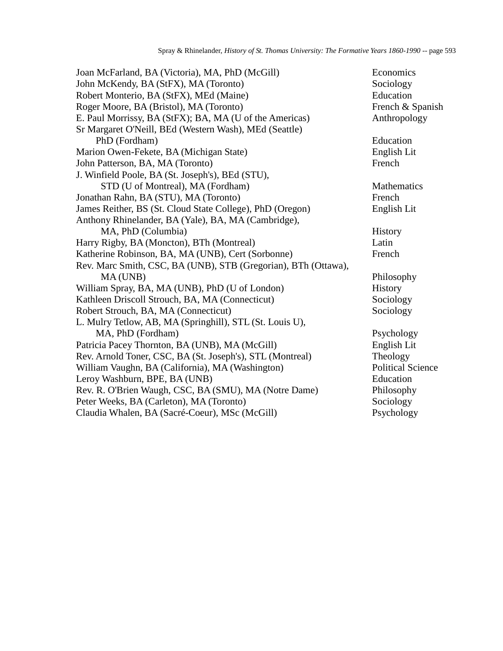| Joan McFarland, BA (Victoria), MA, PhD (McGill)                | Economics                |
|----------------------------------------------------------------|--------------------------|
| John McKendy, BA (StFX), MA (Toronto)                          | Sociology                |
| Robert Monterio, BA (StFX), MEd (Maine)                        | Education                |
| Roger Moore, BA (Bristol), MA (Toronto)                        | French & Spanish         |
| E. Paul Morrissy, BA (StFX); BA, MA (U of the Americas)        | Anthropology             |
| Sr Margaret O'Neill, BEd (Western Wash), MEd (Seattle)         |                          |
| PhD (Fordham)                                                  | Education                |
| Marion Owen-Fekete, BA (Michigan State)                        | English Lit              |
| John Patterson, BA, MA (Toronto)                               | French                   |
| J. Winfield Poole, BA (St. Joseph's), BEd (STU),               |                          |
| STD (U of Montreal), MA (Fordham)                              | Mathematics              |
| Jonathan Rahn, BA (STU), MA (Toronto)                          | French                   |
| James Reither, BS (St. Cloud State College), PhD (Oregon)      | English Lit              |
| Anthony Rhinelander, BA (Yale), BA, MA (Cambridge),            |                          |
| MA, PhD (Columbia)                                             | History                  |
| Harry Rigby, BA (Moncton), BTh (Montreal)                      | Latin                    |
| Katherine Robinson, BA, MA (UNB), Cert (Sorbonne)              | French                   |
| Rev. Marc Smith, CSC, BA (UNB), STB (Gregorian), BTh (Ottawa), |                          |
| MA(UNB)                                                        | Philosophy               |
| William Spray, BA, MA (UNB), PhD (U of London)                 | History                  |
| Kathleen Driscoll Strouch, BA, MA (Connecticut)                | Sociology                |
| Robert Strouch, BA, MA (Connecticut)                           | Sociology                |
| L. Mulry Tetlow, AB, MA (Springhill), STL (St. Louis U),       |                          |
| MA, PhD (Fordham)                                              | Psychology               |
| Patricia Pacey Thornton, BA (UNB), MA (McGill)                 | English Lit              |
| Rev. Arnold Toner, CSC, BA (St. Joseph's), STL (Montreal)      | Theology                 |
| William Vaughn, BA (California), MA (Washington)               | <b>Political Science</b> |
| Leroy Washburn, BPE, BA (UNB)                                  | Education                |
| Rev. R. O'Brien Waugh, CSC, BA (SMU), MA (Notre Dame)          | Philosophy               |
| Peter Weeks, BA (Carleton), MA (Toronto)                       | Sociology                |
| Claudia Whalen, BA (Sacré-Coeur), MSc (McGill)                 | Psychology               |